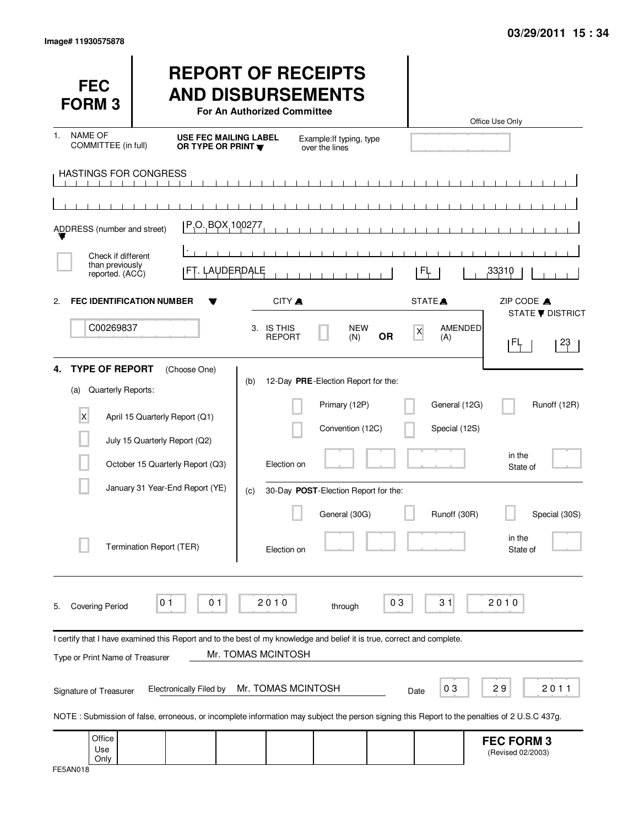| <b>FEC</b><br><b>FORM 3</b>                                   |                                                                   | <b>REPORT OF RECEIPTS</b><br><b>AND DISBURSEMENTS</b><br>For An Authorized Committee                                                                               |                                                                          |                |                                | Office Use Only                        |
|---------------------------------------------------------------|-------------------------------------------------------------------|--------------------------------------------------------------------------------------------------------------------------------------------------------------------|--------------------------------------------------------------------------|----------------|--------------------------------|----------------------------------------|
| <b>NAME OF</b><br>$\mathbf{1}$ .<br>COMMITTEE (in full)       |                                                                   | <b>USE FEC MAILING LABEL</b><br>OR TYPE OR PRINT W                                                                                                                 | Example: If typing, type<br>over the lines                               |                |                                |                                        |
| <b>HASTINGS FOR CONGRESS</b>                                  |                                                                   |                                                                                                                                                                    | $\blacksquare$<br>$\blacksquare$                                         |                |                                |                                        |
| ADDRESS (number and street)                                   |                                                                   | P.O. BOX 100277                                                                                                                                                    |                                                                          |                |                                |                                        |
| Check if different<br>than previously<br>reported. (ACC)      |                                                                   | FT. LAUDERDALE                                                                                                                                                     |                                                                          |                | FĻ                             | ,33310                                 |
| <b>FEC IDENTIFICATION NUMBER</b><br>2.                        |                                                                   | CITY A                                                                                                                                                             |                                                                          |                | STATE <sup>A</sup>             | ZIP CODE A<br>STATE <b>V</b> DISTRICT  |
| C00269837                                                     |                                                                   | 3. IS THIS<br><b>REPORT</b>                                                                                                                                        | <b>NEW</b><br>(N)                                                        | X<br><b>OR</b> | AMENDED<br>(A)                 | 23<br>IFF.                             |
| <b>TYPE OF REPORT</b><br>4.<br>Quarterly Reports:<br>(a)<br>X | (Choose One)<br>April 15 Quarterly Report (Q1)                    | (b)                                                                                                                                                                | 12-Day PRE-Election Report for the:<br>Primary (12P)<br>Convention (12C) |                | General (12G)<br>Special (12S) | Runoff (12R)                           |
|                                                               | July 15 Quarterly Report (Q2)<br>October 15 Quarterly Report (Q3) | Election on                                                                                                                                                        |                                                                          |                |                                | in the<br>State of                     |
|                                                               | January 31 Year-End Report (YE)<br>Termination Report (TER)       | (c)<br>Election on                                                                                                                                                 | 30-Day POST-Election Report for the:<br>General (30G)                    |                | Runoff (30R)                   | Special (30S)<br>in the<br>State of    |
| <b>Covering Period</b><br>5.                                  | 0 <sub>1</sub><br>01                                              | 2010                                                                                                                                                               | through                                                                  | 03             | 31                             | 2010                                   |
| Type or Print Name of Treasurer                               |                                                                   | I certify that I have examined this Report and to the best of my knowledge and belief it is true, correct and complete.<br>Mr. TOMAS MCINTOSH                      |                                                                          |                |                                |                                        |
| Signature of Treasurer                                        | <b>Electronically Filed by</b>                                    | Mr. TOMAS MCINTOSH<br>NOTE: Submission of false, erroneous, or incomplete information may subject the person signing this Report to the penalties of 2 U.S.C 437g. |                                                                          | Date           | 03                             | 29<br>2011                             |
| Office<br>Use<br>Only                                         |                                                                   |                                                                                                                                                                    |                                                                          |                |                                | <b>FEC FORM 3</b><br>(Revised 02/2003) |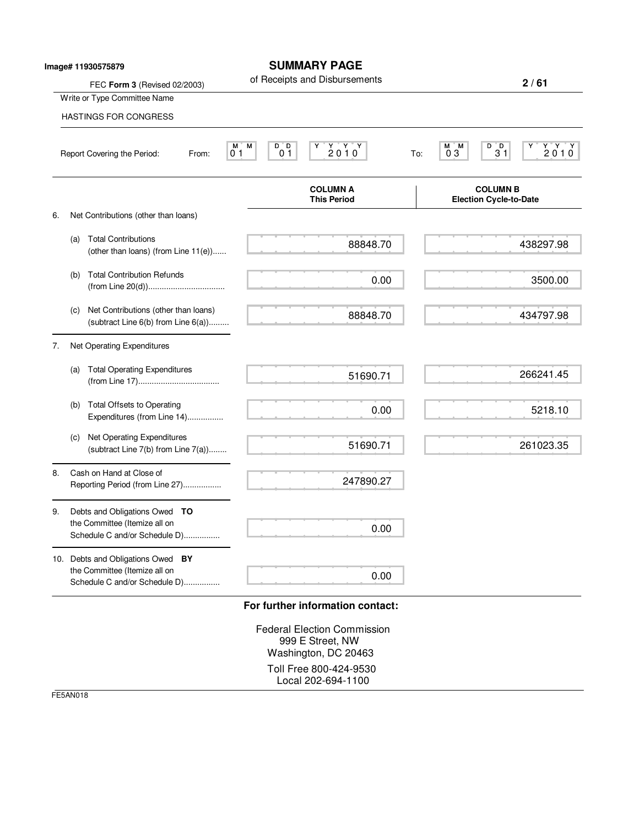|    |     | Image# 11930575879                                                                                  | <b>SUMMARY PAGE</b><br>of Receipts and Disbursements                           | 2/61                                                                                    |
|----|-----|-----------------------------------------------------------------------------------------------------|--------------------------------------------------------------------------------|-----------------------------------------------------------------------------------------|
|    |     | FEC Form 3 (Revised 02/2003)<br>Write or Type Committee Name                                        |                                                                                |                                                                                         |
|    |     | <b>HASTINGS FOR CONGRESS</b>                                                                        |                                                                                |                                                                                         |
|    |     | Report Covering the Period:<br>From:                                                                | $Y$ $Y$ $Y$<br>D D<br>M.<br>М<br>Y<br>2010<br>0 <sub>1</sub><br>0 <sub>1</sub> | $\begin{array}{c}\nY \ Y \ Y \ 2010\n\end{array}$<br>D D<br>M M<br>Y<br>03<br>31<br>To: |
|    |     |                                                                                                     | <b>COLUMN A</b><br><b>This Period</b>                                          | <b>COLUMN B</b><br><b>Election Cycle-to-Date</b>                                        |
| 6. |     | Net Contributions (other than loans)                                                                |                                                                                |                                                                                         |
|    | (a) | <b>Total Contributions</b><br>(other than loans) (from Line 11(e))                                  | 88848.70                                                                       | 438297.98                                                                               |
|    | (b) | <b>Total Contribution Refunds</b>                                                                   | 0.00                                                                           | 3500.00                                                                                 |
|    | (C) | Net Contributions (other than loans)<br>(subtract Line 6(b) from Line 6(a))                         | 88848.70                                                                       | 434797.98                                                                               |
| 7. |     | Net Operating Expenditures                                                                          |                                                                                |                                                                                         |
|    | (a) | <b>Total Operating Expenditures</b>                                                                 | 51690.71                                                                       | 266241.45                                                                               |
|    | (b) | <b>Total Offsets to Operating</b><br>Expenditures (from Line 14)                                    | 0.00                                                                           | 5218.10                                                                                 |
|    | (c) | Net Operating Expenditures<br>(subtract Line 7(b) from Line 7(a))                                   | 51690.71                                                                       | 261023.35                                                                               |
| 8. |     | Cash on Hand at Close of<br>Reporting Period (from Line 27)                                         | 247890.27                                                                      |                                                                                         |
| 9. |     | Debts and Obligations Owed TO<br>the Committee (Itemize all on<br>Schedule C and/or Schedule D)     | 0.00                                                                           |                                                                                         |
|    |     | 10. Debts and Obligations Owed BY<br>the Committee (Itemize all on<br>Schedule C and/or Schedule D) | 0.00                                                                           |                                                                                         |

Federal Election Commission 999 E Street, NW Washington, DC 20463 Toll Free 800-424-9530 Local 202-694-1100

FE5AN018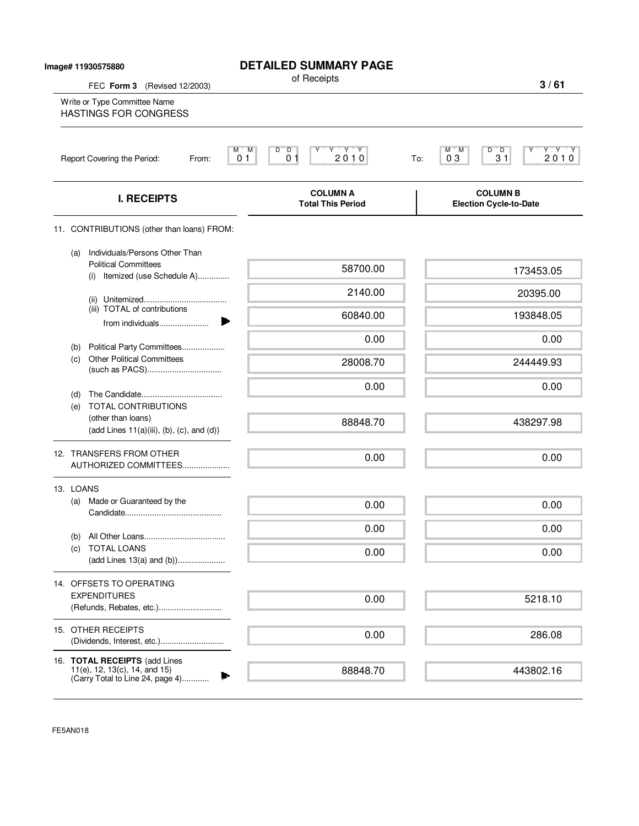| Image# 11930575880<br>FEC Form 3 (Revised 12/2003)                                                    | <b>DETAILED SUMMARY PAGE</b><br>of Receipts                                                                                                                                                       | 3/61                                                               |
|-------------------------------------------------------------------------------------------------------|---------------------------------------------------------------------------------------------------------------------------------------------------------------------------------------------------|--------------------------------------------------------------------|
| Write or Type Committee Name<br><b>HASTINGS FOR CONGRESS</b>                                          |                                                                                                                                                                                                   |                                                                    |
| Report Covering the Period:<br>From:                                                                  | $\overline{D}$<br>$\begin{array}{c}\n\mathbf{Y} & \mathbf{Y} & \mathbf{Y} \\ \mathbf{2} & \mathbf{0} & \mathbf{1} & \mathbf{0}\n\end{array}$<br>м<br>M<br>D<br>$\overline{0}$ 1<br>0 <sub>1</sub> | D<br>$\frac{Y^*Y^*Y}{2.01.0}$<br>М<br>'M<br>ΓD.<br>31<br>03<br>To: |
| <b>I. RECEIPTS</b>                                                                                    | <b>COLUMN A</b><br><b>Total This Period</b>                                                                                                                                                       | <b>COLUMN B</b><br><b>Election Cycle-to-Date</b>                   |
| 11. CONTRIBUTIONS (other than loans) FROM:                                                            |                                                                                                                                                                                                   |                                                                    |
| Individuals/Persons Other Than<br>(a)<br><b>Political Committees</b><br>(i) Itemized (use Schedule A) | 58700.00                                                                                                                                                                                          | 173453.05                                                          |
|                                                                                                       | 2140.00                                                                                                                                                                                           | 20395.00                                                           |
| (iii) TOTAL of contributions<br>from individuals                                                      | 60840.00                                                                                                                                                                                          | 193848.05                                                          |
| Political Party Committees<br>(b)                                                                     | 0.00                                                                                                                                                                                              | 0.00                                                               |
| <b>Other Political Committees</b><br>(c)                                                              | 28008.70                                                                                                                                                                                          | 244449.93                                                          |
| (d)<br><b>TOTAL CONTRIBUTIONS</b>                                                                     | 0.00                                                                                                                                                                                              | 0.00                                                               |
| (e)<br>(other than loans)<br>$(\text{add Lines } 11(a)(iii), (b), (c), \text{and } (d))$              | 88848.70                                                                                                                                                                                          | 438297.98                                                          |
| 12. TRANSFERS FROM OTHER<br>AUTHORIZED COMMITTEES                                                     | 0.00                                                                                                                                                                                              | 0.00                                                               |
| 13. LOANS                                                                                             |                                                                                                                                                                                                   |                                                                    |
| Made or Guaranteed by the<br>(a)                                                                      | 0.00                                                                                                                                                                                              | 0.00                                                               |
|                                                                                                       | 0.00                                                                                                                                                                                              | 0.00                                                               |
| (b)<br><b>TOTAL LOANS</b><br>(C)                                                                      | 0.00                                                                                                                                                                                              | 0.00                                                               |
| 14. OFFSETS TO OPERATING                                                                              |                                                                                                                                                                                                   |                                                                    |
| <b>EXPENDITURES</b><br>(Refunds, Rebates, etc.)                                                       | 0.00                                                                                                                                                                                              | 5218.10                                                            |
| 15. OTHER RECEIPTS                                                                                    | 0.00                                                                                                                                                                                              | 286.08                                                             |
| 16. TOTAL RECEIPTS (add Lines                                                                         |                                                                                                                                                                                                   |                                                                    |
| 11(e), 12, 13(c), 14, and 15)<br>(Carry Total to Line 24, page 4)                                     | 88848.70                                                                                                                                                                                          | 443802.16                                                          |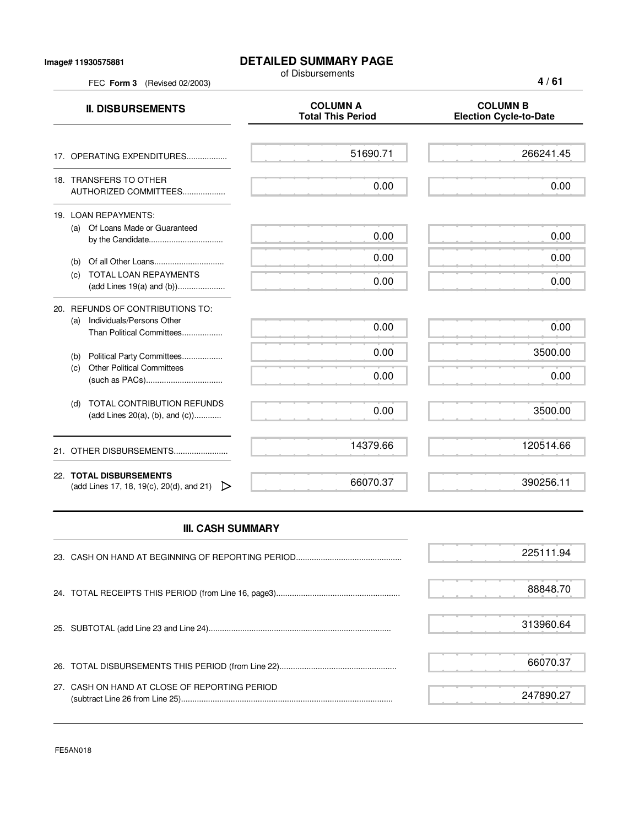## **DETAILED SUMMARY PAGE**

of Disbursements

FEC **Form 3** (Revised 02/2003)

| <b>II. DISBURSEMENTS</b>                                                                          | <b>COLUMN A</b><br><b>Total This Period</b> | <b>COLUMN B</b><br><b>Election Cycle-to-Date</b> |
|---------------------------------------------------------------------------------------------------|---------------------------------------------|--------------------------------------------------|
| 17. OPERATING EXPENDITURES                                                                        | 51690.71                                    | 266241.45                                        |
| 18. TRANSFERS TO OTHER<br>AUTHORIZED COMMITTEES                                                   | 0.00                                        | 0.00                                             |
| 19. LOAN REPAYMENTS:<br>Of Loans Made or Guaranteed<br>(a)                                        | 0.00                                        | 0.00                                             |
| (b)                                                                                               | 0.00                                        | 0.00                                             |
| <b>TOTAL LOAN REPAYMENTS</b><br>(c)                                                               | 0.00                                        | 0.00                                             |
| 20. REFUNDS OF CONTRIBUTIONS TO:<br>Individuals/Persons Other<br>(a)<br>Than Political Committees | 0.00                                        | 0.00                                             |
| Political Party Committees<br>(b)<br><b>Other Political Committees</b>                            | 0.00                                        | 3500.00                                          |
| (c)                                                                                               | 0.00                                        | 0.00                                             |
| <b>TOTAL CONTRIBUTION REFUNDS</b><br>(d)<br>(add Lines 20(a), (b), and $(c)$ )                    | 0.00                                        | 3500.00                                          |
| OTHER DISBURSEMENTS<br>21.                                                                        | 14379.66                                    | 120514.66                                        |
| 22. TOTAL DISBURSEMENTS<br>(add Lines 17, 18, 19(c), 20(d), and 21)<br>▷                          | 66070.37                                    | 390256.11                                        |

## **III. CASH SUMMARY**

|                                               | 225111.94 |
|-----------------------------------------------|-----------|
|                                               | 88848.70  |
|                                               | 313960.64 |
|                                               | 66070.37  |
| 27. CASH ON HAND AT CLOSE OF REPORTING PERIOD | 247890.27 |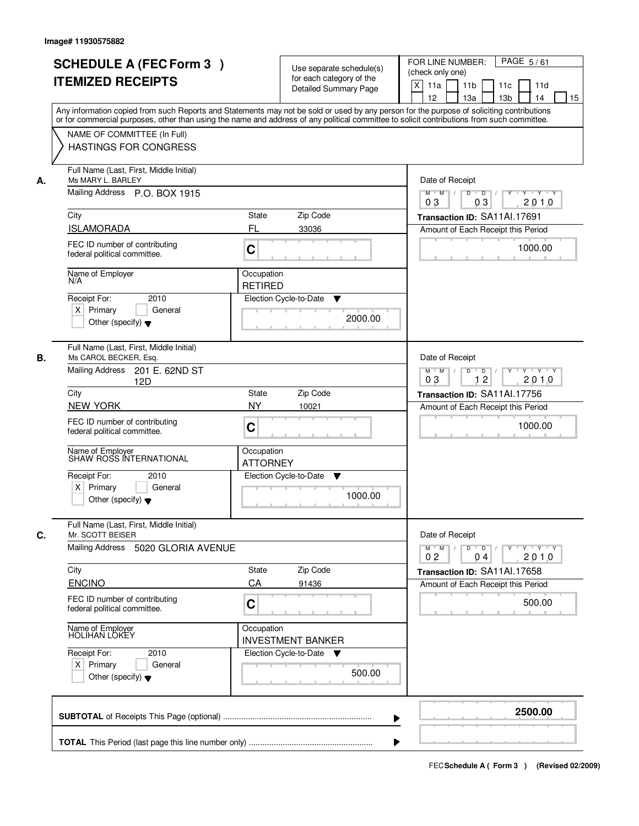|    |                                                                                                                                            |                                                                                                            |                              | PAGE 5/61                                                         |  |
|----|--------------------------------------------------------------------------------------------------------------------------------------------|------------------------------------------------------------------------------------------------------------|------------------------------|-------------------------------------------------------------------|--|
|    | <b>SCHEDULE A (FEC Form 3)</b>                                                                                                             |                                                                                                            | Use separate schedule(s)     | FOR LINE NUMBER:<br>(check only one)                              |  |
|    | <b>ITEMIZED RECEIPTS</b>                                                                                                                   |                                                                                                            | for each category of the     | $\boldsymbol{\mathsf{X}}$<br>11a<br>11 <sub>b</sub><br>11c<br>11d |  |
|    |                                                                                                                                            |                                                                                                            | <b>Detailed Summary Page</b> | 12<br>13a<br>13 <sub>b</sub><br>14<br>15                          |  |
|    | Any information copied from such Reports and Statements may not be sold or used by any person for the purpose of soliciting contributions  |                                                                                                            |                              |                                                                   |  |
|    | or for commercial purposes, other than using the name and address of any political committee to solicit contributions from such committee. |                                                                                                            |                              |                                                                   |  |
|    | NAME OF COMMITTEE (In Full)                                                                                                                |                                                                                                            |                              |                                                                   |  |
|    | <b>HASTINGS FOR CONGRESS</b>                                                                                                               |                                                                                                            |                              |                                                                   |  |
|    |                                                                                                                                            |                                                                                                            |                              |                                                                   |  |
| А. | Full Name (Last, First, Middle Initial)<br>Ms MARY L. BARLEY                                                                               |                                                                                                            |                              | Date of Receipt                                                   |  |
|    | Mailing Address P.O. BOX 1915                                                                                                              | $\overline{D}$<br>$\blacksquare$ $\blacksquare$ $\blacksquare$ $\blacksquare$<br>Y<br>Y Y Y Y<br>$M$ $M$ / |                              |                                                                   |  |
|    |                                                                                                                                            |                                                                                                            |                              | 2010<br>0 <sub>3</sub><br>03                                      |  |
|    | City                                                                                                                                       | State                                                                                                      | Zip Code                     | Transaction ID: SA11Al.17691                                      |  |
|    | <b>ISLAMORADA</b>                                                                                                                          | FL                                                                                                         | 33036                        | Amount of Each Receipt this Period                                |  |
|    | FEC ID number of contributing                                                                                                              |                                                                                                            |                              |                                                                   |  |
|    | federal political committee.                                                                                                               | C                                                                                                          |                              | 1000.00                                                           |  |
|    |                                                                                                                                            |                                                                                                            |                              |                                                                   |  |
|    | Name of Employer<br>N/A                                                                                                                    | Occupation<br><b>RETIRED</b>                                                                               |                              |                                                                   |  |
|    | 2010<br>Receipt For:                                                                                                                       |                                                                                                            | Election Cycle-to-Date<br>▼  |                                                                   |  |
|    | $X$ Primary<br>General                                                                                                                     |                                                                                                            |                              |                                                                   |  |
|    | Other (specify) $\blacktriangledown$                                                                                                       |                                                                                                            | 2000.00                      |                                                                   |  |
|    |                                                                                                                                            |                                                                                                            |                              |                                                                   |  |
|    | Full Name (Last, First, Middle Initial)                                                                                                    |                                                                                                            |                              |                                                                   |  |
| В. | Ms CAROL BECKER, Esg.                                                                                                                      |                                                                                                            |                              | Date of Receipt                                                   |  |
|    | <b>Mailing Address</b><br>201 E. 62ND ST                                                                                                   |                                                                                                            |                              | $D$ $D$ $/$<br>$Y - Y - Y - Y$<br>$M$ $M$ /<br>$Y$ <sup>U</sup>   |  |
|    | 12D                                                                                                                                        |                                                                                                            |                              | 12<br>03<br>2010                                                  |  |
|    | City                                                                                                                                       | State                                                                                                      | Zip Code                     | Transaction ID: SA11Al.17756                                      |  |
|    | <b>NEW YORK</b>                                                                                                                            | <b>NY</b>                                                                                                  | 10021                        | Amount of Each Receipt this Period                                |  |
|    | FEC ID number of contributing<br>C                                                                                                         |                                                                                                            |                              | 1000.00                                                           |  |
|    | federal political committee.                                                                                                               |                                                                                                            |                              |                                                                   |  |
|    | Name of Employer<br>SHAW ROSS INTERNATIONAL                                                                                                | Occupation                                                                                                 |                              |                                                                   |  |
|    |                                                                                                                                            | <b>ATTORNEY</b>                                                                                            |                              |                                                                   |  |
|    | Receipt For:<br>2010                                                                                                                       |                                                                                                            | Election Cycle-to-Date<br>v  |                                                                   |  |
|    | $X$ Primary<br>General                                                                                                                     |                                                                                                            | 1000.00                      |                                                                   |  |
|    | Other (specify) $\blacktriangledown$                                                                                                       |                                                                                                            |                              |                                                                   |  |
|    |                                                                                                                                            |                                                                                                            |                              |                                                                   |  |
| C. | Full Name (Last, First, Middle Initial)<br>Mr. SCOTT BEISER                                                                                |                                                                                                            |                              | Date of Receipt                                                   |  |
|    | Mailing Address<br>5020 GLORIA AVENUE                                                                                                      | $M^+$ M<br>$D$ $D$ $I$<br>$Y - Y - Y$<br>$\sqrt{ }$<br>$Y$ <sup>-1</sup>                                   |                              |                                                                   |  |
|    |                                                                                                                                            |                                                                                                            |                              | 2010<br>0 <sub>2</sub><br>04                                      |  |
|    | City                                                                                                                                       | State                                                                                                      | Zip Code                     | Transaction ID: SA11Al.17658                                      |  |
|    | ENCINO                                                                                                                                     | CA                                                                                                         | 91436                        | Amount of Each Receipt this Period                                |  |
|    | FEC ID number of contributing                                                                                                              | C                                                                                                          |                              | 500.00                                                            |  |
|    | federal political committee.                                                                                                               |                                                                                                            |                              |                                                                   |  |
|    |                                                                                                                                            | Occupation                                                                                                 |                              |                                                                   |  |
|    | Name of Employer<br>HOLIHAN LOKEY                                                                                                          |                                                                                                            | <b>INVESTMENT BANKER</b>     |                                                                   |  |
|    | Receipt For:<br>2010                                                                                                                       |                                                                                                            | Election Cycle-to-Date<br>v  |                                                                   |  |
|    | $X$ Primary<br>General                                                                                                                     |                                                                                                            |                              |                                                                   |  |
|    | Other (specify) $\blacktriangledown$                                                                                                       |                                                                                                            | 500.00                       |                                                                   |  |
|    |                                                                                                                                            |                                                                                                            |                              |                                                                   |  |
|    |                                                                                                                                            |                                                                                                            |                              |                                                                   |  |
|    |                                                                                                                                            |                                                                                                            |                              | 2500.00                                                           |  |
|    |                                                                                                                                            |                                                                                                            |                              |                                                                   |  |
|    |                                                                                                                                            |                                                                                                            |                              |                                                                   |  |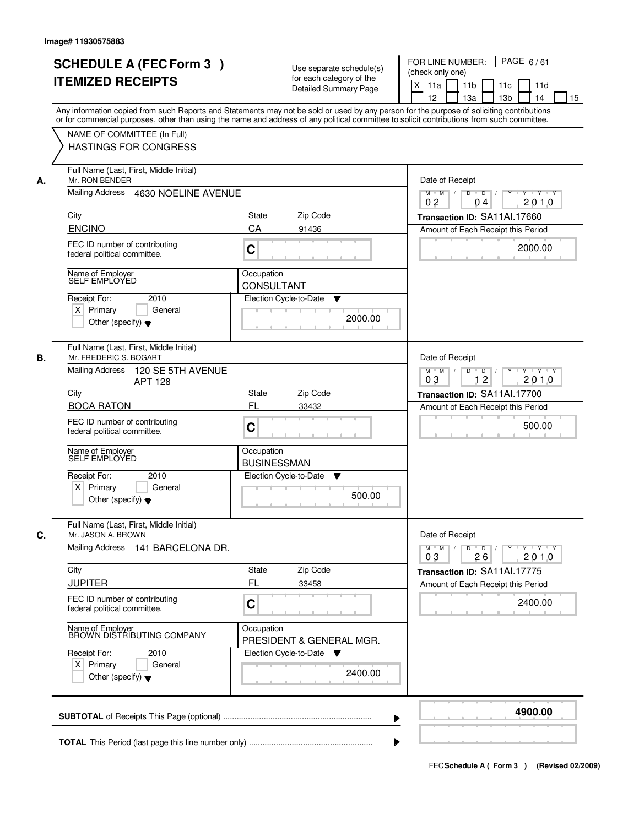| <b>SCHEDULE A (FEC Form 3)</b>                                                                                                             | Use separate schedule(s)     | PAGE 6/61<br>FOR LINE NUMBER:                                                      |  |  |  |
|--------------------------------------------------------------------------------------------------------------------------------------------|------------------------------|------------------------------------------------------------------------------------|--|--|--|
| <b>ITEMIZED RECEIPTS</b>                                                                                                                   | for each category of the     | (check only one)                                                                   |  |  |  |
|                                                                                                                                            | <b>Detailed Summary Page</b> | $\times$<br>11a<br>11 <sub>b</sub><br>11c<br>11d                                   |  |  |  |
|                                                                                                                                            |                              | 12<br>13a<br>13 <sub>b</sub><br>14<br>15                                           |  |  |  |
| Any information copied from such Reports and Statements may not be sold or used by any person for the purpose of soliciting contributions  |                              |                                                                                    |  |  |  |
| or for commercial purposes, other than using the name and address of any political committee to solicit contributions from such committee. |                              |                                                                                    |  |  |  |
| NAME OF COMMITTEE (In Full)                                                                                                                |                              |                                                                                    |  |  |  |
| <b>HASTINGS FOR CONGRESS</b>                                                                                                               |                              |                                                                                    |  |  |  |
|                                                                                                                                            |                              |                                                                                    |  |  |  |
| Full Name (Last, First, Middle Initial)<br>Mr. RON BENDER<br>А.                                                                            |                              | Date of Receipt                                                                    |  |  |  |
|                                                                                                                                            |                              |                                                                                    |  |  |  |
| Mailing Address 4630 NOELINE AVENUE                                                                                                        |                              | $\overline{D}$ /<br>Y Y Y Y<br>$M$ $M$ /<br>D<br>Y<br>2010<br>0 <sub>2</sub><br>04 |  |  |  |
| City                                                                                                                                       | <b>State</b><br>Zip Code     | Transaction ID: SA11Al.17660                                                       |  |  |  |
| <b>ENCINO</b>                                                                                                                              | CA<br>91436                  |                                                                                    |  |  |  |
|                                                                                                                                            |                              | Amount of Each Receipt this Period                                                 |  |  |  |
| FEC ID number of contributing                                                                                                              | $\mathbf C$                  | 2000.00                                                                            |  |  |  |
| federal political committee.                                                                                                               |                              |                                                                                    |  |  |  |
|                                                                                                                                            | Occupation                   |                                                                                    |  |  |  |
| Name of Employer<br>SELF EMPLOYED                                                                                                          | <b>CONSULTANT</b>            |                                                                                    |  |  |  |
|                                                                                                                                            |                              |                                                                                    |  |  |  |
| 2010<br>Receipt For:                                                                                                                       | Election Cycle-to-Date<br>▼  |                                                                                    |  |  |  |
| $X$ Primary<br>General                                                                                                                     | 2000.00                      |                                                                                    |  |  |  |
| Other (specify) $\blacktriangledown$                                                                                                       |                              |                                                                                    |  |  |  |
|                                                                                                                                            |                              |                                                                                    |  |  |  |
| Full Name (Last, First, Middle Initial)                                                                                                    |                              |                                                                                    |  |  |  |
| В.<br>Mr. FREDERIC S. BOGART                                                                                                               |                              | Date of Receipt                                                                    |  |  |  |
| <b>Mailing Address</b><br>120 SE 5TH AVENUE                                                                                                |                              | $Y - Y - Y$<br>$M$ $M$ /<br>D<br>$\overline{D}$<br>$Y$ <sup>U</sup>                |  |  |  |
| <b>APT 128</b>                                                                                                                             |                              | 12<br>2010<br>03                                                                   |  |  |  |
| City                                                                                                                                       | Zip Code<br><b>State</b>     | Transaction ID: SA11Al.17700                                                       |  |  |  |
| <b>BOCA RATON</b>                                                                                                                          | FL<br>33432                  | Amount of Each Receipt this Period                                                 |  |  |  |
| FEC ID number of contributing                                                                                                              |                              |                                                                                    |  |  |  |
| federal political committee.                                                                                                               | C                            | 500.00                                                                             |  |  |  |
|                                                                                                                                            |                              |                                                                                    |  |  |  |
| Name of Employer<br>SELF EMPLOYED                                                                                                          | Occupation                   |                                                                                    |  |  |  |
|                                                                                                                                            | <b>BUSINESSMAN</b>           |                                                                                    |  |  |  |
| Receipt For:<br>2010                                                                                                                       | Election Cycle-to-Date<br>▼  |                                                                                    |  |  |  |
| $X$ Primary<br>General                                                                                                                     |                              |                                                                                    |  |  |  |
| Other (specify) $\blacktriangledown$                                                                                                       | 500.00                       |                                                                                    |  |  |  |
|                                                                                                                                            |                              |                                                                                    |  |  |  |
| Full Name (Last, First, Middle Initial)                                                                                                    |                              | Date of Receipt                                                                    |  |  |  |
| C.                                                                                                                                         | Mr. JASON A. BROWN           |                                                                                    |  |  |  |
| Mailing Address<br>141 BARCELONA DR.                                                                                                       |                              | $M = M$<br>$D$ $D$ $l$<br>$Y - Y - Y$<br>$Y$ <sup>U</sup>                          |  |  |  |
|                                                                                                                                            |                              | 2010<br>03<br>26                                                                   |  |  |  |
| City                                                                                                                                       | Zip Code<br>State            | Transaction ID: SA11Al.17775                                                       |  |  |  |
| <b>JUPITER</b>                                                                                                                             | FL<br>33458                  | Amount of Each Receipt this Period                                                 |  |  |  |
| FEC ID number of contributing                                                                                                              |                              |                                                                                    |  |  |  |
| federal political committee.                                                                                                               | C                            | 2400.00                                                                            |  |  |  |
|                                                                                                                                            |                              |                                                                                    |  |  |  |
| Name of Employer<br>BROWN DISTRIBUTING COMPANY                                                                                             | Occupation                   |                                                                                    |  |  |  |
|                                                                                                                                            | PRESIDENT & GENERAL MGR.     |                                                                                    |  |  |  |
| Receipt For:<br>2010                                                                                                                       | Election Cycle-to-Date ▼     |                                                                                    |  |  |  |
| $X$ Primary<br>General                                                                                                                     |                              |                                                                                    |  |  |  |
| Other (specify) $\blacktriangledown$                                                                                                       | 2400.00                      |                                                                                    |  |  |  |
|                                                                                                                                            |                              |                                                                                    |  |  |  |
|                                                                                                                                            |                              |                                                                                    |  |  |  |
|                                                                                                                                            |                              | 4900.00                                                                            |  |  |  |
|                                                                                                                                            |                              |                                                                                    |  |  |  |
|                                                                                                                                            |                              |                                                                                    |  |  |  |
|                                                                                                                                            |                              |                                                                                    |  |  |  |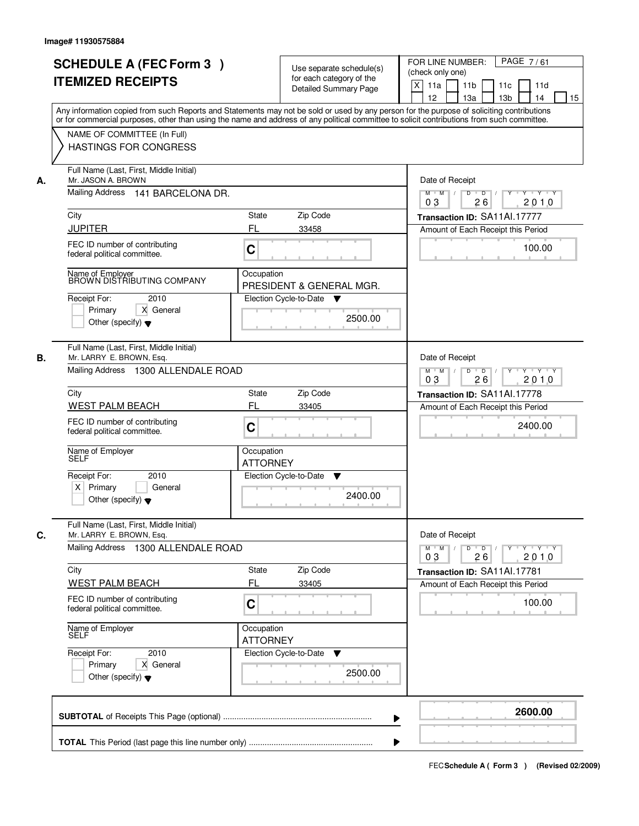|    | <b>SCHEDULE A (FEC Form 3)</b><br><b>ITEMIZED RECEIPTS</b>                                                                                                                                                                                                                              | Use separate schedule(s)<br>for each category of the                                | PAGE 7/61<br>FOR LINE NUMBER:<br>(check only one)                                        |
|----|-----------------------------------------------------------------------------------------------------------------------------------------------------------------------------------------------------------------------------------------------------------------------------------------|-------------------------------------------------------------------------------------|------------------------------------------------------------------------------------------|
|    |                                                                                                                                                                                                                                                                                         | Detailed Summary Page                                                               | X<br>11a<br>11 <sub>b</sub><br>11c<br>11d<br>12<br>13a<br>13 <sub>b</sub><br>14<br>15    |
|    | Any information copied from such Reports and Statements may not be sold or used by any person for the purpose of soliciting contributions<br>or for commercial purposes, other than using the name and address of any political committee to solicit contributions from such committee. |                                                                                     |                                                                                          |
|    | NAME OF COMMITTEE (In Full)<br><b>HASTINGS FOR CONGRESS</b>                                                                                                                                                                                                                             |                                                                                     |                                                                                          |
| А. | Full Name (Last, First, Middle Initial)<br>Mr. JASON A. BROWN                                                                                                                                                                                                                           |                                                                                     | Date of Receipt                                                                          |
|    | Mailing Address<br>141 BARCELONA DR.                                                                                                                                                                                                                                                    |                                                                                     | $Y$ $Y$ $Y$<br>$\Box$ D $\Box$ /<br>Y<br>$M$ $M$ /<br>$\overline{D}$<br>26<br>2010<br>03 |
|    | City                                                                                                                                                                                                                                                                                    | State<br>Zip Code                                                                   | Transaction ID: SA11Al.17777                                                             |
|    | <b>JUPITER</b>                                                                                                                                                                                                                                                                          | FL<br>33458                                                                         | Amount of Each Receipt this Period                                                       |
|    | FEC ID number of contributing<br>federal political committee.                                                                                                                                                                                                                           | C                                                                                   | 100.00                                                                                   |
|    | Name of Employer<br>BROWN DISTRIBUTING COMPANY                                                                                                                                                                                                                                          | Occupation<br>PRESIDENT & GENERAL MGR.                                              |                                                                                          |
|    | Receipt For:<br>2010                                                                                                                                                                                                                                                                    | Election Cycle-to-Date<br><b>V</b>                                                  |                                                                                          |
|    | Primary<br>X General<br>Other (specify) $\blacktriangledown$                                                                                                                                                                                                                            | 2500.00                                                                             |                                                                                          |
| В. | Full Name (Last, First, Middle Initial)<br>Mr. LARRY E. BROWN, Esq.                                                                                                                                                                                                                     |                                                                                     | Date of Receipt                                                                          |
|    | Mailing Address 1300 ALLENDALE ROAD                                                                                                                                                                                                                                                     | $\overline{D}$<br>$\overline{D}$ /<br>Y Y Y Y<br>$M$ $M$ /<br>Y<br>26<br>2010<br>03 |                                                                                          |
|    | City                                                                                                                                                                                                                                                                                    | Zip Code<br>State                                                                   | Transaction ID: SA11Al.17778                                                             |
|    | <b>WEST PALM BEACH</b>                                                                                                                                                                                                                                                                  | FL<br>33405                                                                         | Amount of Each Receipt this Period                                                       |
|    | FEC ID number of contributing<br>federal political committee.                                                                                                                                                                                                                           | C                                                                                   | 2400.00                                                                                  |
|    | Name of Employer<br>SELF                                                                                                                                                                                                                                                                | Occupation<br><b>ATTORNEY</b>                                                       |                                                                                          |
|    | Receipt For:<br>2010                                                                                                                                                                                                                                                                    | Election Cycle-to-Date<br>v                                                         |                                                                                          |
|    | $X$ Primary<br>General<br>Other (specify) $\blacktriangledown$                                                                                                                                                                                                                          | 2400.00                                                                             |                                                                                          |
| C. | Full Name (Last, First, Middle Initial)<br>Mr. LARRY E. BROWN, Esq.                                                                                                                                                                                                                     |                                                                                     | Date of Receipt                                                                          |
|    | Mailing Address 1300 ALLENDALE ROAD                                                                                                                                                                                                                                                     | $M$ $M$<br>$D$ $D$ $/$<br>$Y - Y - Y - Y$<br>$Y$ <sup>U</sup><br>2010<br>03<br>26   |                                                                                          |
|    | City<br><b>WEST PALM BEACH</b>                                                                                                                                                                                                                                                          | Zip Code<br>State<br>FL<br>33405                                                    | Transaction ID: SA11Al.17781<br>Amount of Each Receipt this Period                       |
|    | FEC ID number of contributing<br>federal political committee.                                                                                                                                                                                                                           | C                                                                                   | 100.00                                                                                   |
|    | Name of Employer<br>SELF                                                                                                                                                                                                                                                                | Occupation<br><b>ATTORNEY</b>                                                       |                                                                                          |
|    | Receipt For:<br>2010                                                                                                                                                                                                                                                                    | Election Cycle-to-Date<br>v                                                         |                                                                                          |
|    | Primary<br>X General<br>Other (specify) $\blacktriangledown$                                                                                                                                                                                                                            | 2500.00                                                                             |                                                                                          |
|    |                                                                                                                                                                                                                                                                                         | ▶                                                                                   | 2600.00                                                                                  |
|    |                                                                                                                                                                                                                                                                                         |                                                                                     |                                                                                          |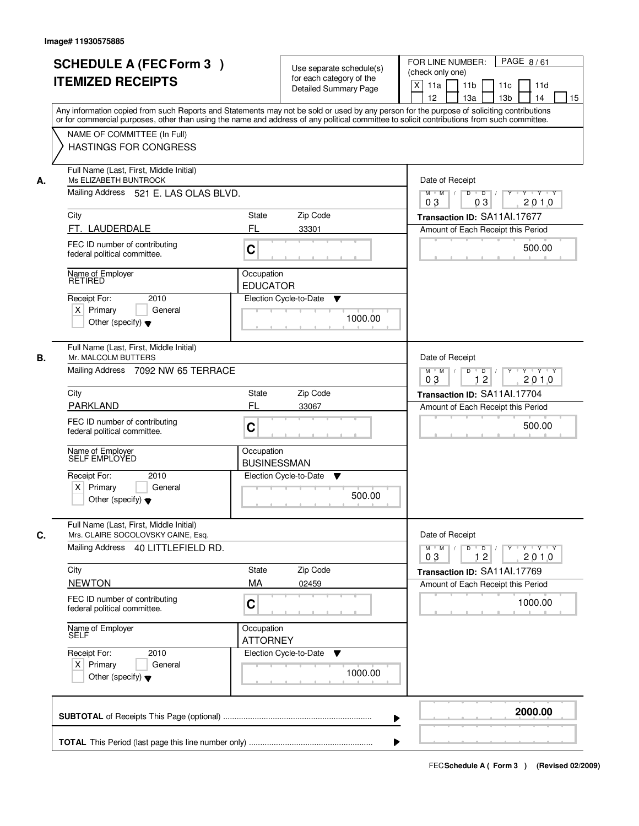| <b>SCHEDULE A (FEC Form 3)</b><br><b>ITEMIZED RECEIPTS</b>                                                      | Use separate schedule(s)<br>for each category of the<br><b>Detailed Summary Page</b><br>Any information copied from such Reports and Statements may not be sold or used by any person for the purpose of soliciting contributions | PAGE 8/61<br>FOR LINE NUMBER:<br>(check only one)<br>X<br>11 <sub>b</sub><br>11a<br>11c<br>11d<br>12<br>13 <sub>b</sub><br>14<br>13a<br>15 |  |  |  |
|-----------------------------------------------------------------------------------------------------------------|-----------------------------------------------------------------------------------------------------------------------------------------------------------------------------------------------------------------------------------|--------------------------------------------------------------------------------------------------------------------------------------------|--|--|--|
| NAME OF COMMITTEE (In Full)<br><b>HASTINGS FOR CONGRESS</b>                                                     | or for commercial purposes, other than using the name and address of any political committee to solicit contributions from such committee.                                                                                        |                                                                                                                                            |  |  |  |
| Full Name (Last, First, Middle Initial)<br>Ms ELIZABETH BUNTROCK<br>А.<br>Mailing Address 521 E. LAS OLAS BLVD. |                                                                                                                                                                                                                                   |                                                                                                                                            |  |  |  |
|                                                                                                                 |                                                                                                                                                                                                                                   |                                                                                                                                            |  |  |  |
| City<br>FT. LAUDERDALE                                                                                          | <b>State</b><br>Zip Code<br>FL<br>33301                                                                                                                                                                                           | Transaction ID: SA11Al.17677                                                                                                               |  |  |  |
| FEC ID number of contributing<br>federal political committee.                                                   | C                                                                                                                                                                                                                                 | Amount of Each Receipt this Period<br>500.00                                                                                               |  |  |  |
| Name of Employer<br><b>RETIRED</b>                                                                              | Occupation<br><b>EDUCATOR</b>                                                                                                                                                                                                     |                                                                                                                                            |  |  |  |
| 2010<br>Receipt For:<br>$X$ Primary<br>General<br>Other (specify) $\blacktriangledown$                          | Election Cycle-to-Date<br>▼<br>1000.00                                                                                                                                                                                            |                                                                                                                                            |  |  |  |
| Full Name (Last, First, Middle Initial)<br>Mr. MALCOLM BUTTERS<br>В.                                            | Mailing Address 7092 NW 65 TERRACE                                                                                                                                                                                                |                                                                                                                                            |  |  |  |
| City                                                                                                            | Zip Code<br><b>State</b>                                                                                                                                                                                                          | 12<br>0 <sub>3</sub><br>2010<br>Transaction ID: SA11Al.17704                                                                               |  |  |  |
| <b>PARKLAND</b>                                                                                                 | FL<br>33067                                                                                                                                                                                                                       | Amount of Each Receipt this Period                                                                                                         |  |  |  |
| FEC ID number of contributing<br>federal political committee.                                                   | C                                                                                                                                                                                                                                 | 500.00                                                                                                                                     |  |  |  |
| Name of Employer<br>SELF EMPLOYED                                                                               | Occupation<br><b>BUSINESSMAN</b>                                                                                                                                                                                                  |                                                                                                                                            |  |  |  |
| Receipt For:<br>2010<br>$X$ Primary<br>General<br>Other (specify) $\blacktriangledown$                          | Election Cycle-to-Date<br>▼<br>500.00                                                                                                                                                                                             |                                                                                                                                            |  |  |  |
| Full Name (Last, First, Middle Initial)<br>C.<br>Mrs. CLAIRE SOCOLOVSKY CAINE, Esq.                             |                                                                                                                                                                                                                                   |                                                                                                                                            |  |  |  |
|                                                                                                                 | Mailing Address 40 LITTLEFIELD RD.                                                                                                                                                                                                |                                                                                                                                            |  |  |  |
| City                                                                                                            | Zip Code<br>State                                                                                                                                                                                                                 | Transaction ID: SA11Al.17769                                                                                                               |  |  |  |
| <b>NEWTON</b>                                                                                                   | MA<br>02459                                                                                                                                                                                                                       | Amount of Each Receipt this Period                                                                                                         |  |  |  |
| FEC ID number of contributing<br>federal political committee.                                                   | C                                                                                                                                                                                                                                 | 1000.00                                                                                                                                    |  |  |  |
| Name of Employer                                                                                                | Occupation<br><b>ATTORNEY</b>                                                                                                                                                                                                     |                                                                                                                                            |  |  |  |
| Receipt For:<br>2010<br>$X$ Primary<br>General<br>Other (specify) $\blacktriangledown$                          | Election Cycle-to-Date<br>$\blacktriangledown$<br>1000.00                                                                                                                                                                         |                                                                                                                                            |  |  |  |
|                                                                                                                 |                                                                                                                                                                                                                                   | 2000.00                                                                                                                                    |  |  |  |
|                                                                                                                 |                                                                                                                                                                                                                                   |                                                                                                                                            |  |  |  |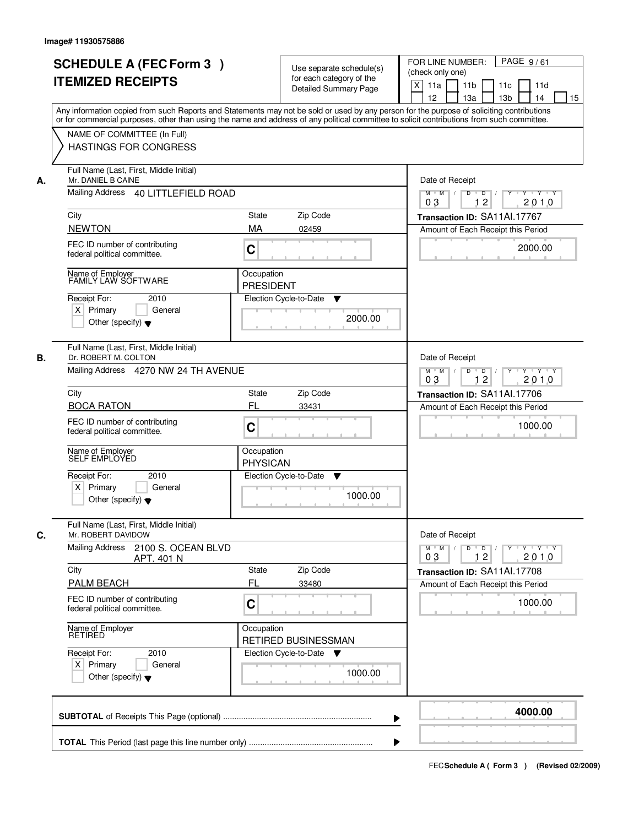|    | <b>SCHEDULE A (FEC Form 3)</b>                                                                                                                                                                                                                                                          |                                                                                         |                                                      | PAGE 9/61<br>FOR LINE NUMBER:                                                                |
|----|-----------------------------------------------------------------------------------------------------------------------------------------------------------------------------------------------------------------------------------------------------------------------------------------|-----------------------------------------------------------------------------------------|------------------------------------------------------|----------------------------------------------------------------------------------------------|
|    | <b>ITEMIZED RECEIPTS</b>                                                                                                                                                                                                                                                                |                                                                                         | Use separate schedule(s)<br>for each category of the | (check only one)                                                                             |
|    |                                                                                                                                                                                                                                                                                         |                                                                                         | <b>Detailed Summary Page</b>                         | $\times$<br>11a<br>11 <sub>b</sub><br>11c<br>11d<br>12<br>13a<br>13 <sub>b</sub><br>14<br>15 |
|    | Any information copied from such Reports and Statements may not be sold or used by any person for the purpose of soliciting contributions<br>or for commercial purposes, other than using the name and address of any political committee to solicit contributions from such committee. |                                                                                         |                                                      |                                                                                              |
|    | NAME OF COMMITTEE (In Full)                                                                                                                                                                                                                                                             |                                                                                         |                                                      |                                                                                              |
|    | <b>HASTINGS FOR CONGRESS</b>                                                                                                                                                                                                                                                            |                                                                                         |                                                      |                                                                                              |
| А. | Full Name (Last, First, Middle Initial)<br>Mr. DANIEL B CAINE                                                                                                                                                                                                                           |                                                                                         |                                                      | Date of Receipt                                                                              |
|    | Mailing Address 40 LITTLEFIELD ROAD                                                                                                                                                                                                                                                     | $\overline{D}$ /<br>Y Y Y Y<br>$M$ $M$ /<br>D<br>Y<br>12<br>2010<br>03                  |                                                      |                                                                                              |
|    | City                                                                                                                                                                                                                                                                                    | <b>State</b>                                                                            | Zip Code                                             | Transaction ID: SA11Al.17767                                                                 |
|    | <b>NEWTON</b>                                                                                                                                                                                                                                                                           | MA                                                                                      | 02459                                                | Amount of Each Receipt this Period                                                           |
|    | FEC ID number of contributing<br>federal political committee.                                                                                                                                                                                                                           | $\mathbf C$                                                                             |                                                      | 2000.00                                                                                      |
|    | Name of Employer<br>FAMILY LAW SOFTWARE                                                                                                                                                                                                                                                 | Occupation<br><b>PRESIDENT</b>                                                          |                                                      |                                                                                              |
|    | Receipt For:<br>2010                                                                                                                                                                                                                                                                    |                                                                                         | Election Cycle-to-Date<br>▼                          |                                                                                              |
|    | $X$ Primary<br>General                                                                                                                                                                                                                                                                  |                                                                                         | 2000.00                                              |                                                                                              |
|    | Other (specify) $\blacktriangledown$                                                                                                                                                                                                                                                    |                                                                                         |                                                      |                                                                                              |
| В. | Full Name (Last, First, Middle Initial)<br>Dr. ROBERT M. COLTON                                                                                                                                                                                                                         | Date of Receipt                                                                         |                                                      |                                                                                              |
|    | Mailing Address 4270 NW 24 TH AVENUE                                                                                                                                                                                                                                                    | $Y - Y - Y$<br>$M$ $M$ /<br>D<br>$\overline{D}$<br>$Y$ <sup>U</sup><br>12<br>2010<br>03 |                                                      |                                                                                              |
|    | City                                                                                                                                                                                                                                                                                    | <b>State</b>                                                                            | Zip Code                                             | Transaction ID: SA11Al.17706                                                                 |
|    | <b>BOCA RATON</b>                                                                                                                                                                                                                                                                       | FL                                                                                      | 33431                                                | Amount of Each Receipt this Period                                                           |
|    | FEC ID number of contributing<br>federal political committee.                                                                                                                                                                                                                           | C                                                                                       |                                                      | 1000.00                                                                                      |
|    | Name of Employer<br>SELF EMPLOYED                                                                                                                                                                                                                                                       | Occupation<br><b>PHYSICAN</b>                                                           |                                                      |                                                                                              |
|    | Receipt For:<br>2010                                                                                                                                                                                                                                                                    |                                                                                         | Election Cycle-to-Date<br>v                          |                                                                                              |
|    | $X$ Primary<br>General<br>Other (specify) $\blacktriangledown$                                                                                                                                                                                                                          |                                                                                         | 1000.00                                              |                                                                                              |
| C. | Full Name (Last, First, Middle Initial)<br>Mr. ROBERT DAVIDOW                                                                                                                                                                                                                           |                                                                                         |                                                      | Date of Receipt                                                                              |
|    | Mailing Address<br>2100 S. OCEAN BLVD<br>APT. 401 N                                                                                                                                                                                                                                     |                                                                                         |                                                      | $M$ $M$ <sup><math>\prime</math></sup><br>$D$ $D$ $I$<br>yuyuyuy<br>2010<br>03<br>12         |
|    | City                                                                                                                                                                                                                                                                                    | State                                                                                   | Zip Code                                             | Transaction ID: SA11Al.17708                                                                 |
|    | <b>PALM BEACH</b>                                                                                                                                                                                                                                                                       | FL                                                                                      | 33480                                                | Amount of Each Receipt this Period                                                           |
|    | FEC ID number of contributing<br>federal political committee.                                                                                                                                                                                                                           | C                                                                                       |                                                      | 1000.00                                                                                      |
|    | Name of Employer<br>RETIRED                                                                                                                                                                                                                                                             | Occupation                                                                              | RETIRED BUSINESSMAN                                  |                                                                                              |
|    | Receipt For:<br>2010                                                                                                                                                                                                                                                                    |                                                                                         | Election Cycle-to-Date ▼                             |                                                                                              |
|    | $X$ Primary<br>General<br>Other (specify) $\blacktriangledown$                                                                                                                                                                                                                          |                                                                                         | 1000.00                                              |                                                                                              |
|    |                                                                                                                                                                                                                                                                                         |                                                                                         |                                                      | 4000.00                                                                                      |
|    |                                                                                                                                                                                                                                                                                         |                                                                                         |                                                      |                                                                                              |
|    |                                                                                                                                                                                                                                                                                         |                                                                                         |                                                      |                                                                                              |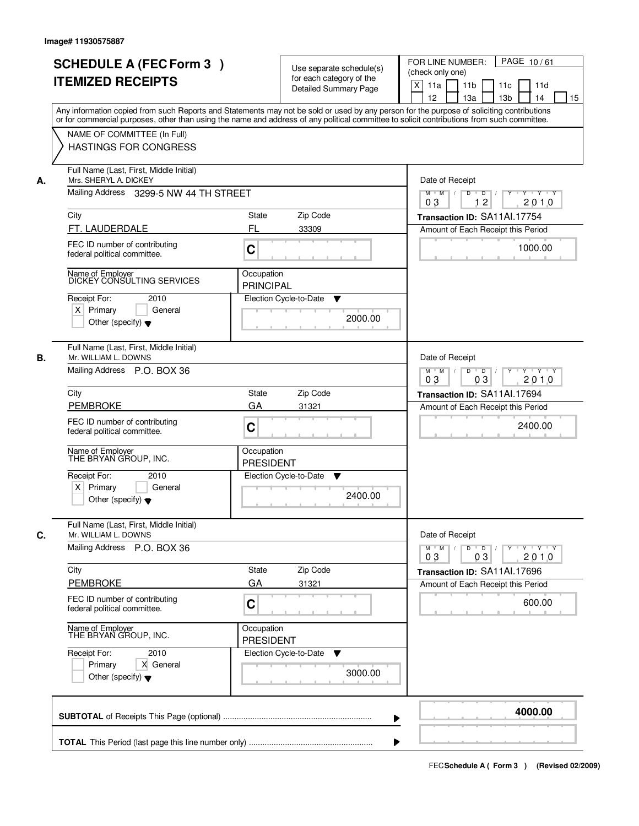|    | <b>SCHEDULE A (FEC Form 3)</b>                                                                                                                                                                                                                                                          |                                                                                                                                              | Use separate schedule(s)     | PAGE 10/61<br>FOR LINE NUMBER:                                     |  |  |  |
|----|-----------------------------------------------------------------------------------------------------------------------------------------------------------------------------------------------------------------------------------------------------------------------------------------|----------------------------------------------------------------------------------------------------------------------------------------------|------------------------------|--------------------------------------------------------------------|--|--|--|
|    | <b>ITEMIZED RECEIPTS</b>                                                                                                                                                                                                                                                                |                                                                                                                                              | for each category of the     | (check only one)                                                   |  |  |  |
|    |                                                                                                                                                                                                                                                                                         |                                                                                                                                              | <b>Detailed Summary Page</b> | $\boldsymbol{\mathsf{X}}$<br>11a<br>11 <sub>b</sub><br>11c<br>11d  |  |  |  |
|    |                                                                                                                                                                                                                                                                                         |                                                                                                                                              |                              | 12<br>13a<br>13 <sub>b</sub><br>14<br>15                           |  |  |  |
|    | Any information copied from such Reports and Statements may not be sold or used by any person for the purpose of soliciting contributions<br>or for commercial purposes, other than using the name and address of any political committee to solicit contributions from such committee. |                                                                                                                                              |                              |                                                                    |  |  |  |
|    | NAME OF COMMITTEE (In Full)                                                                                                                                                                                                                                                             |                                                                                                                                              |                              |                                                                    |  |  |  |
|    | <b>HASTINGS FOR CONGRESS</b>                                                                                                                                                                                                                                                            |                                                                                                                                              |                              |                                                                    |  |  |  |
|    |                                                                                                                                                                                                                                                                                         |                                                                                                                                              |                              |                                                                    |  |  |  |
| А. | Full Name (Last, First, Middle Initial)<br>Mrs. SHERYL A. DICKEY                                                                                                                                                                                                                        |                                                                                                                                              |                              |                                                                    |  |  |  |
|    | Mailing Address 3299-5 NW 44 TH STREET                                                                                                                                                                                                                                                  | Date of Receipt<br>$\blacksquare$ $\blacksquare$ $\blacksquare$ $\blacksquare$ $\blacksquare$<br>Y<br>Y Y Y Y<br>$M$ $M$ /<br>$\overline{D}$ |                              |                                                                    |  |  |  |
|    | City                                                                                                                                                                                                                                                                                    | State                                                                                                                                        | Zip Code                     | 12<br>2010<br>03<br>Transaction ID: SA11Al.17754                   |  |  |  |
|    | FT. LAUDERDALE                                                                                                                                                                                                                                                                          | FL                                                                                                                                           | 33309                        | Amount of Each Receipt this Period                                 |  |  |  |
|    |                                                                                                                                                                                                                                                                                         |                                                                                                                                              |                              |                                                                    |  |  |  |
|    | FEC ID number of contributing<br>federal political committee.                                                                                                                                                                                                                           | C                                                                                                                                            |                              | 1000.00                                                            |  |  |  |
|    | Name of Employer<br>DICKEY CONSULTING SERVICES                                                                                                                                                                                                                                          | Occupation                                                                                                                                   |                              |                                                                    |  |  |  |
|    |                                                                                                                                                                                                                                                                                         | <b>PRINCIPAL</b>                                                                                                                             |                              |                                                                    |  |  |  |
|    | Receipt For:<br>2010                                                                                                                                                                                                                                                                    |                                                                                                                                              | Election Cycle-to-Date<br>▼  |                                                                    |  |  |  |
|    | $X$ Primary<br>General<br>Other (specify) $\blacktriangledown$                                                                                                                                                                                                                          |                                                                                                                                              | 2000.00                      |                                                                    |  |  |  |
|    |                                                                                                                                                                                                                                                                                         |                                                                                                                                              |                              |                                                                    |  |  |  |
| В. | Full Name (Last, First, Middle Initial)<br>Mr. WILLIAM L. DOWNS                                                                                                                                                                                                                         |                                                                                                                                              |                              | Date of Receipt                                                    |  |  |  |
|    | Mailing Address P.O. BOX 36                                                                                                                                                                                                                                                             | $D$ $D$ $/$<br>Y 'Y 'Y<br>$M$ $M$ /<br>$Y$ <sup>U</sup>                                                                                      |                              |                                                                    |  |  |  |
|    |                                                                                                                                                                                                                                                                                         |                                                                                                                                              |                              | 03<br>03<br>2010                                                   |  |  |  |
|    | City                                                                                                                                                                                                                                                                                    | State                                                                                                                                        | Zip Code                     | Transaction ID: SA11Al.17694                                       |  |  |  |
|    | <b>PEMBROKE</b>                                                                                                                                                                                                                                                                         | GA                                                                                                                                           | 31321                        | Amount of Each Receipt this Period                                 |  |  |  |
|    | FEC ID number of contributing<br>federal political committee.                                                                                                                                                                                                                           | C                                                                                                                                            |                              | 2400.00                                                            |  |  |  |
|    | Name of Employer<br>THE BRYAN GROUP, INC.                                                                                                                                                                                                                                               | Occupation                                                                                                                                   |                              |                                                                    |  |  |  |
|    |                                                                                                                                                                                                                                                                                         | <b>PRESIDENT</b>                                                                                                                             |                              |                                                                    |  |  |  |
|    | Receipt For:<br>2010                                                                                                                                                                                                                                                                    |                                                                                                                                              | Election Cycle-to-Date<br>v  |                                                                    |  |  |  |
|    | $X$ Primary<br>General<br>Other (specify) $\blacktriangledown$                                                                                                                                                                                                                          |                                                                                                                                              | 2400.00                      |                                                                    |  |  |  |
|    |                                                                                                                                                                                                                                                                                         |                                                                                                                                              |                              |                                                                    |  |  |  |
| C. | Full Name (Last, First, Middle Initial)<br>Mr. WILLIAM L. DOWNS                                                                                                                                                                                                                         |                                                                                                                                              |                              | Date of Receipt                                                    |  |  |  |
|    | Mailing Address P.O. BOX 36                                                                                                                                                                                                                                                             |                                                                                                                                              |                              | $M$ $M$<br>$D$ $D$ $I$<br>$Y^+$<br>$Y \rightarrow Y \rightarrow Y$ |  |  |  |
|    |                                                                                                                                                                                                                                                                                         |                                                                                                                                              |                              | 2010<br>03<br>03                                                   |  |  |  |
|    | City                                                                                                                                                                                                                                                                                    | State                                                                                                                                        | Zip Code                     | Transaction ID: SA11Al.17696                                       |  |  |  |
|    | PEMBROKE                                                                                                                                                                                                                                                                                | GA                                                                                                                                           | 31321                        | Amount of Each Receipt this Period                                 |  |  |  |
|    | FEC ID number of contributing<br>federal political committee.                                                                                                                                                                                                                           | C                                                                                                                                            |                              | 600.00                                                             |  |  |  |
|    | Name of Employer<br>THE BRYAN GROUP, INC.                                                                                                                                                                                                                                               | Occupation<br><b>PRESIDENT</b>                                                                                                               |                              |                                                                    |  |  |  |
|    | Receipt For:<br>2010                                                                                                                                                                                                                                                                    |                                                                                                                                              | Election Cycle-to-Date<br>v  |                                                                    |  |  |  |
|    | Primary<br>X General                                                                                                                                                                                                                                                                    |                                                                                                                                              |                              |                                                                    |  |  |  |
|    | Other (specify) $\blacktriangledown$                                                                                                                                                                                                                                                    |                                                                                                                                              | 3000.00                      |                                                                    |  |  |  |
|    |                                                                                                                                                                                                                                                                                         |                                                                                                                                              |                              | 4000.00                                                            |  |  |  |
|    |                                                                                                                                                                                                                                                                                         |                                                                                                                                              |                              | ▶                                                                  |  |  |  |
|    |                                                                                                                                                                                                                                                                                         |                                                                                                                                              |                              |                                                                    |  |  |  |
|    |                                                                                                                                                                                                                                                                                         |                                                                                                                                              |                              |                                                                    |  |  |  |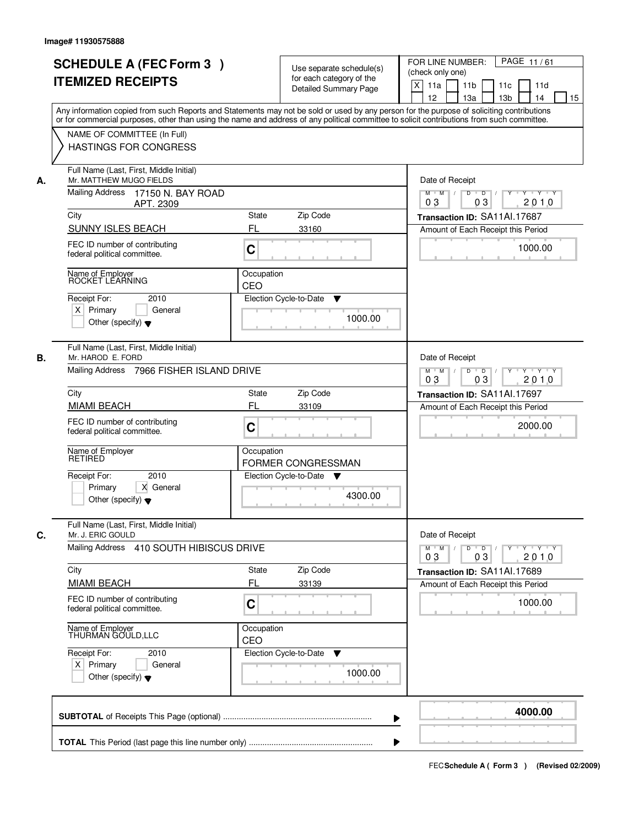|    | <b>SCHEDULE A (FEC Form 3)</b>                                                                                                                                                                                                                                                          |                                                                                               | Use separate schedule(s)                                 | PAGE 11/61<br>FOR LINE NUMBER:<br>(check only one)                   |
|----|-----------------------------------------------------------------------------------------------------------------------------------------------------------------------------------------------------------------------------------------------------------------------------------------|-----------------------------------------------------------------------------------------------|----------------------------------------------------------|----------------------------------------------------------------------|
|    | <b>ITEMIZED RECEIPTS</b>                                                                                                                                                                                                                                                                |                                                                                               | for each category of the<br><b>Detailed Summary Page</b> | $\times$<br>11a<br>11 <sub>b</sub><br>11c<br>11d                     |
|    |                                                                                                                                                                                                                                                                                         |                                                                                               |                                                          | 12<br>13a<br>13 <sub>b</sub><br>14<br>15                             |
|    | Any information copied from such Reports and Statements may not be sold or used by any person for the purpose of soliciting contributions<br>or for commercial purposes, other than using the name and address of any political committee to solicit contributions from such committee. |                                                                                               |                                                          |                                                                      |
|    | NAME OF COMMITTEE (In Full)                                                                                                                                                                                                                                                             |                                                                                               |                                                          |                                                                      |
|    | <b>HASTINGS FOR CONGRESS</b>                                                                                                                                                                                                                                                            |                                                                                               |                                                          |                                                                      |
| А. | Full Name (Last, First, Middle Initial)<br>Mr. MATTHEW MUGO FIELDS                                                                                                                                                                                                                      |                                                                                               |                                                          | Date of Receipt                                                      |
|    | Mailing Address<br>17150 N. BAY ROAD<br>APT. 2309                                                                                                                                                                                                                                       |                                                                                               |                                                          | $\overline{D}$ /<br>Y Y Y Y<br>$M$ $M$<br>D<br>Y<br>03<br>2010<br>03 |
|    | City                                                                                                                                                                                                                                                                                    | <b>State</b>                                                                                  | Zip Code                                                 | Transaction ID: SA11Al.17687                                         |
|    | <b>SUNNY ISLES BEACH</b>                                                                                                                                                                                                                                                                | FL                                                                                            | 33160                                                    | Amount of Each Receipt this Period                                   |
|    | FEC ID number of contributing<br>federal political committee.                                                                                                                                                                                                                           | $\mathbf C$                                                                                   |                                                          | 1000.00                                                              |
|    | Name of Employer<br>ROCKET LEARNING                                                                                                                                                                                                                                                     | Occupation<br>CEO                                                                             |                                                          |                                                                      |
|    | Receipt For:<br>2010                                                                                                                                                                                                                                                                    |                                                                                               | Election Cycle-to-Date<br>▼                              |                                                                      |
|    | $X$ Primary<br>General                                                                                                                                                                                                                                                                  |                                                                                               | 1000.00                                                  |                                                                      |
|    | Other (specify) $\blacktriangledown$                                                                                                                                                                                                                                                    |                                                                                               |                                                          |                                                                      |
| В. | Full Name (Last, First, Middle Initial)<br>Mr. HAROD E. FORD                                                                                                                                                                                                                            |                                                                                               |                                                          | Date of Receipt                                                      |
|    | Mailing Address 7966 FISHER ISLAND DRIVE                                                                                                                                                                                                                                                | $D$ $D$ $I$<br>$Y - Y - Y$<br>$M$ $M$ /<br>$Y$ <sup>U</sup><br>03<br>2010<br>03               |                                                          |                                                                      |
|    | City                                                                                                                                                                                                                                                                                    | <b>State</b>                                                                                  | Zip Code                                                 | Transaction ID: SA11Al.17697                                         |
|    | <b>MIAMI BEACH</b>                                                                                                                                                                                                                                                                      | FL                                                                                            | 33109                                                    | Amount of Each Receipt this Period                                   |
|    | FEC ID number of contributing<br>federal political committee.                                                                                                                                                                                                                           | C                                                                                             |                                                          | 2000.00                                                              |
|    | Name of Employer<br>RETIRED                                                                                                                                                                                                                                                             | Occupation                                                                                    | <b>FORMER CONGRESSMAN</b>                                |                                                                      |
|    | Receipt For:<br>2010                                                                                                                                                                                                                                                                    |                                                                                               | Election Cycle-to-Date ▼                                 |                                                                      |
|    | Primary<br>X General<br>Other (specify) $\blacktriangledown$                                                                                                                                                                                                                            |                                                                                               | 4300.00                                                  |                                                                      |
| C. | Full Name (Last, First, Middle Initial)<br>Mr. J. ERIC GOULD                                                                                                                                                                                                                            |                                                                                               |                                                          | Date of Receipt                                                      |
|    | Mailing Address 410 SOUTH HIBISCUS DRIVE                                                                                                                                                                                                                                                | $M = M$<br>$D$ $D$ $I$<br>$Y - Y - Y$<br>$Y$ <sup><math>\top</math></sup><br>2010<br>03<br>03 |                                                          |                                                                      |
|    | City                                                                                                                                                                                                                                                                                    | State                                                                                         | Zip Code                                                 | Transaction ID: SA11Al.17689                                         |
|    | <b>MIAMI BEACH</b>                                                                                                                                                                                                                                                                      | FL                                                                                            | 33139                                                    | Amount of Each Receipt this Period                                   |
|    | FEC ID number of contributing<br>federal political committee.                                                                                                                                                                                                                           | C                                                                                             |                                                          | 1000.00                                                              |
|    | Name of Employer<br>THURMAN GOULD, LLC                                                                                                                                                                                                                                                  | Occupation<br>CEO                                                                             |                                                          |                                                                      |
|    | Receipt For:<br>2010                                                                                                                                                                                                                                                                    |                                                                                               | Election Cycle-to-Date<br>v                              |                                                                      |
|    | $X$ Primary<br>General<br>Other (specify) $\blacktriangledown$                                                                                                                                                                                                                          |                                                                                               | 1000.00                                                  |                                                                      |
|    |                                                                                                                                                                                                                                                                                         |                                                                                               |                                                          | 4000.00                                                              |
|    |                                                                                                                                                                                                                                                                                         |                                                                                               |                                                          |                                                                      |
|    |                                                                                                                                                                                                                                                                                         |                                                                                               |                                                          |                                                                      |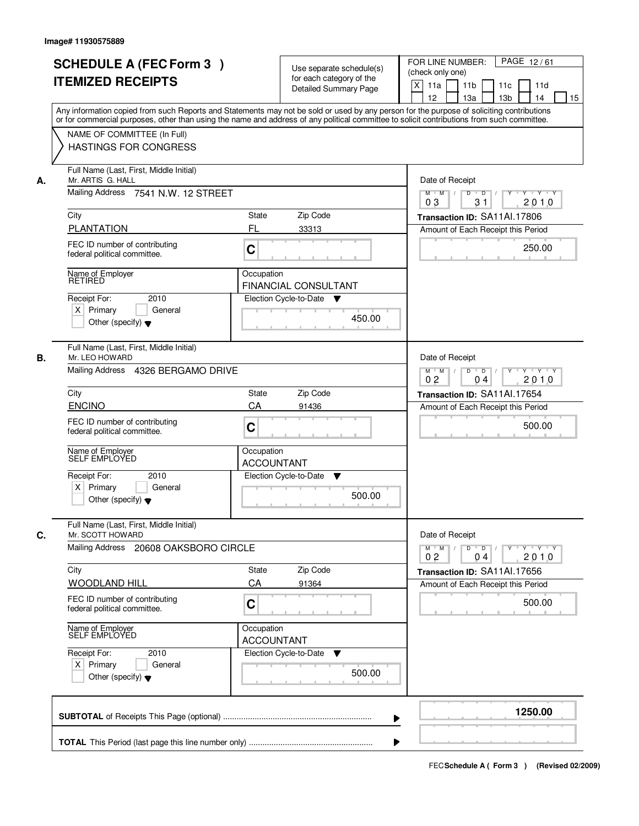|    | <b>SCHEDULE A (FEC Form 3)</b><br><b>ITEMIZED RECEIPTS</b>                                          | Use separate schedule(s)<br>for each category of the<br><b>Detailed Summary Page</b><br>Any information copied from such Reports and Statements may not be sold or used by any person for the purpose of soliciting contributions | PAGE 12/61<br>FOR LINE NUMBER:<br>(check only one)<br>X<br>11 <sub>b</sub><br>11a<br>11c<br>11d<br>12<br>13 <sub>b</sub><br>14<br>13a<br>15 |
|----|-----------------------------------------------------------------------------------------------------|-----------------------------------------------------------------------------------------------------------------------------------------------------------------------------------------------------------------------------------|---------------------------------------------------------------------------------------------------------------------------------------------|
|    | NAME OF COMMITTEE (In Full)<br><b>HASTINGS FOR CONGRESS</b>                                         | or for commercial purposes, other than using the name and address of any political committee to solicit contributions from such committee.                                                                                        |                                                                                                                                             |
| А. | Full Name (Last, First, Middle Initial)<br>Mr. ARTIS G. HALL<br>Mailing Address 7541 N.W. 12 STREET |                                                                                                                                                                                                                                   | Date of Receipt<br>$D$ $D$ $1$<br>$Y$ <sup>U</sup><br>Y 'Y 'Y<br>$M$ $M$ /                                                                  |
|    |                                                                                                     | 31<br>2010<br>03                                                                                                                                                                                                                  |                                                                                                                                             |
|    | City<br><b>PLANTATION</b>                                                                           | <b>State</b><br>Zip Code<br>FL<br>33313                                                                                                                                                                                           | Transaction ID: SA11Al.17806<br>Amount of Each Receipt this Period                                                                          |
|    | FEC ID number of contributing<br>federal political committee.                                       | C                                                                                                                                                                                                                                 | 250.00                                                                                                                                      |
|    | Name of Employer<br><b>RETIRED</b>                                                                  | Occupation<br><b>FINANCIAL CONSULTANT</b>                                                                                                                                                                                         |                                                                                                                                             |
|    | 2010<br>Receipt For:<br>$X$ Primary<br>General<br>Other (specify) $\blacktriangledown$              | Election Cycle-to-Date<br>v<br>450.00                                                                                                                                                                                             |                                                                                                                                             |
| В. | Full Name (Last, First, Middle Initial)<br>Mr. LEO HOWARD<br>Mailing Address 4326 BERGAMO DRIVE     |                                                                                                                                                                                                                                   | Date of Receipt<br>$M$ $M$ /<br>D<br>$\overline{D}$ /<br>$Y \vdash Y \vdash Y$                                                              |
|    |                                                                                                     | 0 <sub>2</sub><br>2010<br>04                                                                                                                                                                                                      |                                                                                                                                             |
|    | City<br><b>ENCINO</b>                                                                               | Zip Code<br><b>State</b><br>CA<br>91436                                                                                                                                                                                           | Transaction ID: SA11Al.17654                                                                                                                |
|    | FEC ID number of contributing<br>federal political committee.                                       | C                                                                                                                                                                                                                                 | Amount of Each Receipt this Period<br>500.00                                                                                                |
|    | Name of Employer<br>SELF EMPLOYED<br>Receipt For:<br>2010                                           | Occupation<br><b>ACCOUNTANT</b><br>Election Cycle-to-Date<br>▼                                                                                                                                                                    |                                                                                                                                             |
|    | $X$ Primary<br>General<br>Other (specify) $\blacktriangledown$                                      | 500.00                                                                                                                                                                                                                            |                                                                                                                                             |
| C. | Full Name (Last, First, Middle Initial)<br>Mr. SCOTT HOWARD                                         |                                                                                                                                                                                                                                   | Date of Receipt                                                                                                                             |
|    | Mailing Address 20608 OAKSBORO CIRCLE                                                               |                                                                                                                                                                                                                                   | $M$ $M$ <sup><math>\prime</math></sup><br>$D$ $D$ $I$<br><u>y cymru y cy</u><br>0 <sub>2</sub><br>2010<br>04                                |
|    | City                                                                                                | Zip Code<br><b>State</b>                                                                                                                                                                                                          | Transaction ID: SA11Al.17656                                                                                                                |
|    | <b>WOODLAND HILL</b>                                                                                | CA<br>91364                                                                                                                                                                                                                       | Amount of Each Receipt this Period                                                                                                          |
|    | FEC ID number of contributing<br>federal political committee.                                       | C                                                                                                                                                                                                                                 | 500.00                                                                                                                                      |
|    | Name of Employer<br>SELF EMPLOYED                                                                   | Occupation<br><b>ACCOUNTANT</b>                                                                                                                                                                                                   |                                                                                                                                             |
|    | Receipt For:<br>2010<br>$X$ Primary<br>General<br>Other (specify) $\blacktriangledown$              | Election Cycle-to-Date<br>$\blacktriangledown$<br>500.00                                                                                                                                                                          |                                                                                                                                             |
|    |                                                                                                     |                                                                                                                                                                                                                                   | 1250.00                                                                                                                                     |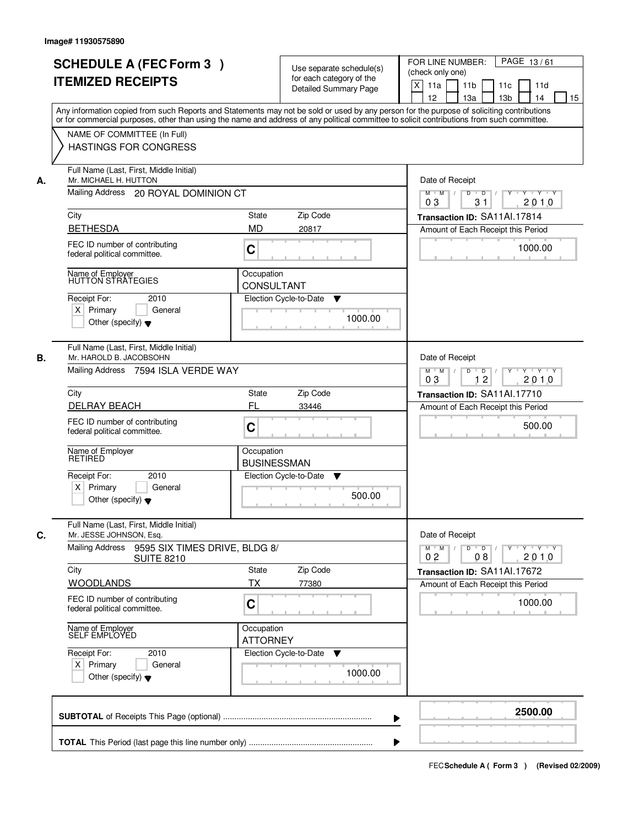| <b>SCHEDULE A (FEC Form 3)</b><br><b>ITEMIZED RECEIPTS</b>               | Use separate schedule(s)<br>for each category of the<br><b>Detailed Summary Page</b>                                                                                                                                                                                                    | FOR LINE NUMBER:<br>PAGE 13/61<br>(check only one)<br>X<br>11a<br>11 <sub>b</sub><br>11c<br>11d |  |  |  |
|--------------------------------------------------------------------------|-----------------------------------------------------------------------------------------------------------------------------------------------------------------------------------------------------------------------------------------------------------------------------------------|-------------------------------------------------------------------------------------------------|--|--|--|
| NAME OF COMMITTEE (In Full)                                              | Any information copied from such Reports and Statements may not be sold or used by any person for the purpose of soliciting contributions<br>or for commercial purposes, other than using the name and address of any political committee to solicit contributions from such committee. | 12<br>13 <sub>b</sub><br>14<br>15<br>13a                                                        |  |  |  |
| <b>HASTINGS FOR CONGRESS</b>                                             |                                                                                                                                                                                                                                                                                         |                                                                                                 |  |  |  |
| Full Name (Last, First, Middle Initial)<br>Mr. MICHAEL H. HUTTON<br>А.   |                                                                                                                                                                                                                                                                                         |                                                                                                 |  |  |  |
|                                                                          | Mailing Address 20 ROYAL DOMINION CT                                                                                                                                                                                                                                                    |                                                                                                 |  |  |  |
| City                                                                     | Zip Code<br><b>State</b>                                                                                                                                                                                                                                                                | Transaction ID: SA11Al.17814                                                                    |  |  |  |
| <b>BETHESDA</b>                                                          | <b>MD</b><br>20817                                                                                                                                                                                                                                                                      | Amount of Each Receipt this Period                                                              |  |  |  |
| FEC ID number of contributing<br>federal political committee.            | C                                                                                                                                                                                                                                                                                       | 1000.00                                                                                         |  |  |  |
| Name of Employer<br>HUTTON STRATEGIES                                    | Occupation<br><b>CONSULTANT</b>                                                                                                                                                                                                                                                         |                                                                                                 |  |  |  |
| Receipt For:<br>2010                                                     | Election Cycle-to-Date<br>▼                                                                                                                                                                                                                                                             |                                                                                                 |  |  |  |
| $X$ Primary<br>General<br>Other (specify) $\blacktriangledown$           | 1000.00                                                                                                                                                                                                                                                                                 |                                                                                                 |  |  |  |
| Full Name (Last, First, Middle Initial)<br>В.<br>Mr. HAROLD B. JACOBSOHN |                                                                                                                                                                                                                                                                                         | Date of Receipt                                                                                 |  |  |  |
| Mailing Address 7594 ISLA VERDE WAY                                      |                                                                                                                                                                                                                                                                                         | D<br>Y Y Y Y<br>$M$ $M$ /<br>$\overline{D}$<br>Y<br>12<br>2010<br>03                            |  |  |  |
| City                                                                     | Zip Code<br>State                                                                                                                                                                                                                                                                       | Transaction ID: SA11Al.17710                                                                    |  |  |  |
| <b>DELRAY BEACH</b>                                                      | FL<br>33446                                                                                                                                                                                                                                                                             | Amount of Each Receipt this Period                                                              |  |  |  |
| FEC ID number of contributing<br>federal political committee.            | C                                                                                                                                                                                                                                                                                       | 500.00                                                                                          |  |  |  |
| Name of Employer<br>RETIRED                                              | Occupation<br><b>BUSINESSMAN</b>                                                                                                                                                                                                                                                        |                                                                                                 |  |  |  |
| Receipt For:<br>2010<br>$X$ Primary<br>General                           | Election Cycle-to-Date<br>v                                                                                                                                                                                                                                                             |                                                                                                 |  |  |  |
| Other (specify) $\blacktriangledown$                                     | 500.00                                                                                                                                                                                                                                                                                  |                                                                                                 |  |  |  |
| Full Name (Last, First, Middle Initial)<br>C.<br>Mr. JESSE JOHNSON, Esq. |                                                                                                                                                                                                                                                                                         | Date of Receipt                                                                                 |  |  |  |
| Mailing Address<br>9595 SIX TIMES DRIVE, BLDG 8/<br><b>SUITE 8210</b>    |                                                                                                                                                                                                                                                                                         | $D$ $D$ $/$<br>$Y - Y - Y - Y$<br>$M$ $M$ /<br>$Y$ <sup>U</sup><br>2010<br>0 <sub>2</sub><br>08 |  |  |  |
| City                                                                     | State<br>Zip Code                                                                                                                                                                                                                                                                       | Transaction ID: SA11Al.17672                                                                    |  |  |  |
| <b>WOODLANDS</b><br>FEC ID number of contributing                        | <b>TX</b><br>77380<br>C                                                                                                                                                                                                                                                                 | Amount of Each Receipt this Period<br>1000.00                                                   |  |  |  |
| federal political committee.                                             |                                                                                                                                                                                                                                                                                         |                                                                                                 |  |  |  |
| Name of Employer<br>SELF EMPLOYED                                        | Occupation<br><b>ATTORNEY</b>                                                                                                                                                                                                                                                           |                                                                                                 |  |  |  |
| Receipt For:<br>2010                                                     | Election Cycle-to-Date<br>v                                                                                                                                                                                                                                                             |                                                                                                 |  |  |  |
| $X$ Primary<br>General<br>Other (specify) $\blacktriangledown$           | 1000.00                                                                                                                                                                                                                                                                                 |                                                                                                 |  |  |  |
|                                                                          | ▶                                                                                                                                                                                                                                                                                       | 2500.00                                                                                         |  |  |  |
|                                                                          |                                                                                                                                                                                                                                                                                         |                                                                                                 |  |  |  |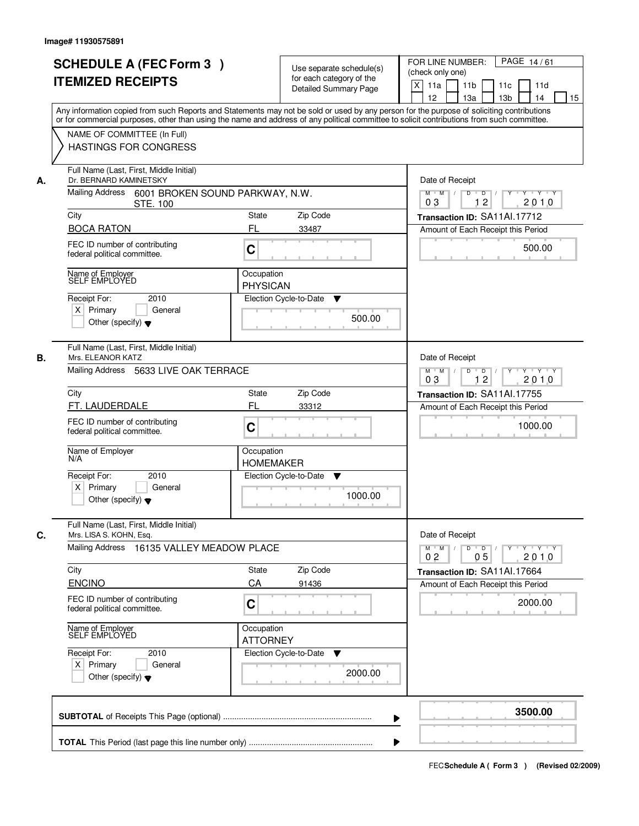|    | <b>SCHEDULE A (FEC Form 3)</b><br><b>ITEMIZED RECEIPTS</b>                             | Use separate schedule(s)<br>for each category of the<br><b>Detailed Summary Page</b>                                                                                                                                                                                                    | PAGE 14/61<br>FOR LINE NUMBER:<br>(check only one)<br>$\boldsymbol{\mathsf{X}}$<br>11 <sub>b</sub><br>11a<br>11c<br>11d<br>12<br>13 <sub>b</sub><br>14<br>13a<br>15                                                                                                                                                                                                                                                                                                                       |
|----|----------------------------------------------------------------------------------------|-----------------------------------------------------------------------------------------------------------------------------------------------------------------------------------------------------------------------------------------------------------------------------------------|-------------------------------------------------------------------------------------------------------------------------------------------------------------------------------------------------------------------------------------------------------------------------------------------------------------------------------------------------------------------------------------------------------------------------------------------------------------------------------------------|
|    |                                                                                        | Any information copied from such Reports and Statements may not be sold or used by any person for the purpose of soliciting contributions<br>or for commercial purposes, other than using the name and address of any political committee to solicit contributions from such committee. |                                                                                                                                                                                                                                                                                                                                                                                                                                                                                           |
|    | NAME OF COMMITTEE (In Full)<br>HASTINGS FOR CONGRESS                                   |                                                                                                                                                                                                                                                                                         |                                                                                                                                                                                                                                                                                                                                                                                                                                                                                           |
| А. | Full Name (Last, First, Middle Initial)<br>Dr. BERNARD KAMINETSKY                      |                                                                                                                                                                                                                                                                                         | Date of Receipt                                                                                                                                                                                                                                                                                                                                                                                                                                                                           |
|    | Mailing Address 6001 BROKEN SOUND PARKWAY, N.W.<br><b>STE. 100</b>                     |                                                                                                                                                                                                                                                                                         | $Y$ $Y$ $Y$<br>$D$ $D$ $/$<br>$\overline{Y}$<br>$M$ $M$ /<br>0 <sub>3</sub><br>12<br>2010                                                                                                                                                                                                                                                                                                                                                                                                 |
|    | City                                                                                   | State<br>Zip Code                                                                                                                                                                                                                                                                       | Transaction ID: SA11Al.17712                                                                                                                                                                                                                                                                                                                                                                                                                                                              |
|    | <b>BOCA RATON</b>                                                                      | FL<br>33487                                                                                                                                                                                                                                                                             | Amount of Each Receipt this Period                                                                                                                                                                                                                                                                                                                                                                                                                                                        |
|    | FEC ID number of contributing<br>federal political committee.                          | C                                                                                                                                                                                                                                                                                       | 500.00                                                                                                                                                                                                                                                                                                                                                                                                                                                                                    |
|    | Name of Employer<br>SELF EMPLOYED                                                      | Occupation<br><b>PHYSICAN</b>                                                                                                                                                                                                                                                           |                                                                                                                                                                                                                                                                                                                                                                                                                                                                                           |
|    | Receipt For:<br>2010                                                                   | Election Cycle-to-Date<br>▼                                                                                                                                                                                                                                                             |                                                                                                                                                                                                                                                                                                                                                                                                                                                                                           |
|    | $X$ Primary<br>General<br>Other (specify) $\blacktriangledown$                         | 500.00                                                                                                                                                                                                                                                                                  |                                                                                                                                                                                                                                                                                                                                                                                                                                                                                           |
| В. | Full Name (Last, First, Middle Initial)<br>Mrs. ELEANOR KATZ                           |                                                                                                                                                                                                                                                                                         | Date of Receipt                                                                                                                                                                                                                                                                                                                                                                                                                                                                           |
|    | Mailing Address 5633 LIVE OAK TERRACE                                                  |                                                                                                                                                                                                                                                                                         | Y Y Y Y<br>$M$ $M$ /<br>D<br>$\overline{D}$ /<br>$Y$ <sup><math>\top</math></sup><br>12<br>03<br>2010                                                                                                                                                                                                                                                                                                                                                                                     |
|    | City                                                                                   | Zip Code<br>State                                                                                                                                                                                                                                                                       | Transaction ID: SA11Al.17755                                                                                                                                                                                                                                                                                                                                                                                                                                                              |
|    | FT. LAUDERDALE                                                                         | FL<br>33312                                                                                                                                                                                                                                                                             | Amount of Each Receipt this Period                                                                                                                                                                                                                                                                                                                                                                                                                                                        |
|    | FEC ID number of contributing<br>federal political committee.                          | C                                                                                                                                                                                                                                                                                       | 1000.00                                                                                                                                                                                                                                                                                                                                                                                                                                                                                   |
|    | Name of Employer<br>N/A                                                                | Occupation<br><b>HOMEMAKER</b>                                                                                                                                                                                                                                                          |                                                                                                                                                                                                                                                                                                                                                                                                                                                                                           |
|    | Receipt For:<br>2010<br>$X$ Primary<br>General<br>Other (specify) $\blacktriangledown$ | Election Cycle-to-Date<br>v<br>1000.00                                                                                                                                                                                                                                                  |                                                                                                                                                                                                                                                                                                                                                                                                                                                                                           |
| C. | Full Name (Last, First, Middle Initial)<br>Mrs. LISA S. KOHN, Esq.                     |                                                                                                                                                                                                                                                                                         | Date of Receipt                                                                                                                                                                                                                                                                                                                                                                                                                                                                           |
|    | Mailing Address 16135 VALLEY MEADOW PLACE                                              |                                                                                                                                                                                                                                                                                         | $M$ $M$<br>$D$ $D$ $I$<br>$\begin{array}{c} \begin{array}{c} \mathsf{p} \mathsf{p} \mathsf{p} \mathsf{p} \mathsf{p} \mathsf{p} \mathsf{p} \mathsf{p} \mathsf{p} \mathsf{p} \mathsf{p} \mathsf{p} \mathsf{p} \mathsf{p} \mathsf{p} \mathsf{p} \mathsf{p} \mathsf{p} \mathsf{p} \mathsf{p} \mathsf{p} \mathsf{p} \mathsf{p} \mathsf{p} \mathsf{p} \mathsf{p} \mathsf{p} \mathsf{p} \mathsf{p} \mathsf{p} \mathsf{p} \mathsf{p} \mathsf{p} \mathsf{p} \math$<br>0 <sub>2</sub><br>05<br>2010 |
|    | City                                                                                   | Zip Code<br>State<br>CA                                                                                                                                                                                                                                                                 | Transaction ID: SA11Al.17664                                                                                                                                                                                                                                                                                                                                                                                                                                                              |
|    | ENCINO<br>FEC ID number of contributing<br>federal political committee.                | 91436<br>C                                                                                                                                                                                                                                                                              | Amount of Each Receipt this Period<br>2000.00                                                                                                                                                                                                                                                                                                                                                                                                                                             |
|    | Name of Employer<br>SELF EMPLOYED                                                      | Occupation                                                                                                                                                                                                                                                                              |                                                                                                                                                                                                                                                                                                                                                                                                                                                                                           |
|    |                                                                                        | <b>ATTORNEY</b>                                                                                                                                                                                                                                                                         |                                                                                                                                                                                                                                                                                                                                                                                                                                                                                           |
|    | Receipt For:<br>2010<br>$X$ Primary<br>General<br>Other (specify) $\blacktriangledown$ | Election Cycle-to-Date<br>v<br>2000.00                                                                                                                                                                                                                                                  |                                                                                                                                                                                                                                                                                                                                                                                                                                                                                           |
|    |                                                                                        |                                                                                                                                                                                                                                                                                         | 3500.00                                                                                                                                                                                                                                                                                                                                                                                                                                                                                   |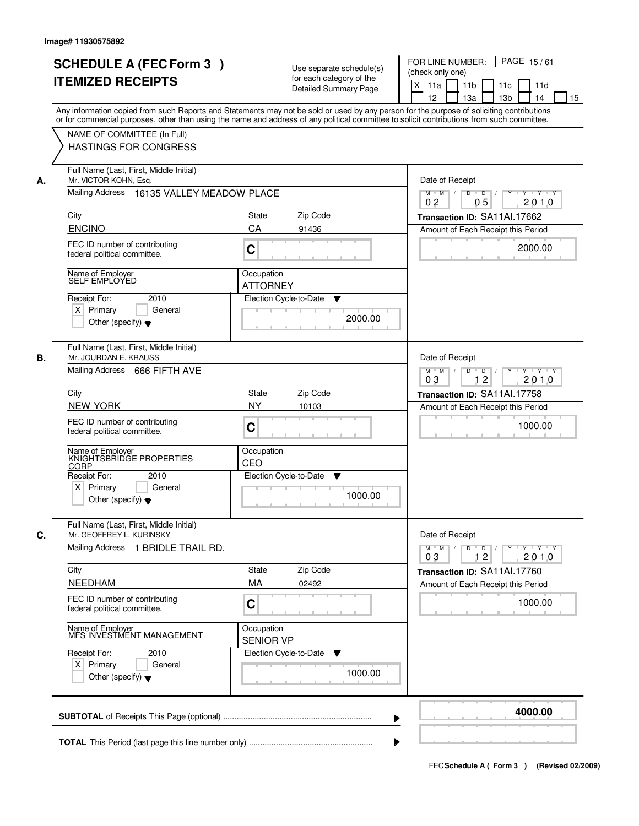|    | <b>SCHEDULE A (FEC Form 3)</b><br><b>ITEMIZED RECEIPTS</b>                                                                                                                                                                                                                              |                                                                    | Use separate schedule(s)<br>for each category of the<br><b>Detailed Summary Page</b> | PAGE 15/61<br>FOR LINE NUMBER:<br>(check only one)<br>$\times$<br>11a<br>11 <sub>b</sub><br>11d<br>11c |  |  |  |
|----|-----------------------------------------------------------------------------------------------------------------------------------------------------------------------------------------------------------------------------------------------------------------------------------------|--------------------------------------------------------------------|--------------------------------------------------------------------------------------|--------------------------------------------------------------------------------------------------------|--|--|--|
|    | Any information copied from such Reports and Statements may not be sold or used by any person for the purpose of soliciting contributions<br>or for commercial purposes, other than using the name and address of any political committee to solicit contributions from such committee. |                                                                    |                                                                                      | 12<br>13a<br>13 <sub>b</sub><br>14<br>15                                                               |  |  |  |
|    | NAME OF COMMITTEE (In Full)<br><b>HASTINGS FOR CONGRESS</b>                                                                                                                                                                                                                             |                                                                    |                                                                                      |                                                                                                        |  |  |  |
| А. | Full Name (Last, First, Middle Initial)<br>Mr. VICTOR KOHN, Esq.                                                                                                                                                                                                                        | Date of Receipt<br>$D$ $D$ $I$<br>Y Y Y Y<br>$M$ $M$ /<br>$Y^+$    |                                                                                      |                                                                                                        |  |  |  |
|    |                                                                                                                                                                                                                                                                                         | Mailing Address 16135 VALLEY MEADOW PLACE                          |                                                                                      |                                                                                                        |  |  |  |
|    | City                                                                                                                                                                                                                                                                                    | State                                                              | Zip Code                                                                             | Transaction ID: SA11Al.17662                                                                           |  |  |  |
|    | <b>ENCINO</b>                                                                                                                                                                                                                                                                           | CA                                                                 | 91436                                                                                | Amount of Each Receipt this Period                                                                     |  |  |  |
|    | FEC ID number of contributing<br>federal political committee.                                                                                                                                                                                                                           | C                                                                  |                                                                                      | 2000.00                                                                                                |  |  |  |
|    | Name of Employer<br>SELF EMPLOYED                                                                                                                                                                                                                                                       | Occupation                                                         |                                                                                      |                                                                                                        |  |  |  |
|    | Receipt For:<br>2010                                                                                                                                                                                                                                                                    | <b>ATTORNEY</b>                                                    | Election Cycle-to-Date<br>▼                                                          |                                                                                                        |  |  |  |
|    | $X$ Primary<br>General                                                                                                                                                                                                                                                                  |                                                                    |                                                                                      |                                                                                                        |  |  |  |
|    | Other (specify) $\blacktriangledown$                                                                                                                                                                                                                                                    |                                                                    | 2000.00                                                                              |                                                                                                        |  |  |  |
| В. | Full Name (Last, First, Middle Initial)<br>Mr. JOURDAN E. KRAUSS                                                                                                                                                                                                                        |                                                                    |                                                                                      | Date of Receipt                                                                                        |  |  |  |
|    | Mailing Address 666 FIFTH AVE                                                                                                                                                                                                                                                           |                                                                    |                                                                                      | D<br>$Y \rightarrow Y \rightarrow Y$<br>$M$ $M$ /<br>$\overline{D}$ /<br>12<br>03<br>2010              |  |  |  |
|    | City                                                                                                                                                                                                                                                                                    | <b>State</b>                                                       | Zip Code                                                                             | Transaction ID: SA11Al.17758                                                                           |  |  |  |
|    | <b>NEW YORK</b>                                                                                                                                                                                                                                                                         | <b>NY</b>                                                          | 10103                                                                                | Amount of Each Receipt this Period                                                                     |  |  |  |
|    | FEC ID number of contributing<br>federal political committee.                                                                                                                                                                                                                           | C                                                                  |                                                                                      | 1000.00                                                                                                |  |  |  |
|    | Name of Employer<br>KNIGHTSBRIDGE PROPERTIES<br>CORP                                                                                                                                                                                                                                    | Occupation<br>CEO                                                  |                                                                                      |                                                                                                        |  |  |  |
|    | Receipt For:<br>2010<br>$X$ Primary<br>General                                                                                                                                                                                                                                          |                                                                    | Election Cycle-to-Date<br>v                                                          |                                                                                                        |  |  |  |
|    | Other (specify) $\blacktriangledown$                                                                                                                                                                                                                                                    |                                                                    | 1000.00                                                                              |                                                                                                        |  |  |  |
| C. | Full Name (Last, First, Middle Initial)<br>Mr. GEOFFREY L. KURINSKY                                                                                                                                                                                                                     |                                                                    |                                                                                      | Date of Receipt                                                                                        |  |  |  |
|    | Mailing Address 1 BRIDLE TRAIL RD.                                                                                                                                                                                                                                                      | $M^+$ M<br>$D$ $D$ $/$<br>$Y - Y - Y - Y$<br>Y<br>2010<br>03<br>12 |                                                                                      |                                                                                                        |  |  |  |
|    | City                                                                                                                                                                                                                                                                                    | State                                                              | Zip Code                                                                             | Transaction ID: SA11Al.17760                                                                           |  |  |  |
|    | <b>NEEDHAM</b>                                                                                                                                                                                                                                                                          | MA                                                                 | 02492                                                                                | Amount of Each Receipt this Period                                                                     |  |  |  |
|    | FEC ID number of contributing<br>federal political committee.                                                                                                                                                                                                                           | C                                                                  |                                                                                      | 1000.00                                                                                                |  |  |  |
|    | Name of Employer<br>MFS INVESTMENT MANAGEMENT                                                                                                                                                                                                                                           | Occupation<br><b>SENIOR VP</b>                                     |                                                                                      |                                                                                                        |  |  |  |
|    | Receipt For:<br>2010                                                                                                                                                                                                                                                                    |                                                                    | Election Cycle-to-Date<br>v                                                          |                                                                                                        |  |  |  |
|    | $X$ Primary<br>General<br>Other (specify) $\blacktriangledown$                                                                                                                                                                                                                          |                                                                    | 1000.00                                                                              |                                                                                                        |  |  |  |
|    |                                                                                                                                                                                                                                                                                         |                                                                    | ▶                                                                                    | 4000.00                                                                                                |  |  |  |
|    |                                                                                                                                                                                                                                                                                         |                                                                    |                                                                                      |                                                                                                        |  |  |  |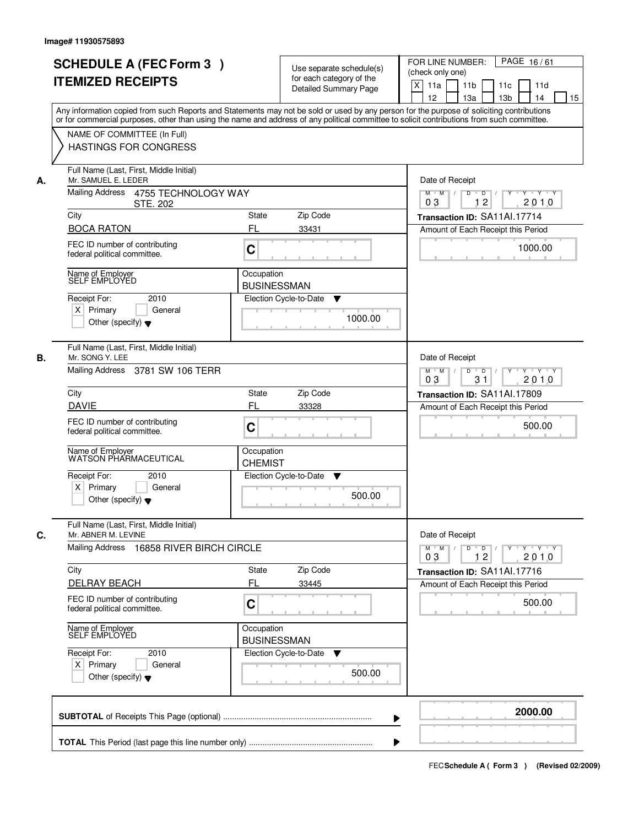|    |                                                                                                                                                                                                                                                                                         |                                                                         |                                                          | PAGE 16/61<br>FOR LINE NUMBER:                                                          |
|----|-----------------------------------------------------------------------------------------------------------------------------------------------------------------------------------------------------------------------------------------------------------------------------------------|-------------------------------------------------------------------------|----------------------------------------------------------|-----------------------------------------------------------------------------------------|
|    | <b>SCHEDULE A (FEC Form 3)</b>                                                                                                                                                                                                                                                          |                                                                         | Use separate schedule(s)                                 | (check only one)                                                                        |
|    | <b>ITEMIZED RECEIPTS</b>                                                                                                                                                                                                                                                                |                                                                         | for each category of the<br><b>Detailed Summary Page</b> | X<br>11a<br>11 <sub>b</sub><br>11c<br>11d                                               |
|    |                                                                                                                                                                                                                                                                                         |                                                                         |                                                          | 12<br>13a<br>13 <sub>b</sub><br>14<br>15                                                |
|    | Any information copied from such Reports and Statements may not be sold or used by any person for the purpose of soliciting contributions<br>or for commercial purposes, other than using the name and address of any political committee to solicit contributions from such committee. |                                                                         |                                                          |                                                                                         |
|    | NAME OF COMMITTEE (In Full)                                                                                                                                                                                                                                                             |                                                                         |                                                          |                                                                                         |
|    | <b>HASTINGS FOR CONGRESS</b>                                                                                                                                                                                                                                                            |                                                                         |                                                          |                                                                                         |
| А. | Full Name (Last, First, Middle Initial)<br>Mr. SAMUEL E. LEDER                                                                                                                                                                                                                          | Date of Receipt                                                         |                                                          |                                                                                         |
|    | Mailing Address 4755 TECHNOLOGY WAY<br><b>STE. 202</b>                                                                                                                                                                                                                                  | $\Box$ D $\Box$ /<br>Y 'Y 'Y<br>$M$ $M$ /<br>D<br>Y<br>12<br>2010<br>03 |                                                          |                                                                                         |
|    | City                                                                                                                                                                                                                                                                                    | <b>State</b>                                                            | Zip Code                                                 | Transaction ID: SA11Al.17714                                                            |
|    | <b>BOCA RATON</b>                                                                                                                                                                                                                                                                       | FL                                                                      | 33431                                                    | Amount of Each Receipt this Period                                                      |
|    | FEC ID number of contributing<br>federal political committee.                                                                                                                                                                                                                           | $\mathbf C$                                                             |                                                          | 1000.00                                                                                 |
|    | Name of Employer<br>SELF EMPLOYED                                                                                                                                                                                                                                                       | Occupation                                                              |                                                          |                                                                                         |
|    |                                                                                                                                                                                                                                                                                         | <b>BUSINESSMAN</b>                                                      |                                                          |                                                                                         |
|    | 2010<br>Receipt For:                                                                                                                                                                                                                                                                    |                                                                         | Election Cycle-to-Date<br>▼                              |                                                                                         |
|    | $X$ Primary<br>General<br>Other (specify) $\blacktriangledown$                                                                                                                                                                                                                          |                                                                         | 1000.00                                                  |                                                                                         |
|    |                                                                                                                                                                                                                                                                                         |                                                                         |                                                          |                                                                                         |
| В. | Full Name (Last, First, Middle Initial)<br>Mr. SONG Y. LEE                                                                                                                                                                                                                              |                                                                         |                                                          | Date of Receipt                                                                         |
|    | Mailing Address 3781 SW 106 TERR                                                                                                                                                                                                                                                        |                                                                         |                                                          | D<br>$Y - Y - Y$<br>$M$ $M$ /<br>$\overline{D}$<br>$Y$ <sup>U</sup><br>03<br>31<br>2010 |
|    | City                                                                                                                                                                                                                                                                                    | <b>State</b>                                                            | Zip Code                                                 | Transaction ID: SA11Al.17809                                                            |
|    | <b>DAVIE</b>                                                                                                                                                                                                                                                                            | FL                                                                      | 33328                                                    | Amount of Each Receipt this Period                                                      |
|    | FEC ID number of contributing<br>federal political committee.                                                                                                                                                                                                                           | C                                                                       |                                                          | 500.00                                                                                  |
|    | Name of Employer<br>WATSON PHARMACEUTICAL                                                                                                                                                                                                                                               | Occupation<br><b>CHEMIST</b>                                            |                                                          |                                                                                         |
|    | Receipt For:<br>2010                                                                                                                                                                                                                                                                    |                                                                         | Election Cycle-to-Date<br>v                              |                                                                                         |
|    | $X$ Primary<br>General<br>Other (specify) $\blacktriangledown$                                                                                                                                                                                                                          |                                                                         | 500.00                                                   |                                                                                         |
| C. | Full Name (Last, First, Middle Initial)<br>Mr. ABNER M. LEVINE                                                                                                                                                                                                                          |                                                                         |                                                          | Date of Receipt                                                                         |
|    | Mailing Address 16858 RIVER BIRCH CIRCLE                                                                                                                                                                                                                                                |                                                                         |                                                          | $M = M$<br>$D$ $D$ $/$<br>yuyuyuy<br>2010<br>03<br>12                                   |
|    | City                                                                                                                                                                                                                                                                                    | State                                                                   | Zip Code                                                 | Transaction ID: SA11Al.17716                                                            |
|    | <b>DELRAY BEACH</b>                                                                                                                                                                                                                                                                     | FL                                                                      | 33445                                                    | Amount of Each Receipt this Period                                                      |
|    | FEC ID number of contributing<br>federal political committee.                                                                                                                                                                                                                           | C                                                                       |                                                          | 500.00                                                                                  |
|    | Name of Employer<br>SELF EMPLOYED                                                                                                                                                                                                                                                       | Occupation<br><b>BUSINESSMAN</b>                                        |                                                          |                                                                                         |
|    | Receipt For:<br>2010                                                                                                                                                                                                                                                                    |                                                                         | Election Cycle-to-Date<br>v                              |                                                                                         |
|    | $X$ Primary<br>General<br>Other (specify) $\blacktriangledown$                                                                                                                                                                                                                          |                                                                         | 500.00                                                   |                                                                                         |
|    |                                                                                                                                                                                                                                                                                         |                                                                         |                                                          | 2000.00                                                                                 |
|    |                                                                                                                                                                                                                                                                                         |                                                                         |                                                          |                                                                                         |
|    |                                                                                                                                                                                                                                                                                         |                                                                         |                                                          |                                                                                         |
|    |                                                                                                                                                                                                                                                                                         |                                                                         |                                                          |                                                                                         |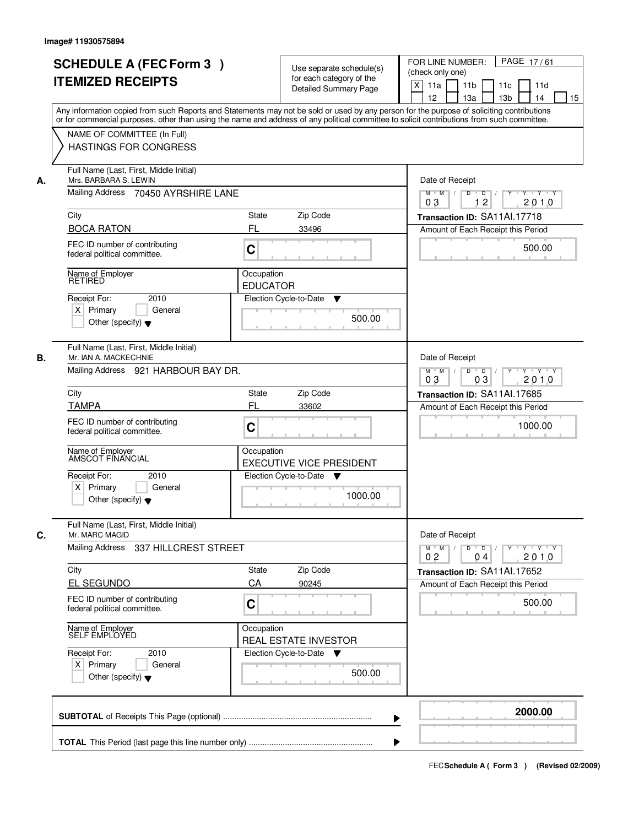|    | <b>SCHEDULE A (FEC Form 3)</b>                                                                                                             |                                                                      |                                                                                      | PAGE 17/61<br>FOR LINE NUMBER:                                                                 |
|----|--------------------------------------------------------------------------------------------------------------------------------------------|----------------------------------------------------------------------|--------------------------------------------------------------------------------------|------------------------------------------------------------------------------------------------|
|    | <b>ITEMIZED RECEIPTS</b>                                                                                                                   |                                                                      | Use separate schedule(s)<br>for each category of the                                 | (check only one)                                                                               |
|    |                                                                                                                                            |                                                                      | <b>Detailed Summary Page</b>                                                         | X<br>11a<br>11 <sub>b</sub><br>11c<br>11d                                                      |
|    | Any information copied from such Reports and Statements may not be sold or used by any person for the purpose of soliciting contributions  |                                                                      |                                                                                      | 12<br>13a<br>13 <sub>b</sub><br>14<br>15                                                       |
|    | or for commercial purposes, other than using the name and address of any political committee to solicit contributions from such committee. |                                                                      |                                                                                      |                                                                                                |
|    | NAME OF COMMITTEE (In Full)                                                                                                                |                                                                      |                                                                                      |                                                                                                |
|    | <b>HASTINGS FOR CONGRESS</b>                                                                                                               |                                                                      |                                                                                      |                                                                                                |
| А. | Full Name (Last, First, Middle Initial)<br>Mrs. BARBARA S. LEWIN                                                                           | Date of Receipt                                                      |                                                                                      |                                                                                                |
|    | Mailing Address 70450 AYRSHIRE LANE                                                                                                        | $\overline{D}$ /<br>Y<br>Y Y Y Y<br>$M$ $M$<br>D<br>12<br>2010<br>03 |                                                                                      |                                                                                                |
|    | City                                                                                                                                       | <b>State</b>                                                         | Zip Code                                                                             | Transaction ID: SA11Al.17718                                                                   |
|    | <b>BOCA RATON</b>                                                                                                                          | FL                                                                   | 33496                                                                                | Amount of Each Receipt this Period                                                             |
|    | FEC ID number of contributing<br>federal political committee.                                                                              | $\mathbf C$                                                          |                                                                                      | 500.00                                                                                         |
|    | Name of Employer                                                                                                                           | Occupation                                                           |                                                                                      |                                                                                                |
|    | <b>RETIRED</b>                                                                                                                             | <b>EDUCATOR</b>                                                      |                                                                                      |                                                                                                |
|    | 2010<br>Receipt For:                                                                                                                       |                                                                      | Election Cycle-to-Date<br>▼                                                          |                                                                                                |
|    | $X$ Primary<br>General                                                                                                                     |                                                                      | 500.00                                                                               |                                                                                                |
|    | Other (specify) $\blacktriangledown$                                                                                                       |                                                                      |                                                                                      |                                                                                                |
| В. | Full Name (Last, First, Middle Initial)<br>Mr. IAN A. MACKECHNIE                                                                           |                                                                      |                                                                                      | Date of Receipt                                                                                |
|    | Mailing Address 921 HARBOUR BAY DR.                                                                                                        |                                                                      |                                                                                      | $D$ $D$ $I$<br>$Y - Y - Y$<br>$M$ $M$ /<br>$Y$ <sup>U</sup><br>03<br>2010<br>03                |
|    | City                                                                                                                                       | <b>State</b>                                                         | Zip Code                                                                             | Transaction ID: SA11Al.17685                                                                   |
|    | <b>TAMPA</b>                                                                                                                               | FL                                                                   | 33602                                                                                | Amount of Each Receipt this Period                                                             |
|    | FEC ID number of contributing                                                                                                              |                                                                      |                                                                                      |                                                                                                |
|    | federal political committee.                                                                                                               | C                                                                    |                                                                                      | 1000.00                                                                                        |
|    | Name of Employer<br>AMSCOT FINANCIAL                                                                                                       | Occupation                                                           |                                                                                      |                                                                                                |
|    | Receipt For:<br>2010                                                                                                                       |                                                                      | <b>EXECUTIVE VICE PRESIDENT</b><br>Election Cycle-to-Date<br>$\overline{\mathbf{v}}$ |                                                                                                |
|    | $X$ Primary<br>General                                                                                                                     |                                                                      |                                                                                      |                                                                                                |
|    | Other (specify) $\blacktriangledown$                                                                                                       |                                                                      | 1000.00                                                                              |                                                                                                |
| C. | Full Name (Last, First, Middle Initial)<br>Mr. MARC MAGID                                                                                  |                                                                      |                                                                                      | Date of Receipt                                                                                |
|    | Mailing Address<br>337 HILLCREST STREET                                                                                                    |                                                                      |                                                                                      | $M = M$<br>$D$ $D$ $I$<br>$Y$ <sup>U</sup><br>$\mathsf{Y} \dashv \mathsf{Y} \dashv \mathsf{Y}$ |
|    |                                                                                                                                            |                                                                      |                                                                                      | 2010<br>0 <sub>2</sub><br>04                                                                   |
|    | City                                                                                                                                       | State                                                                | Zip Code                                                                             | Transaction ID: SA11Al.17652                                                                   |
|    | <b>EL SEGUNDO</b>                                                                                                                          | CA                                                                   | 90245                                                                                | Amount of Each Receipt this Period                                                             |
|    | FEC ID number of contributing<br>federal political committee.                                                                              | C                                                                    |                                                                                      | 500.00                                                                                         |
|    | Name of Employer<br>SELF EMPLOYED                                                                                                          | Occupation                                                           | REAL ESTATE INVESTOR                                                                 |                                                                                                |
|    | Receipt For:<br>2010                                                                                                                       |                                                                      | Election Cycle-to-Date ▼                                                             |                                                                                                |
|    | $X$ Primary<br>General                                                                                                                     |                                                                      | 500.00                                                                               |                                                                                                |
|    | Other (specify) $\blacktriangledown$                                                                                                       |                                                                      |                                                                                      |                                                                                                |
|    |                                                                                                                                            |                                                                      |                                                                                      | 2000.00                                                                                        |
|    |                                                                                                                                            |                                                                      |                                                                                      |                                                                                                |
|    |                                                                                                                                            |                                                                      |                                                                                      |                                                                                                |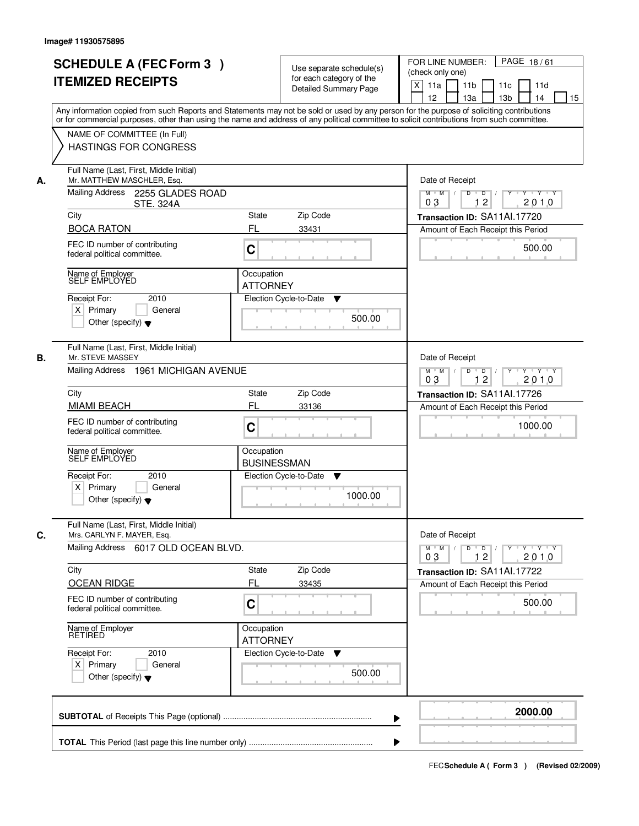| <b>SCHEDULE A (FEC Form 3)</b><br><b>ITEMIZED RECEIPTS</b>                                                      | Use separate schedule(s)<br>for each category of the<br><b>Detailed Summary Page</b><br>Any information copied from such Reports and Statements may not be sold or used by any person for the purpose of soliciting contributions | PAGE 18/61<br>FOR LINE NUMBER:<br>(check only one)<br>X<br>11a<br>11 <sub>b</sub><br>11c<br>11d<br>12<br>13a<br>13 <sub>b</sub><br>14<br>15 |
|-----------------------------------------------------------------------------------------------------------------|-----------------------------------------------------------------------------------------------------------------------------------------------------------------------------------------------------------------------------------|---------------------------------------------------------------------------------------------------------------------------------------------|
| NAME OF COMMITTEE (In Full)<br><b>HASTINGS FOR CONGRESS</b>                                                     | or for commercial purposes, other than using the name and address of any political committee to solicit contributions from such committee.                                                                                        |                                                                                                                                             |
| Full Name (Last, First, Middle Initial)<br>Mr. MATTHEW MASCHLER, Esq.<br>А.<br>Mailing Address 2255 GLADES ROAD |                                                                                                                                                                                                                                   | Date of Receipt<br>$\Box$ D $\Box$ /<br>Y Y Y Y<br>$M$ $M$ /<br>D<br>Y<br>12<br>2010<br>03                                                  |
| <b>STE. 324A</b><br>City                                                                                        | Zip Code<br><b>State</b>                                                                                                                                                                                                          | Transaction ID: SA11Al.17720                                                                                                                |
| <b>BOCA RATON</b>                                                                                               | FL<br>33431                                                                                                                                                                                                                       | Amount of Each Receipt this Period                                                                                                          |
| FEC ID number of contributing<br>federal political committee.                                                   | $\mathbf C$                                                                                                                                                                                                                       | 500.00                                                                                                                                      |
| Name of Employer<br>SELF EMPLOYED                                                                               | Occupation<br><b>ATTORNEY</b>                                                                                                                                                                                                     |                                                                                                                                             |
| 2010<br>Receipt For:<br>$X$ Primary<br>General<br>Other (specify) $\blacktriangledown$                          | Election Cycle-to-Date<br>▼<br>500.00                                                                                                                                                                                             |                                                                                                                                             |
| Full Name (Last, First, Middle Initial)<br>В.<br>Mr. STEVE MASSEY<br>Mailing Address 1961 MICHIGAN AVENUE       |                                                                                                                                                                                                                                   | Date of Receipt<br>D<br>$Y - Y - Y$<br>$M$ $M$ /<br>$\overline{D}$<br>$Y$ <sup>U</sup>                                                      |
|                                                                                                                 |                                                                                                                                                                                                                                   | 12<br>2010<br>03                                                                                                                            |
| City<br><b>MIAMI BEACH</b>                                                                                      | Zip Code<br><b>State</b><br>FL<br>33136                                                                                                                                                                                           | Transaction ID: SA11Al.17726                                                                                                                |
| FEC ID number of contributing<br>federal political committee.                                                   | C                                                                                                                                                                                                                                 | Amount of Each Receipt this Period<br>1000.00                                                                                               |
| Name of Employer<br>SELF EMPLOYED                                                                               | Occupation<br><b>BUSINESSMAN</b>                                                                                                                                                                                                  |                                                                                                                                             |
| Receipt For:<br>2010<br>$X$ Primary<br>General<br>Other (specify) $\blacktriangledown$                          | Election Cycle-to-Date<br>▼<br>1000.00                                                                                                                                                                                            |                                                                                                                                             |
| Full Name (Last, First, Middle Initial)<br>C.<br>Mrs. CARLYN F. MAYER, Esq.                                     |                                                                                                                                                                                                                                   | Date of Receipt                                                                                                                             |
| Mailing Address 6017 OLD OCEAN BLVD.                                                                            |                                                                                                                                                                                                                                   | $M = M$<br>$D$ $D$ $/$<br>yuyuyuy<br>2010<br>03<br>12                                                                                       |
| City<br><b>OCEAN RIDGE</b>                                                                                      | Zip Code<br>State<br>FL<br>33435                                                                                                                                                                                                  | Transaction ID: SA11Al.17722<br>Amount of Each Receipt this Period                                                                          |
| FEC ID number of contributing<br>federal political committee.                                                   | C                                                                                                                                                                                                                                 | 500.00                                                                                                                                      |
| Name of Employer<br>RETIRED                                                                                     | Occupation<br><b>ATTORNEY</b>                                                                                                                                                                                                     |                                                                                                                                             |
| Receipt For:<br>2010<br>$X$ Primary<br>General<br>Other (specify) $\blacktriangledown$                          | Election Cycle-to-Date<br>v<br>500.00                                                                                                                                                                                             |                                                                                                                                             |
|                                                                                                                 |                                                                                                                                                                                                                                   | 2000.00                                                                                                                                     |
|                                                                                                                 |                                                                                                                                                                                                                                   |                                                                                                                                             |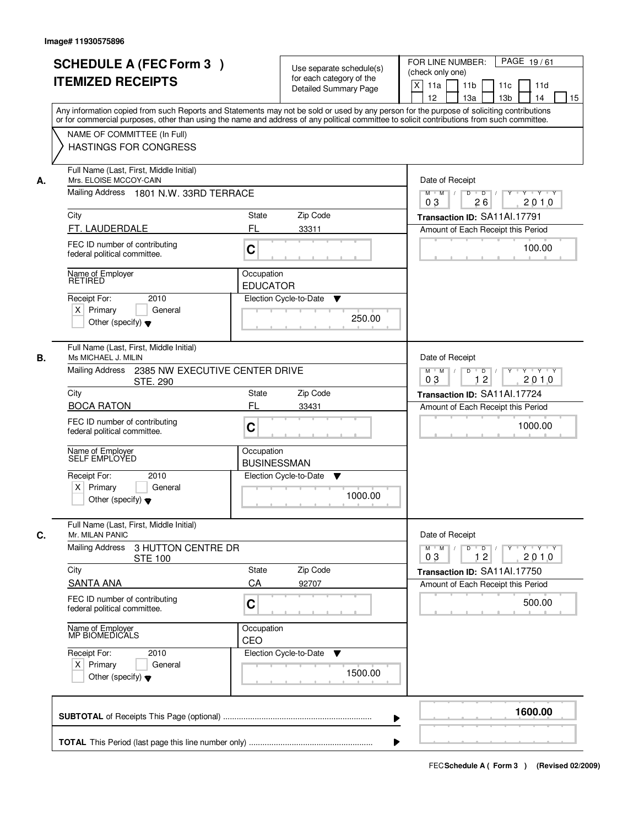|    | <b>SCHEDULE A (FEC Form 3)</b><br><b>ITEMIZED RECEIPTS</b><br>Any information copied from such Reports and Statements may not be sold or used by any person for the purpose of soliciting contributions | Use separate schedule(s)<br>for each category of the<br><b>Detailed Summary Page</b> | PAGE 19/61<br>FOR LINE NUMBER:<br>(check only one)<br>$\boldsymbol{\mathsf{X}}$<br>11 <sub>b</sub><br>11a<br>11c<br>11d<br>12<br>13 <sub>b</sub><br>14<br>13a<br>15 |
|----|---------------------------------------------------------------------------------------------------------------------------------------------------------------------------------------------------------|--------------------------------------------------------------------------------------|---------------------------------------------------------------------------------------------------------------------------------------------------------------------|
|    | or for commercial purposes, other than using the name and address of any political committee to solicit contributions from such committee.<br>NAME OF COMMITTEE (In Full)<br>HASTINGS FOR CONGRESS      |                                                                                      |                                                                                                                                                                     |
| А. | Full Name (Last, First, Middle Initial)<br>Mrs. ELOISE MCCOY-CAIN<br>Mailing Address 1801 N.W. 33RD TERRACE                                                                                             |                                                                                      | Date of Receipt<br>$D$ $D$ $/$<br>$Y^+$<br>Y Y Y Y<br>$M$ $M$ /                                                                                                     |
|    | City                                                                                                                                                                                                    | Zip Code<br>State                                                                    | 0 <sub>3</sub><br>26<br>2010<br>Transaction ID: SA11Al.17791                                                                                                        |
|    | FT. LAUDERDALE                                                                                                                                                                                          | FL<br>33311                                                                          | Amount of Each Receipt this Period                                                                                                                                  |
|    | FEC ID number of contributing<br>federal political committee.                                                                                                                                           | C                                                                                    | 100.00                                                                                                                                                              |
|    | Name of Employer<br><b>RETIRED</b>                                                                                                                                                                      | Occupation                                                                           |                                                                                                                                                                     |
|    | 2010                                                                                                                                                                                                    | <b>EDUCATOR</b><br>Election Cycle-to-Date                                            |                                                                                                                                                                     |
|    | Receipt For:<br>$X$ Primary<br>General<br>Other (specify) $\blacktriangledown$                                                                                                                          | ▼<br>250.00                                                                          |                                                                                                                                                                     |
| В. | Full Name (Last, First, Middle Initial)<br>Ms MICHAEL J. MILIN<br>Mailing Address                                                                                                                       |                                                                                      | Date of Receipt                                                                                                                                                     |
|    | 2385 NW EXECUTIVE CENTER DRIVE<br>STE, 290                                                                                                                                                              |                                                                                      | Y Y Y Y<br>$M$ $M$ /<br>D<br>$\overline{D}$ /<br>$Y$ <sup><math>\top</math></sup><br>12<br>03<br>2010                                                               |
|    | City                                                                                                                                                                                                    | State<br>Zip Code                                                                    | Transaction ID: SA11Al.17724                                                                                                                                        |
|    | <b>BOCA RATON</b><br>FEC ID number of contributing<br>federal political committee.                                                                                                                      | <b>FL</b><br>33431<br>C                                                              | Amount of Each Receipt this Period<br>1000.00                                                                                                                       |
|    | Name of Employer<br>SELF EMPLOYED                                                                                                                                                                       | Occupation<br><b>BUSINESSMAN</b>                                                     |                                                                                                                                                                     |
|    | Receipt For:<br>2010<br>$X$ Primary<br>General<br>Other (specify) $\blacktriangledown$                                                                                                                  | Election Cycle-to-Date<br>▼<br>1000.00                                               |                                                                                                                                                                     |
| C. | Full Name (Last, First, Middle Initial)<br>Mr. MILAN PANIC<br><b>Mailing Address</b><br>3 HUTTON CENTRE DR<br><b>STE 100</b>                                                                            |                                                                                      | Date of Receipt<br>$M$ $M$ $M$<br>$D$ $D$ $l$<br><u> Y FY FY FY </u><br>03<br>12<br>2010                                                                            |
|    | City                                                                                                                                                                                                    | Zip Code<br><b>State</b>                                                             | Transaction ID: SA11Al.17750                                                                                                                                        |
|    | <b>SANTA ANA</b><br>FEC ID number of contributing                                                                                                                                                       | CA<br>92707                                                                          | Amount of Each Receipt this Period                                                                                                                                  |
|    | federal political committee.                                                                                                                                                                            | C                                                                                    | 500.00                                                                                                                                                              |
|    | Name of Employer<br>MP BIOMEDICALS                                                                                                                                                                      | Occupation<br>CEO                                                                    |                                                                                                                                                                     |
|    | Receipt For:<br>2010<br>$X$ Primary<br>General<br>Other (specify) $\blacktriangledown$                                                                                                                  | Election Cycle-to-Date<br>v<br>1500.00                                               |                                                                                                                                                                     |
|    |                                                                                                                                                                                                         |                                                                                      | 1600.00                                                                                                                                                             |
|    |                                                                                                                                                                                                         |                                                                                      |                                                                                                                                                                     |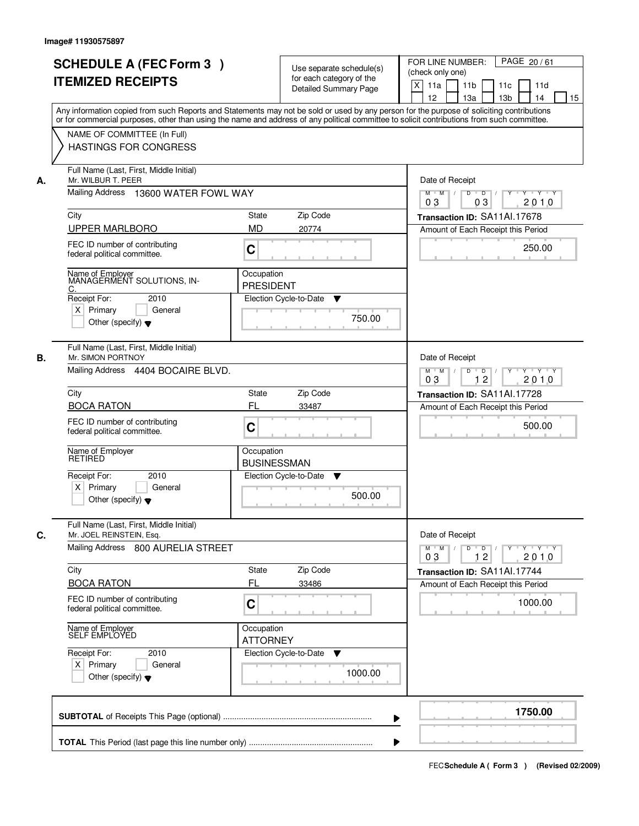|    | <b>SCHEDULE A (FEC Form 3)</b><br><b>ITEMIZED RECEIPTS</b>                                            | Use separate schedule(s)<br>for each category of the<br><b>Detailed Summary Page</b><br>Any information copied from such Reports and Statements may not be sold or used by any person for the purpose of soliciting contributions | PAGE 20/61<br>FOR LINE NUMBER:<br>(check only one)<br>X<br>11 <sub>b</sub><br>11a<br>11 <sub>c</sub><br>11d<br>12<br>13 <sub>b</sub><br>14<br>13a<br>15 |
|----|-------------------------------------------------------------------------------------------------------|-----------------------------------------------------------------------------------------------------------------------------------------------------------------------------------------------------------------------------------|---------------------------------------------------------------------------------------------------------------------------------------------------------|
|    | NAME OF COMMITTEE (In Full)<br>HASTINGS FOR CONGRESS                                                  | or for commercial purposes, other than using the name and address of any political committee to solicit contributions from such committee.                                                                                        |                                                                                                                                                         |
| А. | Full Name (Last, First, Middle Initial)<br>Mr. WILBUR T. PEER<br>Mailing Address 13600 WATER FOWL WAY |                                                                                                                                                                                                                                   | Date of Receipt<br>$D$ $D$ $I$<br>$Y$ <sup>U</sup><br>Y Y Y Y<br>$M$ $M$                                                                                |
|    |                                                                                                       |                                                                                                                                                                                                                                   | 03<br>2010<br>03                                                                                                                                        |
|    | City                                                                                                  | Zip Code<br>State                                                                                                                                                                                                                 | Transaction ID: SA11Al.17678                                                                                                                            |
|    | <b>UPPER MARLBORO</b>                                                                                 | <b>MD</b><br>20774                                                                                                                                                                                                                | Amount of Each Receipt this Period                                                                                                                      |
|    | FEC ID number of contributing<br>federal political committee.                                         | C                                                                                                                                                                                                                                 | 250.00                                                                                                                                                  |
|    | Name of Employer<br>MANAGERMENT SOLUTIONS, IN-<br>C.                                                  | Occupation<br><b>PRESIDENT</b>                                                                                                                                                                                                    |                                                                                                                                                         |
|    | 2010<br>Receipt For:                                                                                  | Election Cycle-to-Date<br>▼                                                                                                                                                                                                       |                                                                                                                                                         |
|    | $X$ Primary<br>General<br>Other (specify) $\blacktriangledown$                                        | 750.00                                                                                                                                                                                                                            |                                                                                                                                                         |
| В. | Full Name (Last, First, Middle Initial)<br>Mr. SIMON PORTNOY                                          |                                                                                                                                                                                                                                   | Date of Receipt                                                                                                                                         |
|    | Mailing Address 4404 BOCAIRE BLVD.                                                                    |                                                                                                                                                                                                                                   | $M$ $M$ /<br>D<br>$\Box$ D $\Box$ /<br>$Y + Y + Y$<br>12<br>2010<br>03                                                                                  |
|    | City                                                                                                  | Zip Code<br><b>State</b>                                                                                                                                                                                                          | Transaction ID: SA11Al.17728                                                                                                                            |
|    | <b>BOCA RATON</b>                                                                                     | FL<br>33487                                                                                                                                                                                                                       | Amount of Each Receipt this Period                                                                                                                      |
|    | FEC ID number of contributing<br>federal political committee.                                         | C                                                                                                                                                                                                                                 | 500.00                                                                                                                                                  |
|    | Name of Employer<br>RETIRED                                                                           | Occupation<br><b>BUSINESSMAN</b>                                                                                                                                                                                                  |                                                                                                                                                         |
|    | 2010<br>Receipt For:                                                                                  | Election Cycle-to-Date<br>▼                                                                                                                                                                                                       |                                                                                                                                                         |
|    | $X$ Primary<br>General<br>Other (specify) $\blacktriangledown$                                        | 500.00                                                                                                                                                                                                                            |                                                                                                                                                         |
| C. | Full Name (Last, First, Middle Initial)<br>Mr. JOEL REINSTEIN, Esq.                                   |                                                                                                                                                                                                                                   | Date of Receipt                                                                                                                                         |
|    | Mailing Address 800 AURELIA STREET                                                                    |                                                                                                                                                                                                                                   | $M = M$<br>$D$ $D$ $I$<br>y y y y y y<br>03<br>12<br>2010                                                                                               |
|    | City                                                                                                  | Zip Code<br><b>State</b>                                                                                                                                                                                                          | Transaction ID: SA11Al.17744                                                                                                                            |
|    | <b>BOCA RATON</b>                                                                                     | FL<br>33486                                                                                                                                                                                                                       | Amount of Each Receipt this Period                                                                                                                      |
|    | FEC ID number of contributing<br>federal political committee.                                         | C                                                                                                                                                                                                                                 | 1000.00                                                                                                                                                 |
|    | Name of Employer<br>SELF EMPLOYED                                                                     | Occupation<br><b>ATTORNEY</b>                                                                                                                                                                                                     |                                                                                                                                                         |
|    | Receipt For:<br>2010                                                                                  | Election Cycle-to-Date<br>v                                                                                                                                                                                                       |                                                                                                                                                         |
|    | $X$ Primary<br>General<br>Other (specify) $\blacktriangledown$                                        | 1000.00                                                                                                                                                                                                                           |                                                                                                                                                         |
|    |                                                                                                       |                                                                                                                                                                                                                                   | 1750.00                                                                                                                                                 |
|    |                                                                                                       |                                                                                                                                                                                                                                   |                                                                                                                                                         |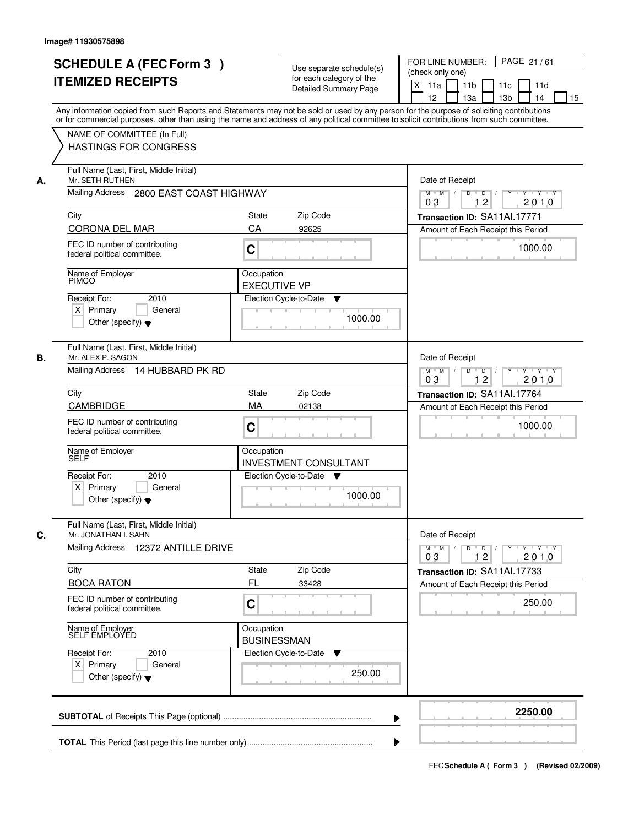|    | <b>SCHEDULE A (FEC Form 3)</b>                                                                                                             |                                  |                                                      | PAGE 21/61<br>FOR LINE NUMBER:                                                        |
|----|--------------------------------------------------------------------------------------------------------------------------------------------|----------------------------------|------------------------------------------------------|---------------------------------------------------------------------------------------|
|    | <b>ITEMIZED RECEIPTS</b>                                                                                                                   |                                  | Use separate schedule(s)<br>for each category of the | (check only one)                                                                      |
|    |                                                                                                                                            |                                  | <b>Detailed Summary Page</b>                         | X<br>11a<br>11 <sub>b</sub><br>11c<br>11d<br>12<br>13a<br>13 <sub>b</sub><br>14<br>15 |
|    | Any information copied from such Reports and Statements may not be sold or used by any person for the purpose of soliciting contributions  |                                  |                                                      |                                                                                       |
|    | or for commercial purposes, other than using the name and address of any political committee to solicit contributions from such committee. |                                  |                                                      |                                                                                       |
|    | NAME OF COMMITTEE (In Full)                                                                                                                |                                  |                                                      |                                                                                       |
|    | <b>HASTINGS FOR CONGRESS</b>                                                                                                               |                                  |                                                      |                                                                                       |
| А. | Full Name (Last, First, Middle Initial)<br>Mr. SETH RUTHEN                                                                                 | Date of Receipt                  |                                                      |                                                                                       |
|    | Mailing Address 2800 EAST COAST HIGHWAY                                                                                                    |                                  |                                                      | $\overline{D}$ /<br>$Y$ <sup>U</sup><br>Y Y Y Y<br>$M$ $M$<br>D<br>12<br>2010<br>03   |
|    | City                                                                                                                                       | State                            | Zip Code                                             | Transaction ID: SA11Al.17771                                                          |
|    | CORONA DEL MAR                                                                                                                             | CA                               | 92625                                                | Amount of Each Receipt this Period                                                    |
|    | FEC ID number of contributing<br>federal political committee.                                                                              | $\mathbf C$                      |                                                      | 1000.00                                                                               |
|    | Name of Employer                                                                                                                           | Occupation                       |                                                      |                                                                                       |
|    | PÍMCO                                                                                                                                      | <b>EXECUTIVE VP</b>              |                                                      |                                                                                       |
|    | 2010<br>Receipt For:                                                                                                                       |                                  | Election Cycle-to-Date<br>▼                          |                                                                                       |
|    | $X$ Primary<br>General                                                                                                                     |                                  | 1000.00                                              |                                                                                       |
|    | Other (specify) $\blacktriangledown$                                                                                                       |                                  |                                                      |                                                                                       |
| В. | Full Name (Last, First, Middle Initial)<br>Mr. ALEX P. SAGON                                                                               |                                  |                                                      | Date of Receipt                                                                       |
|    | Mailing Address 14 HUBBARD PK RD                                                                                                           |                                  |                                                      | $D$ $D$ $/$<br>$Y - Y - Y$<br>$M$ $M$ /<br>$Y$ <sup>U</sup><br>12<br>2010<br>03       |
|    | City                                                                                                                                       | <b>State</b>                     | Zip Code                                             | Transaction ID: SA11Al.17764                                                          |
|    | <b>CAMBRIDGE</b>                                                                                                                           | MA                               | 02138                                                | Amount of Each Receipt this Period                                                    |
|    | FEC ID number of contributing<br>federal political committee.                                                                              | C                                |                                                      | 1000.00                                                                               |
|    | Name of Employer<br>SELF                                                                                                                   | Occupation                       | <b>INVESTMENT CONSULTANT</b>                         |                                                                                       |
|    | Receipt For:<br>2010                                                                                                                       |                                  | Election Cycle-to-Date ▼                             |                                                                                       |
|    | $X$ Primary<br>General<br>Other (specify) $\blacktriangledown$                                                                             |                                  | 1000.00                                              |                                                                                       |
|    | Full Name (Last, First, Middle Initial)                                                                                                    |                                  |                                                      |                                                                                       |
| C. | Mr. JONATHAN I. SAHN                                                                                                                       |                                  |                                                      | Date of Receipt                                                                       |
|    | Mailing Address 12372 ANTILLE DRIVE                                                                                                        |                                  |                                                      | $M = M$<br>$D$ $D$ $l$<br>yuyuyuy<br>2010<br>03<br>12                                 |
|    | City                                                                                                                                       | State                            | Zip Code                                             | Transaction ID: SA11Al.17733                                                          |
|    | <b>BOCA RATON</b>                                                                                                                          | FL                               | 33428                                                | Amount of Each Receipt this Period                                                    |
|    | FEC ID number of contributing<br>federal political committee.                                                                              | C                                |                                                      | 250.00                                                                                |
|    | Name of Employer<br>SELF EMPLOYED                                                                                                          | Occupation<br><b>BUSINESSMAN</b> |                                                      |                                                                                       |
|    | Receipt For:<br>2010                                                                                                                       |                                  | Election Cycle-to-Date<br>v                          |                                                                                       |
|    | $X$ Primary<br>General                                                                                                                     |                                  | 250.00                                               |                                                                                       |
|    | Other (specify) $\blacktriangledown$                                                                                                       |                                  |                                                      |                                                                                       |
|    |                                                                                                                                            |                                  |                                                      | 2250.00                                                                               |
|    |                                                                                                                                            |                                  |                                                      |                                                                                       |
|    |                                                                                                                                            |                                  |                                                      |                                                                                       |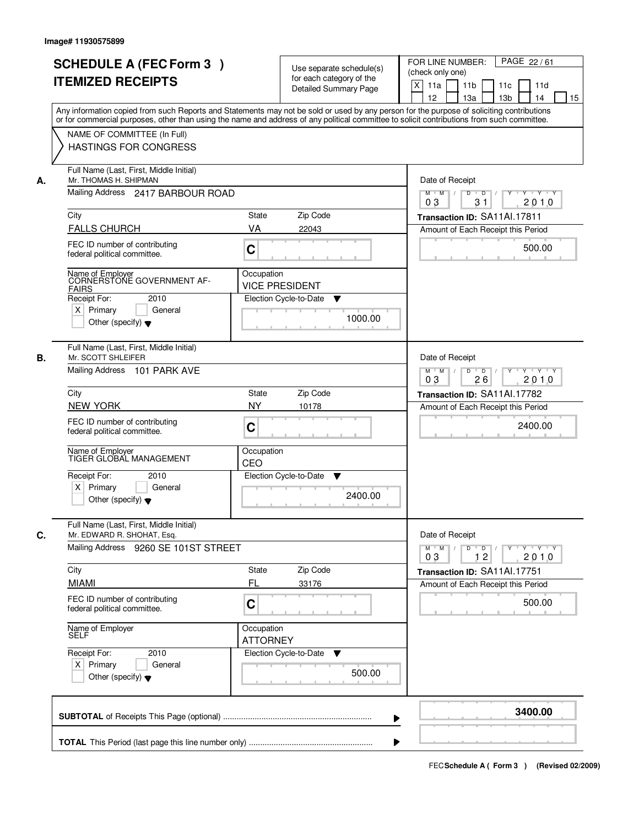| NAME OF COMMITTEE (In Full)<br><b>HASTINGS FOR CONGRESS</b><br>Full Name (Last, First, Middle Initial)<br>Mr. THOMAS H. SHIPMAN<br>Mailing Address 2417 BARBOUR ROAD<br><b>FALLS CHURCH</b><br>FEC ID number of contributing<br>federal political committee.<br>Name of Employer<br>CORNERSTONE GOVERNMENT AF-<br>2010<br>$X$ Primary<br>General<br>Other (specify) $\blacktriangledown$<br>Full Name (Last, First, Middle Initial)<br>Mr. SCOTT SHLEIFER<br>Mailing Address 101 PARK AVE | Zip Code<br>State<br>VA<br>22043<br>C<br>Occupation<br><b>VICE PRESIDENT</b><br>Election Cycle-to-Date<br>▼<br>Zip Code<br><b>State</b> | 1000.00                                                                                                                            | Any information copied from such Reports and Statements may not be sold or used by any person for the purpose of soliciting contributions<br>or for commercial purposes, other than using the name and address of any political committee to solicit contributions from such committee.<br>Date of Receipt<br>$Y \rightarrow Y \rightarrow Y$<br>$M$ $M$ /<br>D<br>$\overline{D}$<br>Y<br>31<br>2010<br>03<br>Transaction ID: SA11Al.17811<br>Amount of Each Receipt this Period<br>500.00<br>Date of Receipt<br>$M$ $M$ /<br>D<br>$\overline{D}$<br>$Y + Y + Y$<br>2010<br>03<br>26 |
|-------------------------------------------------------------------------------------------------------------------------------------------------------------------------------------------------------------------------------------------------------------------------------------------------------------------------------------------------------------------------------------------------------------------------------------------------------------------------------------------|-----------------------------------------------------------------------------------------------------------------------------------------|------------------------------------------------------------------------------------------------------------------------------------|--------------------------------------------------------------------------------------------------------------------------------------------------------------------------------------------------------------------------------------------------------------------------------------------------------------------------------------------------------------------------------------------------------------------------------------------------------------------------------------------------------------------------------------------------------------------------------------|
|                                                                                                                                                                                                                                                                                                                                                                                                                                                                                           |                                                                                                                                         |                                                                                                                                    |                                                                                                                                                                                                                                                                                                                                                                                                                                                                                                                                                                                      |
|                                                                                                                                                                                                                                                                                                                                                                                                                                                                                           |                                                                                                                                         |                                                                                                                                    |                                                                                                                                                                                                                                                                                                                                                                                                                                                                                                                                                                                      |
|                                                                                                                                                                                                                                                                                                                                                                                                                                                                                           |                                                                                                                                         |                                                                                                                                    |                                                                                                                                                                                                                                                                                                                                                                                                                                                                                                                                                                                      |
|                                                                                                                                                                                                                                                                                                                                                                                                                                                                                           |                                                                                                                                         |                                                                                                                                    |                                                                                                                                                                                                                                                                                                                                                                                                                                                                                                                                                                                      |
|                                                                                                                                                                                                                                                                                                                                                                                                                                                                                           |                                                                                                                                         |                                                                                                                                    |                                                                                                                                                                                                                                                                                                                                                                                                                                                                                                                                                                                      |
|                                                                                                                                                                                                                                                                                                                                                                                                                                                                                           |                                                                                                                                         |                                                                                                                                    |                                                                                                                                                                                                                                                                                                                                                                                                                                                                                                                                                                                      |
|                                                                                                                                                                                                                                                                                                                                                                                                                                                                                           |                                                                                                                                         |                                                                                                                                    |                                                                                                                                                                                                                                                                                                                                                                                                                                                                                                                                                                                      |
|                                                                                                                                                                                                                                                                                                                                                                                                                                                                                           |                                                                                                                                         |                                                                                                                                    |                                                                                                                                                                                                                                                                                                                                                                                                                                                                                                                                                                                      |
|                                                                                                                                                                                                                                                                                                                                                                                                                                                                                           |                                                                                                                                         |                                                                                                                                    | Transaction ID: SA11Al.17782                                                                                                                                                                                                                                                                                                                                                                                                                                                                                                                                                         |
| <b>NEW YORK</b>                                                                                                                                                                                                                                                                                                                                                                                                                                                                           | <b>NY</b><br>10178                                                                                                                      |                                                                                                                                    | Amount of Each Receipt this Period                                                                                                                                                                                                                                                                                                                                                                                                                                                                                                                                                   |
| FEC ID number of contributing<br>federal political committee.                                                                                                                                                                                                                                                                                                                                                                                                                             | C                                                                                                                                       |                                                                                                                                    | 2400.00                                                                                                                                                                                                                                                                                                                                                                                                                                                                                                                                                                              |
| Name of Employer<br>TIGER GLOBAL MANAGEMENT                                                                                                                                                                                                                                                                                                                                                                                                                                               | Occupation<br>CEO                                                                                                                       |                                                                                                                                    |                                                                                                                                                                                                                                                                                                                                                                                                                                                                                                                                                                                      |
| 2010<br>$X$ Primary<br>General<br>Other (specify) $\blacktriangledown$                                                                                                                                                                                                                                                                                                                                                                                                                    | Election Cycle-to-Date<br>v                                                                                                             | 2400.00                                                                                                                            |                                                                                                                                                                                                                                                                                                                                                                                                                                                                                                                                                                                      |
| Full Name (Last, First, Middle Initial)<br>Mr. EDWARD R. SHOHAT, Esq.                                                                                                                                                                                                                                                                                                                                                                                                                     |                                                                                                                                         |                                                                                                                                    | Date of Receipt                                                                                                                                                                                                                                                                                                                                                                                                                                                                                                                                                                      |
| Mailing Address 9260 SE 101ST STREET                                                                                                                                                                                                                                                                                                                                                                                                                                                      |                                                                                                                                         | $\mathbf{Y} \dashv \mathbf{Y} \dashv \mathbf{Y}$<br>$D$ $D$ $/$<br>$M$ M<br>$Y$ <sup><math>\top</math></sup><br>2010<br>03<br>$12$ |                                                                                                                                                                                                                                                                                                                                                                                                                                                                                                                                                                                      |
|                                                                                                                                                                                                                                                                                                                                                                                                                                                                                           | Zip Code<br>State<br>FL                                                                                                                 |                                                                                                                                    | Transaction ID: SA11Al.17751                                                                                                                                                                                                                                                                                                                                                                                                                                                                                                                                                         |
| FEC ID number of contributing<br>federal political committee.                                                                                                                                                                                                                                                                                                                                                                                                                             | 33176<br>C                                                                                                                              |                                                                                                                                    | Amount of Each Receipt this Period<br>500.00                                                                                                                                                                                                                                                                                                                                                                                                                                                                                                                                         |
| Name of Employer<br>SELF                                                                                                                                                                                                                                                                                                                                                                                                                                                                  | Occupation<br><b>ATTORNEY</b>                                                                                                           |                                                                                                                                    |                                                                                                                                                                                                                                                                                                                                                                                                                                                                                                                                                                                      |
| 2010<br>$X$ Primary<br>General                                                                                                                                                                                                                                                                                                                                                                                                                                                            | Election Cycle-to-Date                                                                                                                  | 500.00                                                                                                                             |                                                                                                                                                                                                                                                                                                                                                                                                                                                                                                                                                                                      |
|                                                                                                                                                                                                                                                                                                                                                                                                                                                                                           |                                                                                                                                         |                                                                                                                                    | 3400.00                                                                                                                                                                                                                                                                                                                                                                                                                                                                                                                                                                              |
|                                                                                                                                                                                                                                                                                                                                                                                                                                                                                           | Other (specify) $\blacktriangledown$                                                                                                    |                                                                                                                                    | ▼                                                                                                                                                                                                                                                                                                                                                                                                                                                                                                                                                                                    |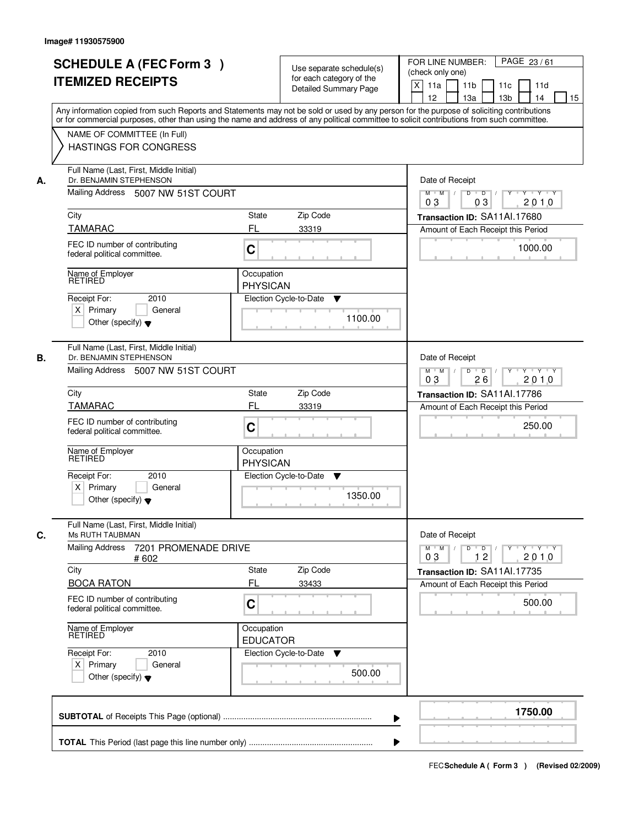| <b>SCHEDULE A (FEC Form 3)</b>                                           |                                                                                                                                            |                                                       |  |  |  |
|--------------------------------------------------------------------------|--------------------------------------------------------------------------------------------------------------------------------------------|-------------------------------------------------------|--|--|--|
|                                                                          | Use separate schedule(s)                                                                                                                   | PAGE 23/61<br>FOR LINE NUMBER:<br>(check only one)    |  |  |  |
| <b>ITEMIZED RECEIPTS</b>                                                 | for each category of the                                                                                                                   | X<br>11a<br>11 <sub>b</sub><br>11c<br>11d             |  |  |  |
|                                                                          | <b>Detailed Summary Page</b>                                                                                                               | 12<br>13a<br>13 <sub>b</sub><br>14<br>15              |  |  |  |
|                                                                          | Any information copied from such Reports and Statements may not be sold or used by any person for the purpose of soliciting contributions  |                                                       |  |  |  |
|                                                                          | or for commercial purposes, other than using the name and address of any political committee to solicit contributions from such committee. |                                                       |  |  |  |
| NAME OF COMMITTEE (In Full)                                              |                                                                                                                                            |                                                       |  |  |  |
| <b>HASTINGS FOR CONGRESS</b>                                             |                                                                                                                                            |                                                       |  |  |  |
| Full Name (Last, First, Middle Initial)<br>Dr. BENJAMIN STEPHENSON<br>А. |                                                                                                                                            | Date of Receipt                                       |  |  |  |
|                                                                          | Mailing Address 5007 NW 51ST COURT                                                                                                         |                                                       |  |  |  |
| City                                                                     | <b>State</b><br>Zip Code                                                                                                                   | Transaction ID: SA11Al.17680                          |  |  |  |
| <b>TAMARAC</b>                                                           | FL<br>33319                                                                                                                                | Amount of Each Receipt this Period                    |  |  |  |
| FEC ID number of contributing<br>federal political committee.            | $\mathbf C$                                                                                                                                | 1000.00                                               |  |  |  |
| Name of Employer                                                         | Occupation                                                                                                                                 |                                                       |  |  |  |
| <b>RETIRED</b>                                                           | <b>PHYSICAN</b>                                                                                                                            |                                                       |  |  |  |
| 2010<br>Receipt For:                                                     | Election Cycle-to-Date<br>▼                                                                                                                |                                                       |  |  |  |
| $X$ Primary<br>General<br>Other (specify) $\blacktriangledown$           | 1100.00                                                                                                                                    |                                                       |  |  |  |
|                                                                          |                                                                                                                                            |                                                       |  |  |  |
| Full Name (Last, First, Middle Initial)                                  |                                                                                                                                            |                                                       |  |  |  |
| В.<br>Dr. BENJAMIN STEPHENSON                                            |                                                                                                                                            | Date of Receipt                                       |  |  |  |
| Mailing Address 5007 NW 51ST COURT                                       | D<br>$Y - Y - Y$<br>$M$ $M$ /<br>$\overline{D}$<br>$Y$ <sup>U</sup><br>26<br>2010<br>03                                                    |                                                       |  |  |  |
| City                                                                     | Zip Code<br><b>State</b>                                                                                                                   | Transaction ID: SA11Al.17786                          |  |  |  |
| <b>TAMARAC</b>                                                           | FL<br>33319                                                                                                                                | Amount of Each Receipt this Period                    |  |  |  |
| FEC ID number of contributing<br>federal political committee.            | C                                                                                                                                          | 250.00                                                |  |  |  |
| Name of Employer<br>RETIRED                                              | Occupation<br><b>PHYSICAN</b>                                                                                                              |                                                       |  |  |  |
| Receipt For:<br>2010                                                     | Election Cycle-to-Date<br>V                                                                                                                |                                                       |  |  |  |
| $X$ Primary<br>General<br>Other (specify) $\blacktriangledown$           | 1350.00                                                                                                                                    |                                                       |  |  |  |
| Full Name (Last, First, Middle Initial)<br>C.<br>Ms RUTH TAUBMAN         |                                                                                                                                            | Date of Receipt                                       |  |  |  |
| <b>Mailing Address</b><br>7201 PROMENADE DRIVE<br># 602                  |                                                                                                                                            | $M = M$<br>$D$ $D$ $/$<br>yuyuyuy<br>2010<br>03<br>12 |  |  |  |
| City                                                                     | Zip Code<br>State                                                                                                                          | Transaction ID: SA11Al.17735                          |  |  |  |
| <b>BOCA RATON</b>                                                        | FL<br>33433                                                                                                                                | Amount of Each Receipt this Period                    |  |  |  |
| FEC ID number of contributing<br>federal political committee.            | C                                                                                                                                          | 500.00                                                |  |  |  |
| Name of Employer<br>RETIRED                                              | Occupation<br><b>EDUCATOR</b>                                                                                                              |                                                       |  |  |  |
| Receipt For:<br>2010                                                     | Election Cycle-to-Date<br>v                                                                                                                |                                                       |  |  |  |
|                                                                          | 500.00                                                                                                                                     |                                                       |  |  |  |
| $X$ Primary<br>General                                                   |                                                                                                                                            |                                                       |  |  |  |
| Other (specify) $\blacktriangledown$                                     |                                                                                                                                            |                                                       |  |  |  |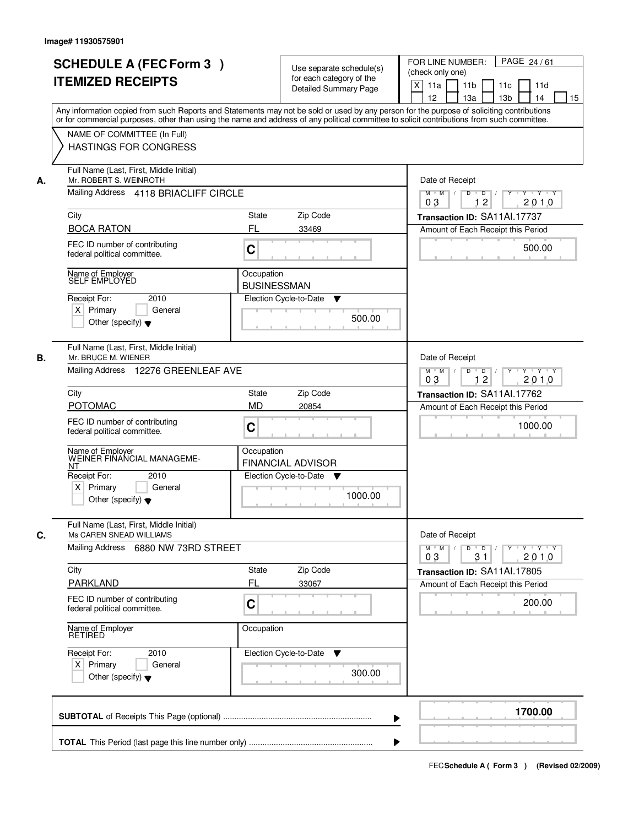|    | <b>SCHEDULE A (FEC Form 3)</b><br><b>ITEMIZED RECEIPTS</b><br>Any information copied from such Reports and Statements may not be sold or used by any person for the purpose of soliciting contributions   | Use separate schedule(s)<br>for each category of the<br><b>Detailed Summary Page</b>                     | PAGE 24/61<br>FOR LINE NUMBER:<br>(check only one)<br>$\boldsymbol{\mathsf{X}}$<br>11 <sub>b</sub><br>11a<br>11 <sub>c</sub><br>11d<br>12<br>13 <sub>b</sub><br>14<br>13a<br>15 |
|----|-----------------------------------------------------------------------------------------------------------------------------------------------------------------------------------------------------------|----------------------------------------------------------------------------------------------------------|---------------------------------------------------------------------------------------------------------------------------------------------------------------------------------|
|    | or for commercial purposes, other than using the name and address of any political committee to solicit contributions from such committee.<br>NAME OF COMMITTEE (In Full)<br><b>HASTINGS FOR CONGRESS</b> |                                                                                                          |                                                                                                                                                                                 |
| А. | Full Name (Last, First, Middle Initial)<br>Mr. ROBERT S. WEINROTH<br>Mailing Address 4118 BRIACLIFF CIRCLE                                                                                                | Date of Receipt<br>$D$ $D$ $/$<br>$\overline{Y}$<br>Y Y Y Y<br>$M$ $M$ /<br>0 <sub>3</sub><br>12<br>2010 |                                                                                                                                                                                 |
|    | City                                                                                                                                                                                                      | <b>State</b><br>Zip Code                                                                                 | Transaction ID: SA11Al.17737                                                                                                                                                    |
|    | <b>BOCA RATON</b>                                                                                                                                                                                         | FL<br>33469                                                                                              | Amount of Each Receipt this Period                                                                                                                                              |
|    | FEC ID number of contributing<br>federal political committee.                                                                                                                                             | C                                                                                                        | 500.00                                                                                                                                                                          |
|    | Name of Employer<br>SELF EMPLOYED                                                                                                                                                                         | Occupation                                                                                               |                                                                                                                                                                                 |
|    | Receipt For:<br>2010                                                                                                                                                                                      | <b>BUSINESSMAN</b><br>Election Cycle-to-Date                                                             |                                                                                                                                                                                 |
|    | $X$ Primary<br>General<br>Other (specify) $\blacktriangledown$                                                                                                                                            | ▼<br>500.00                                                                                              |                                                                                                                                                                                 |
| В. | Full Name (Last, First, Middle Initial)<br>Mr. BRUCE M. WIENER<br>Mailing Address 12276 GREENLEAF AVE                                                                                                     |                                                                                                          | Date of Receipt<br>Y Y Y Y<br>$M$ $M$ /<br>D<br>$\overline{D}$ /<br>$Y$ <sup><math>\top</math></sup>                                                                            |
|    |                                                                                                                                                                                                           |                                                                                                          | 12<br>03<br>2010                                                                                                                                                                |
|    | City                                                                                                                                                                                                      | Zip Code<br>State                                                                                        | Transaction ID: SA11Al.17762                                                                                                                                                    |
|    | <b>POTOMAC</b><br>FEC ID number of contributing<br>federal political committee.                                                                                                                           | <b>MD</b><br>20854<br>C                                                                                  | Amount of Each Receipt this Period<br>1000.00                                                                                                                                   |
|    | Name of Employer<br>WEINER FINANCIAL MANAGEME-<br>ΝT                                                                                                                                                      | Occupation<br><b>FINANCIAL ADVISOR</b>                                                                   |                                                                                                                                                                                 |
|    | Receipt For:<br>2010<br>$X$ Primary<br>General<br>Other (specify) $\blacktriangledown$                                                                                                                    | Election Cycle-to-Date<br>v<br>1000.00                                                                   |                                                                                                                                                                                 |
| C. | Full Name (Last, First, Middle Initial)<br>Ms CAREN SNEAD WILLIAMS<br>Mailing Address 6880 NW 73RD STREET                                                                                                 |                                                                                                          | Date of Receipt<br>$M$ $M$<br>$D$ $D$ $l$<br><u> Y FY FY FY </u><br>2010<br>03<br>31                                                                                            |
|    | City                                                                                                                                                                                                      | Zip Code<br>State                                                                                        | Transaction ID: SA11Al.17805                                                                                                                                                    |
|    | PARKLAND<br>FEC ID number of contributing                                                                                                                                                                 | FL<br>33067                                                                                              | Amount of Each Receipt this Period                                                                                                                                              |
|    | federal political committee.                                                                                                                                                                              | C                                                                                                        | 200.00                                                                                                                                                                          |
|    | Name of Employer<br>RETIRED                                                                                                                                                                               | Occupation                                                                                               |                                                                                                                                                                                 |
|    | Receipt For:<br>2010<br>$X$ Primary<br>General<br>Other (specify) $\blacktriangledown$                                                                                                                    | Election Cycle-to-Date ▼<br>300.00                                                                       |                                                                                                                                                                                 |
|    |                                                                                                                                                                                                           |                                                                                                          | 1700.00                                                                                                                                                                         |
|    |                                                                                                                                                                                                           |                                                                                                          |                                                                                                                                                                                 |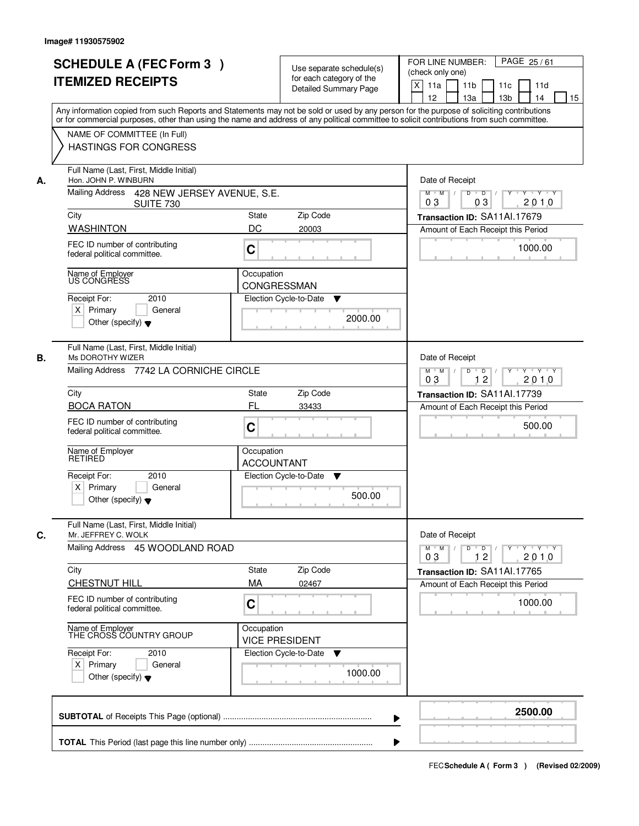|    | <b>SCHEDULE A (FEC Form 3)</b><br><b>ITEMIZED RECEIPTS</b><br>Any information copied from such Reports and Statements may not be sold or used by any person for the purpose of soliciting contributions   | Use separate schedule(s)<br>for each category of the<br><b>Detailed Summary Page</b> | PAGE 25/61<br>FOR LINE NUMBER:<br>(check only one)<br>X<br>11a<br>11 <sub>b</sub><br>11c<br>11d<br>12<br>13a<br>13 <sub>b</sub><br>14<br>15 |
|----|-----------------------------------------------------------------------------------------------------------------------------------------------------------------------------------------------------------|--------------------------------------------------------------------------------------|---------------------------------------------------------------------------------------------------------------------------------------------|
|    | or for commercial purposes, other than using the name and address of any political committee to solicit contributions from such committee.<br>NAME OF COMMITTEE (In Full)<br><b>HASTINGS FOR CONGRESS</b> |                                                                                      |                                                                                                                                             |
| А. | Full Name (Last, First, Middle Initial)<br>Hon. JOHN P. WINBURN<br>Mailing Address 428 NEW JERSEY AVENUE, S.E.                                                                                            |                                                                                      | Date of Receipt<br>$\overline{D}$ /<br>$Y \rightarrow Y \rightarrow Y$<br>$M$ $M$<br>D<br>Y                                                 |
|    | <b>SUITE 730</b><br>City                                                                                                                                                                                  | Zip Code<br><b>State</b>                                                             | 03<br>2010<br>03<br>Transaction ID: SA11Al.17679                                                                                            |
|    | <b>WASHINTON</b>                                                                                                                                                                                          | DC<br>20003                                                                          | Amount of Each Receipt this Period                                                                                                          |
|    | FEC ID number of contributing<br>federal political committee.                                                                                                                                             | $\mathbf C$                                                                          | 1000.00                                                                                                                                     |
|    | Name of Employer<br>US CONGRESS                                                                                                                                                                           | Occupation                                                                           |                                                                                                                                             |
|    | 2010<br>Receipt For:                                                                                                                                                                                      | CONGRESSMAN<br>Election Cycle-to-Date<br>▼                                           |                                                                                                                                             |
|    | $X$ Primary<br>General<br>Other (specify) $\blacktriangledown$                                                                                                                                            | 2000.00                                                                              |                                                                                                                                             |
| В. | Full Name (Last, First, Middle Initial)<br>Ms DOROTHY WIZER                                                                                                                                               |                                                                                      | Date of Receipt                                                                                                                             |
|    | Mailing Address 7742 LA CORNICHE CIRCLE                                                                                                                                                                   |                                                                                      | D<br>$Y - Y - Y$<br>$M$ $M$ /<br>$\overline{D}$<br>$Y$ <sup>U</sup><br>12<br>2010<br>03                                                     |
|    | City                                                                                                                                                                                                      | Zip Code<br><b>State</b>                                                             | Transaction ID: SA11Al.17739                                                                                                                |
|    | <b>BOCA RATON</b>                                                                                                                                                                                         | FL<br>33433                                                                          | Amount of Each Receipt this Period                                                                                                          |
|    | FEC ID number of contributing<br>federal political committee.                                                                                                                                             | C                                                                                    | 500.00                                                                                                                                      |
|    | Name of Employer<br>RETIRED                                                                                                                                                                               | Occupation<br><b>ACCOUNTANT</b>                                                      |                                                                                                                                             |
|    | Receipt For:<br>2010                                                                                                                                                                                      | Election Cycle-to-Date<br>▼                                                          |                                                                                                                                             |
|    | $X$ Primary<br>General<br>Other (specify) $\blacktriangledown$                                                                                                                                            | 500.00                                                                               |                                                                                                                                             |
| C. | Full Name (Last, First, Middle Initial)<br>Mr. JEFFREY C. WOLK                                                                                                                                            |                                                                                      | Date of Receipt                                                                                                                             |
|    | Mailing Address 45 WOODLAND ROAD                                                                                                                                                                          |                                                                                      | $M = M$<br>$D$ $D$ $l$<br>yuyuyuy<br>2010<br>03<br>12                                                                                       |
|    | City                                                                                                                                                                                                      | Zip Code<br>State                                                                    | Transaction ID: SA11Al.17765                                                                                                                |
|    | CHESTNUT HILL                                                                                                                                                                                             | MA<br>02467                                                                          | Amount of Each Receipt this Period                                                                                                          |
|    | FEC ID number of contributing<br>federal political committee.                                                                                                                                             | C                                                                                    | 1000.00                                                                                                                                     |
|    | Name of Employer<br>THE CROSS COUNTRY GROUP                                                                                                                                                               | Occupation<br><b>VICE PRESIDENT</b>                                                  |                                                                                                                                             |
|    | Receipt For:<br>2010<br>$X$ Primary<br>General                                                                                                                                                            | Election Cycle-to-Date<br>v                                                          |                                                                                                                                             |
|    | Other (specify) $\blacktriangledown$                                                                                                                                                                      | 1000.00                                                                              |                                                                                                                                             |
|    |                                                                                                                                                                                                           |                                                                                      | 2500.00                                                                                                                                     |
|    |                                                                                                                                                                                                           |                                                                                      |                                                                                                                                             |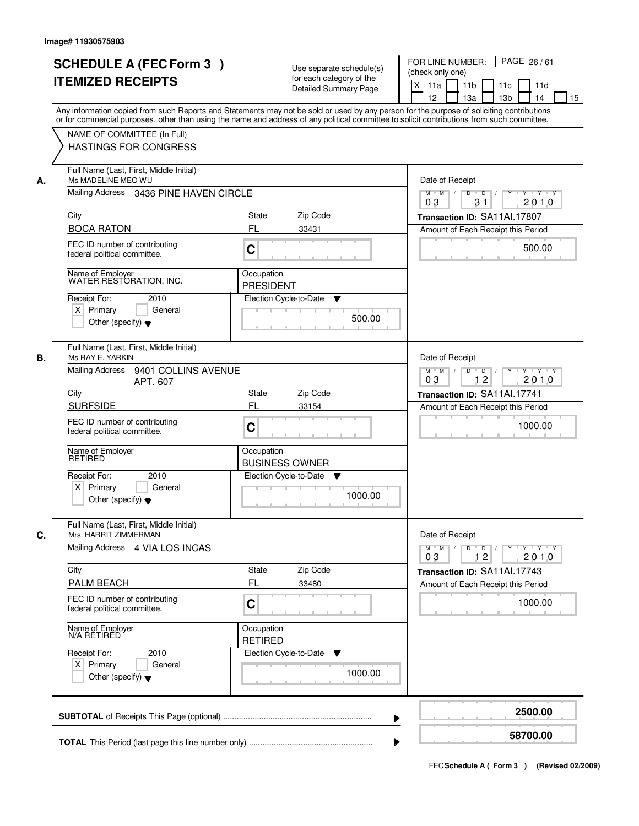| <b>SCHEDULE A (FEC Form 3)</b><br><b>ITEMIZED RECEIPTS</b>                                                         |                                                                                                                                                                                                                                                                                         |                                                          | Use separate schedule(s)<br>for each category of the<br><b>Detailed Summary Page</b> | FOR LINE NUMBER:<br>(check only one)<br>X<br>11a<br>12 | 11 <sub>b</sub><br>13a | 11c<br>13 <sub>b</sub>                                  | PAGE 26/61<br>11d<br>14                                                                                           | 15 |
|--------------------------------------------------------------------------------------------------------------------|-----------------------------------------------------------------------------------------------------------------------------------------------------------------------------------------------------------------------------------------------------------------------------------------|----------------------------------------------------------|--------------------------------------------------------------------------------------|--------------------------------------------------------|------------------------|---------------------------------------------------------|-------------------------------------------------------------------------------------------------------------------|----|
| NAME OF COMMITTEE (In Full)<br><b>HASTINGS FOR CONGRESS</b>                                                        | Any information copied from such Reports and Statements may not be sold or used by any person for the purpose of soliciting contributions<br>or for commercial purposes, other than using the name and address of any political committee to solicit contributions from such committee. |                                                          |                                                                                      |                                                        |                        |                                                         |                                                                                                                   |    |
| А.                                                                                                                 | Full Name (Last, First, Middle Initial)<br>Ms MADELINE MEO WU<br>Mailing Address 3436 PINE HAVEN CIRCLE                                                                                                                                                                                 |                                                          |                                                                                      |                                                        |                        |                                                         | Date of Receipt<br>$Y \rightarrow Y \rightarrow Y$<br>$M$ $M$ /<br>D<br>$\overline{D}$ /<br>Y<br>31<br>2010<br>03 |    |
| City                                                                                                               |                                                                                                                                                                                                                                                                                         | State                                                    | Zip Code                                                                             |                                                        |                        | Transaction ID: SA11Al.17807                            |                                                                                                                   |    |
| <b>BOCA RATON</b>                                                                                                  | FL                                                                                                                                                                                                                                                                                      |                                                          | 33431                                                                                |                                                        |                        | Amount of Each Receipt this Period                      |                                                                                                                   |    |
| FEC ID number of contributing<br>federal political committee.                                                      | C                                                                                                                                                                                                                                                                                       |                                                          |                                                                                      |                                                        |                        |                                                         | 500.00                                                                                                            |    |
| Name of Employer<br>WATER RESTORATION, INC.<br>Receipt For:<br>$X$ Primary<br>Other (specify) $\blacktriangledown$ | 2010<br>General                                                                                                                                                                                                                                                                         | Occupation<br><b>PRESIDENT</b><br>Election Cycle-to-Date | ▼<br>500.00                                                                          |                                                        |                        |                                                         |                                                                                                                   |    |
| Full Name (Last, First, Middle Initial)<br>В.<br>Ms RAY E. YARKIN<br>Mailing Address                               | 9401 COLLINS AVENUE<br>APT. 607                                                                                                                                                                                                                                                         |                                                          |                                                                                      | $M$ $M$ /<br>03                                        | Date of Receipt<br>D   | $\overline{D}$<br>12                                    | $Y + Y + Y$<br>2010                                                                                               |    |
| City                                                                                                               |                                                                                                                                                                                                                                                                                         | <b>State</b>                                             | Zip Code                                                                             |                                                        |                        | Transaction ID: SA11Al.17741                            |                                                                                                                   |    |
| <b>SURFSIDE</b>                                                                                                    | FL                                                                                                                                                                                                                                                                                      |                                                          | 33154                                                                                |                                                        |                        | Amount of Each Receipt this Period                      |                                                                                                                   |    |
| FEC ID number of contributing<br>federal political committee.                                                      | C                                                                                                                                                                                                                                                                                       |                                                          |                                                                                      |                                                        |                        |                                                         | 1000.00                                                                                                           |    |
| Name of Employer<br>RETIRED                                                                                        |                                                                                                                                                                                                                                                                                         | Occupation                                               | <b>BUSINESS OWNER</b>                                                                |                                                        |                        |                                                         |                                                                                                                   |    |
| Receipt For:<br>$X$ Primary<br>Other (specify) $\blacktriangledown$                                                | 2010<br>General                                                                                                                                                                                                                                                                         | Election Cycle-to-Date                                   | v<br>1000.00                                                                         |                                                        |                        |                                                         |                                                                                                                   |    |
| Full Name (Last, First, Middle Initial)<br>Mrs. HARRIT ZIMMERMAN<br>C.                                             |                                                                                                                                                                                                                                                                                         |                                                          |                                                                                      |                                                        | Date of Receipt        |                                                         |                                                                                                                   |    |
| Mailing Address 4 VIA LOS INCAS                                                                                    |                                                                                                                                                                                                                                                                                         |                                                          |                                                                                      | $M$ M<br>03                                            |                        | $D$ $D$ $/$<br>$Y$ <sup><math>\top</math></sup><br>$12$ | $Y = Y = Y + Y$<br>2010                                                                                           |    |
| City                                                                                                               |                                                                                                                                                                                                                                                                                         | State                                                    | Zip Code                                                                             |                                                        |                        | Transaction ID: SA11Al.17743                            |                                                                                                                   |    |
| <b>PALM BEACH</b>                                                                                                  | FL                                                                                                                                                                                                                                                                                      |                                                          | 33480                                                                                |                                                        |                        | Amount of Each Receipt this Period                      |                                                                                                                   |    |
| FEC ID number of contributing<br>federal political committee.                                                      | C                                                                                                                                                                                                                                                                                       |                                                          |                                                                                      |                                                        |                        |                                                         | 1000.00                                                                                                           |    |
| Name of Employer<br>N/A RETIRED                                                                                    |                                                                                                                                                                                                                                                                                         | Occupation<br><b>RETIRED</b>                             |                                                                                      |                                                        |                        |                                                         |                                                                                                                   |    |
| Receipt For:<br>$X$ Primary<br>Other (specify) $\blacktriangledown$                                                | 2010<br>General                                                                                                                                                                                                                                                                         | Election Cycle-to-Date                                   | ▼<br>1000.00                                                                         |                                                        |                        |                                                         |                                                                                                                   |    |
|                                                                                                                    |                                                                                                                                                                                                                                                                                         |                                                          |                                                                                      |                                                        |                        |                                                         | 2500.00                                                                                                           |    |
|                                                                                                                    |                                                                                                                                                                                                                                                                                         |                                                          |                                                                                      |                                                        |                        |                                                         | 58700.00                                                                                                          |    |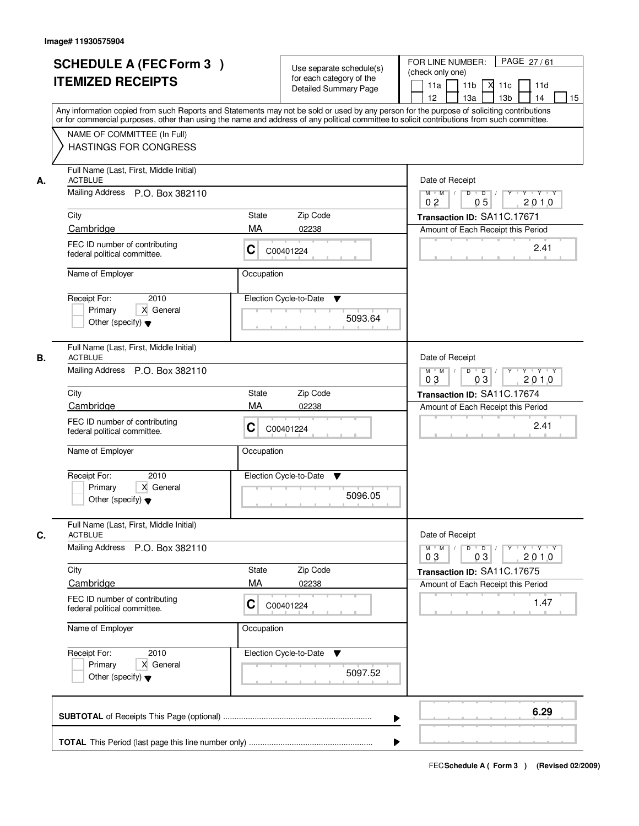| or for commercial purposes, other than using the name and address of any political committee to solicit contributions from such committee.<br>NAME OF COMMITTEE (In Full)<br><b>HASTINGS FOR CONGRESS</b><br>Full Name (Last, First, Middle Initial)<br><b>ACTBLUE</b><br>Date of Receipt<br>А.<br>Mailing Address P.O. Box 382110<br>$\begin{array}{c c c c c c c c} \hline \textbf{0} & \textbf{0} & \textbf{0} & \textbf{0} & \textbf{0} & \textbf{0} & \textbf{0} & \textbf{0} & \textbf{0} & \textbf{0} & \textbf{0} & \textbf{0} & \textbf{0} & \textbf{0} & \textbf{0} & \textbf{0} & \textbf{0} & \textbf{0} & \textbf{0} & \textbf{0} & \textbf{0} & \textbf{0} & \textbf{0} & \textbf{0} & \textbf{0} & \textbf{0} & \textbf{0} & \textbf{0} &$<br>$M$ $M$<br>0 <sub>2</sub><br>05<br>City<br>State<br>Zip Code<br>Transaction ID: SA11C.17671<br>Cambridge<br>MA<br>02238<br>Amount of Each Receipt this Period |                             |
|----------------------------------------------------------------------------------------------------------------------------------------------------------------------------------------------------------------------------------------------------------------------------------------------------------------------------------------------------------------------------------------------------------------------------------------------------------------------------------------------------------------------------------------------------------------------------------------------------------------------------------------------------------------------------------------------------------------------------------------------------------------------------------------------------------------------------------------------------------------------------------------------------------------------------|-----------------------------|
|                                                                                                                                                                                                                                                                                                                                                                                                                                                                                                                                                                                                                                                                                                                                                                                                                                                                                                                            |                             |
| FEC ID number of contributing<br>C<br>C00401224<br>federal political committee.<br>Name of Employer<br>Occupation<br>2010<br>Election Cycle-to-Date<br>Receipt For:<br>▼                                                                                                                                                                                                                                                                                                                                                                                                                                                                                                                                                                                                                                                                                                                                                   | 2010<br>2.41                |
| X General<br>Primary<br>5093.64<br>Other (specify) $\blacktriangledown$                                                                                                                                                                                                                                                                                                                                                                                                                                                                                                                                                                                                                                                                                                                                                                                                                                                    |                             |
| Full Name (Last, First, Middle Initial)<br><b>ACTBLUE</b><br>Date of Receipt<br>В.<br>Mailing Address P.O. Box 382110<br>$M$ $M$ /<br>$Y$ <sup>U</sup><br>D<br>$\overline{D}$<br>03<br>03<br>City<br>Zip Code<br>State<br>Transaction ID: SA11C.17674<br>MA<br>Cambridge<br>02238<br>Amount of Each Receipt this Period<br>FEC ID number of contributing<br>С<br>C00401224<br>federal political committee.<br>Name of Employer<br>Occupation<br>Receipt For:<br>2010<br>Election Cycle-to-Date<br>v                                                                                                                                                                                                                                                                                                                                                                                                                        | $Y - Y - Y$<br>2010<br>2.41 |
| Primary<br>X General<br>5096.05<br>Other (specify) $\blacktriangledown$<br>Full Name (Last, First, Middle Initial)                                                                                                                                                                                                                                                                                                                                                                                                                                                                                                                                                                                                                                                                                                                                                                                                         |                             |
| C.<br><b>ACTBLUE</b><br>Date of Receipt<br><b>Mailing Address</b><br>P.O. Box 382110<br>$D$ $D$ $/$<br>$M$ $M$ /<br>$Y$ <sup>-1</sup><br>03<br>03<br>Zip Code<br>City<br>State<br>Transaction ID: SA11C.17675<br>MA<br>Cambridge<br>02238<br>Amount of Each Receipt this Period<br>FEC ID number of contributing<br>C<br>C00401224<br>federal political committee.<br>Name of Employer<br>Occupation<br>Receipt For:<br>Election Cycle-to-Date<br>2010<br>v<br>Primary<br>X General<br>5097.52<br>Other (specify) $\blacktriangledown$                                                                                                                                                                                                                                                                                                                                                                                     | Y 'Y 'Y<br>2010<br>1.47     |
| ▶                                                                                                                                                                                                                                                                                                                                                                                                                                                                                                                                                                                                                                                                                                                                                                                                                                                                                                                          | 6.29                        |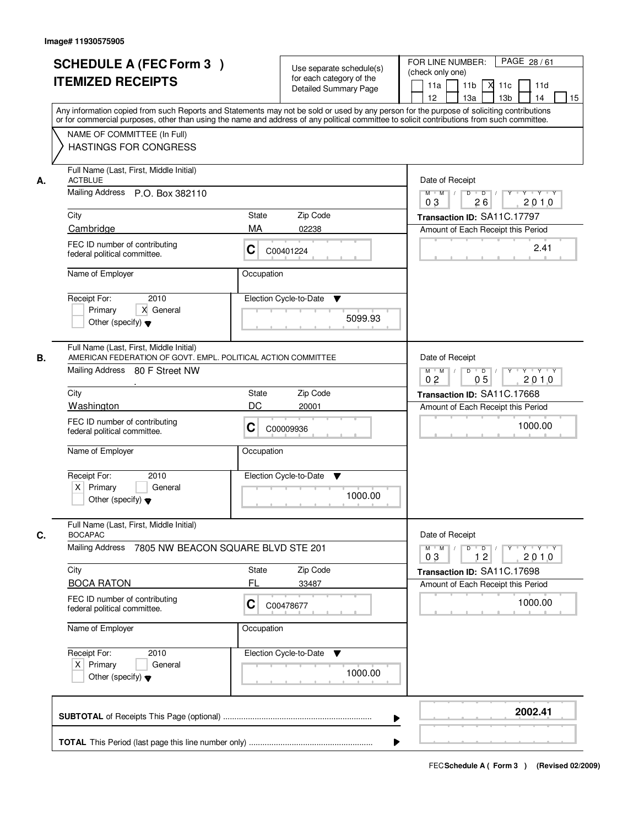|                             | <b>SCHEDULE A (FEC Form 3)</b><br><b>ITEMIZED RECEIPTS</b>                                                                                 |                                                                 | Use separate schedule(s)<br>for each category of the<br><b>Detailed Summary Page</b> | PAGE 28/61<br>FOR LINE NUMBER:<br>(check only one)<br>11 <sub>b</sub><br>11a<br>м<br>11c<br>11d<br>13 <sub>b</sub><br>12<br>13a<br>14<br>15<br>Any information copied from such Reports and Statements may not be sold or used by any person for the purpose of soliciting contributions |
|-----------------------------|--------------------------------------------------------------------------------------------------------------------------------------------|-----------------------------------------------------------------|--------------------------------------------------------------------------------------|------------------------------------------------------------------------------------------------------------------------------------------------------------------------------------------------------------------------------------------------------------------------------------------|
|                             | NAME OF COMMITTEE (In Full)<br><b>HASTINGS FOR CONGRESS</b>                                                                                |                                                                 |                                                                                      | or for commercial purposes, other than using the name and address of any political committee to solicit contributions from such committee.                                                                                                                                               |
| <b>ACTBLUE</b><br>А.        | Full Name (Last, First, Middle Initial)<br>Mailing Address P.O. Box 382110                                                                 | Date of Receipt<br>$M$ $M$ /<br>$D$ $D$ $/$<br>26<br>2010<br>03 |                                                                                      |                                                                                                                                                                                                                                                                                          |
| City                        |                                                                                                                                            | State                                                           | Zip Code                                                                             | Transaction ID: SA11C.17797                                                                                                                                                                                                                                                              |
| Cambridge                   |                                                                                                                                            | MA                                                              | 02238                                                                                | Amount of Each Receipt this Period                                                                                                                                                                                                                                                       |
|                             | FEC ID number of contributing<br>federal political committee.                                                                              | C                                                               | C00401224                                                                            | 2.41                                                                                                                                                                                                                                                                                     |
| Name of Employer            |                                                                                                                                            | Occupation                                                      |                                                                                      |                                                                                                                                                                                                                                                                                          |
| Receipt For:<br>Primary     | 2010<br>X General<br>Other (specify) $\blacktriangledown$                                                                                  |                                                                 | Election Cycle-to-Date<br>▼<br>5099.93                                               |                                                                                                                                                                                                                                                                                          |
| В.                          | Full Name (Last, First, Middle Initial)<br>AMERICAN FEDERATION OF GOVT. EMPL. POLITICAL ACTION COMMITTEE<br>Mailing Address 80 F Street NW |                                                                 |                                                                                      | Date of Receipt<br>$M$ $M$ /<br>$Y \vdash Y \vdash Y$<br>D<br>$\Box$<br>05<br>2010<br>0 <sub>2</sub>                                                                                                                                                                                     |
| City                        |                                                                                                                                            | <b>State</b>                                                    | Zip Code                                                                             | Transaction ID: SA11C.17668                                                                                                                                                                                                                                                              |
| Washington                  |                                                                                                                                            | DC                                                              | 20001                                                                                | Amount of Each Receipt this Period                                                                                                                                                                                                                                                       |
|                             | FEC ID number of contributing<br>federal political committee.                                                                              | C                                                               | C00009936                                                                            | 1000.00                                                                                                                                                                                                                                                                                  |
| Name of Employer            |                                                                                                                                            | Occupation                                                      |                                                                                      |                                                                                                                                                                                                                                                                                          |
| Receipt For:<br>$X$ Primary | 2010<br>General<br>Other (specify) $\blacktriangledown$                                                                                    |                                                                 | Election Cycle-to-Date<br>▼<br>1000.00                                               |                                                                                                                                                                                                                                                                                          |
| C.<br><b>BOCAPAC</b>        | Full Name (Last, First, Middle Initial)                                                                                                    |                                                                 |                                                                                      | Date of Receipt                                                                                                                                                                                                                                                                          |
| <b>Mailing Address</b>      | 7805 NW BEACON SQUARE BLVD STE 201                                                                                                         |                                                                 |                                                                                      | $M = M$<br>$D$ $D$ $I$<br>Y 'Y 'Y 'Y<br>03<br>12<br>2010                                                                                                                                                                                                                                 |
| City                        |                                                                                                                                            | <b>State</b><br>FL                                              | Zip Code                                                                             | Transaction ID: SA11C.17698                                                                                                                                                                                                                                                              |
| <b>BOCA RATON</b>           | FEC ID number of contributing<br>federal political committee.                                                                              | С                                                               | 33487<br>C00478677                                                                   | Amount of Each Receipt this Period<br>1000.00                                                                                                                                                                                                                                            |
| Name of Employer            |                                                                                                                                            | Occupation                                                      |                                                                                      |                                                                                                                                                                                                                                                                                          |
| Receipt For:<br>$X$ Primary | 2010<br>General<br>Other (specify) $\blacktriangledown$                                                                                    |                                                                 | Election Cycle-to-Date<br>v<br>1000.00                                               |                                                                                                                                                                                                                                                                                          |
|                             |                                                                                                                                            |                                                                 |                                                                                      | 2002.41                                                                                                                                                                                                                                                                                  |
|                             |                                                                                                                                            |                                                                 |                                                                                      |                                                                                                                                                                                                                                                                                          |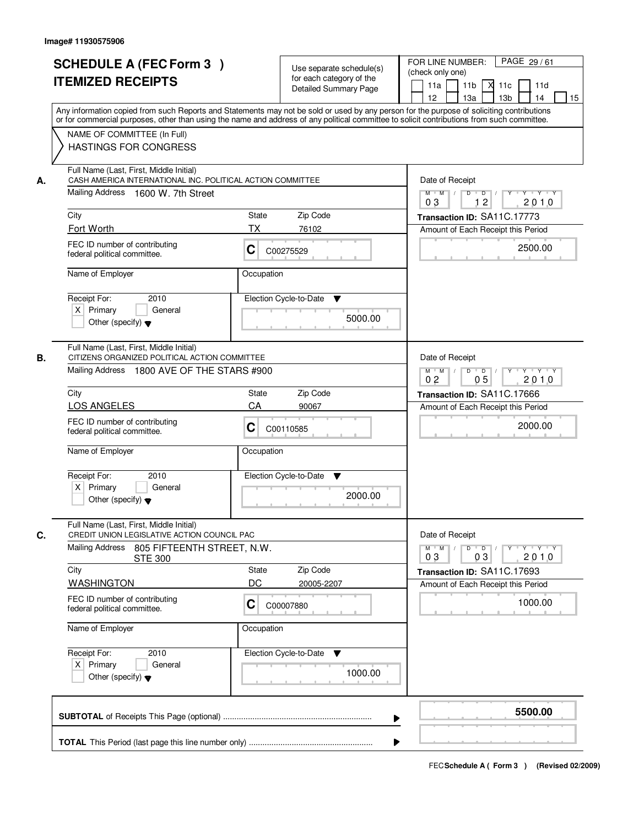|    | <b>SCHEDULE A (FEC Form 3)</b><br><b>ITEMIZED RECEIPTS</b>                                                                                                                                                                                                                              |                 | Use separate schedule(s)<br>for each category of the | PAGE 29/61<br>FOR LINE NUMBER:<br>(check only one)<br>11 <sub>b</sub><br>11a<br>-XI<br>11c<br>11d            |
|----|-----------------------------------------------------------------------------------------------------------------------------------------------------------------------------------------------------------------------------------------------------------------------------------------|-----------------|------------------------------------------------------|--------------------------------------------------------------------------------------------------------------|
|    |                                                                                                                                                                                                                                                                                         |                 | <b>Detailed Summary Page</b>                         | 13 <sub>b</sub><br>12<br>13a<br>14<br>15                                                                     |
|    | Any information copied from such Reports and Statements may not be sold or used by any person for the purpose of soliciting contributions<br>or for commercial purposes, other than using the name and address of any political committee to solicit contributions from such committee. |                 |                                                      |                                                                                                              |
|    | NAME OF COMMITTEE (In Full)<br><b>HASTINGS FOR CONGRESS</b>                                                                                                                                                                                                                             |                 |                                                      |                                                                                                              |
| А. | Full Name (Last, First, Middle Initial)<br>CASH AMERICA INTERNATIONAL INC. POLITICAL ACTION COMMITTEE<br>Mailing Address 1600 W. 7th Street                                                                                                                                             | Date of Receipt |                                                      |                                                                                                              |
|    |                                                                                                                                                                                                                                                                                         |                 |                                                      | $M$ $M$<br>$D$ $D$ $/$<br>0 <sub>3</sub><br>12<br>2010                                                       |
|    | City<br>Fort Worth                                                                                                                                                                                                                                                                      | State<br>ТX     | Zip Code<br>76102                                    | Transaction ID: SA11C.17773                                                                                  |
|    | FEC ID number of contributing<br>federal political committee.                                                                                                                                                                                                                           | C               | C00275529                                            | Amount of Each Receipt this Period<br>2500.00                                                                |
|    | Name of Employer                                                                                                                                                                                                                                                                        | Occupation      |                                                      |                                                                                                              |
|    |                                                                                                                                                                                                                                                                                         |                 |                                                      |                                                                                                              |
|    | 2010<br>Receipt For:<br>$X$ Primary<br>General<br>Other (specify) $\blacktriangledown$                                                                                                                                                                                                  |                 | Election Cycle-to-Date<br>▼<br>5000.00               |                                                                                                              |
| В. | Full Name (Last, First, Middle Initial)<br>CITIZENS ORGANIZED POLITICAL ACTION COMMITTEE                                                                                                                                                                                                |                 |                                                      | Date of Receipt                                                                                              |
|    | Mailing Address 1800 AVE OF THE STARS #900                                                                                                                                                                                                                                              |                 |                                                      | $Y - Y - Y$<br>$M$ $M$ /<br>D<br>$\overline{\phantom{0}}$ D<br>Y<br>0 <sub>5</sub><br>2010<br>0 <sub>2</sub> |
|    | City                                                                                                                                                                                                                                                                                    | State           | Zip Code                                             | Transaction ID: SA11C.17666                                                                                  |
|    | <b>LOS ANGELES</b>                                                                                                                                                                                                                                                                      | CA              | 90067                                                | Amount of Each Receipt this Period                                                                           |
|    | FEC ID number of contributing<br>federal political committee.                                                                                                                                                                                                                           | С               | C00110585                                            | 2000.00                                                                                                      |
|    | Name of Employer                                                                                                                                                                                                                                                                        | Occupation      |                                                      |                                                                                                              |
|    | Receipt For:<br>2010                                                                                                                                                                                                                                                                    |                 | Election Cycle-to-Date<br>v                          |                                                                                                              |
|    | $X$ Primary<br>General<br>Other (specify) $\blacktriangledown$                                                                                                                                                                                                                          |                 | 2000.00                                              |                                                                                                              |
| C. | Full Name (Last, First, Middle Initial)<br>CREDIT UNION LEGISLATIVE ACTION COUNCIL PAC                                                                                                                                                                                                  |                 |                                                      | Date of Receipt                                                                                              |
|    | Mailing Address<br>805 FIFTEENTH STREET, N.W.<br><b>STE 300</b>                                                                                                                                                                                                                         |                 |                                                      | $D$ $D$ $/$<br>$M$ $M$ /<br>$Y$ <sup>-1</sup><br>$Y + Y + Y$<br>2010<br>03<br>03                             |
|    | City                                                                                                                                                                                                                                                                                    | State<br>DC     | Zip Code                                             | Transaction ID: SA11C.17693                                                                                  |
|    | <b>WASHINGTON</b><br>FEC ID number of contributing<br>federal political committee.                                                                                                                                                                                                      | C               | 20005-2207<br>C00007880                              | Amount of Each Receipt this Period<br>1000.00                                                                |
|    | Name of Employer                                                                                                                                                                                                                                                                        | Occupation      |                                                      |                                                                                                              |
|    | Receipt For:<br>2010                                                                                                                                                                                                                                                                    |                 | Election Cycle-to-Date<br>v                          |                                                                                                              |
|    | $X$ Primary<br>General<br>Other (specify) $\blacktriangledown$                                                                                                                                                                                                                          |                 | 1000.00                                              |                                                                                                              |
|    |                                                                                                                                                                                                                                                                                         |                 |                                                      | 5500.00                                                                                                      |
|    |                                                                                                                                                                                                                                                                                         |                 | ▶                                                    |                                                                                                              |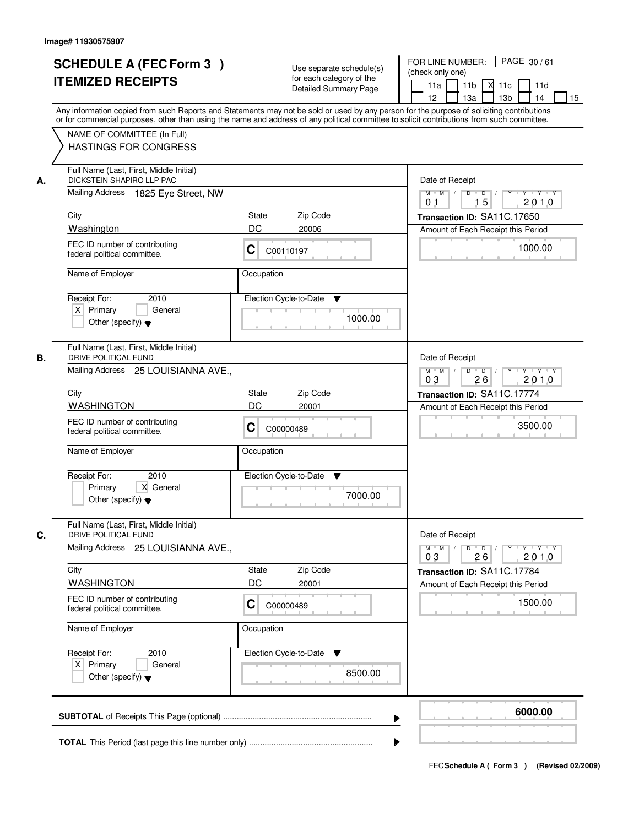| <b>SCHEDULE A (FEC Form 3)</b><br><b>ITEMIZED RECEIPTS</b>                                                        | Use separate schedule(s)<br>for each category of the<br><b>Detailed Summary Page</b><br>Any information copied from such Reports and Statements may not be sold or used by any person for the purpose of soliciting contributions | PAGE 30/61<br>FOR LINE NUMBER:<br>(check only one)<br>11 <sub>b</sub><br>м<br>11a<br>11c<br>11d<br>12 <sup>2</sup><br>13 <sub>b</sub><br>14<br>13a<br>15 |
|-------------------------------------------------------------------------------------------------------------------|-----------------------------------------------------------------------------------------------------------------------------------------------------------------------------------------------------------------------------------|----------------------------------------------------------------------------------------------------------------------------------------------------------|
| NAME OF COMMITTEE (In Full)<br><b>HASTINGS FOR CONGRESS</b>                                                       | or for commercial purposes, other than using the name and address of any political committee to solicit contributions from such committee.                                                                                        |                                                                                                                                                          |
| Full Name (Last, First, Middle Initial)<br>DICKSTEIN SHAPIRO LLP PAC<br>А.<br>Mailing Address 1825 Eye Street, NW |                                                                                                                                                                                                                                   | Date of Receipt<br>$Y + Y + Y$<br>$M$ $M$<br>$D$ $D$ $I$<br>$Y$ <sup>U</sup>                                                                             |
|                                                                                                                   |                                                                                                                                                                                                                                   | 15<br>2010<br>0 <sub>1</sub>                                                                                                                             |
| City<br>Washington                                                                                                | <b>State</b><br>Zip Code<br>DC<br>20006                                                                                                                                                                                           | Transaction ID: SA11C.17650<br>Amount of Each Receipt this Period                                                                                        |
| FEC ID number of contributing<br>federal political committee.                                                     | C<br>C00110197                                                                                                                                                                                                                    | 1000.00                                                                                                                                                  |
| Name of Employer                                                                                                  | Occupation                                                                                                                                                                                                                        |                                                                                                                                                          |
| Receipt For:<br>2010<br>$X$ Primary<br>General<br>Other (specify) $\blacktriangledown$                            | Election Cycle-to-Date<br>▼<br>1000.00                                                                                                                                                                                            |                                                                                                                                                          |
| Full Name (Last, First, Middle Initial)<br>DRIVE POLITICAL FUND<br>В.<br>Mailing Address 25 LOUISIANNA AVE.,      |                                                                                                                                                                                                                                   | Date of Receipt<br>$M$ $M$ /<br>D<br>$\overline{D}$ /<br>$Y + Y + Y$<br>0 <sub>3</sub><br>26<br>2010                                                     |
| City                                                                                                              | Zip Code<br><b>State</b>                                                                                                                                                                                                          | Transaction ID: SA11C.17774                                                                                                                              |
| <b>WASHINGTON</b>                                                                                                 | DC<br>20001                                                                                                                                                                                                                       | Amount of Each Receipt this Period                                                                                                                       |
| FEC ID number of contributing<br>federal political committee.                                                     | С<br>C00000489                                                                                                                                                                                                                    | 3500.00                                                                                                                                                  |
| Name of Employer                                                                                                  | Occupation                                                                                                                                                                                                                        |                                                                                                                                                          |
| Receipt For:<br>2010<br>Primary<br>X General<br>Other (specify) $\blacktriangledown$                              | Election Cycle-to-Date<br>▼<br>7000.00                                                                                                                                                                                            |                                                                                                                                                          |
| Full Name (Last, First, Middle Initial)                                                                           |                                                                                                                                                                                                                                   |                                                                                                                                                          |
| C.<br><b>DRIVE POLITICAL FUND</b><br>Mailing Address 25 LOUISIANNA AVE.,                                          |                                                                                                                                                                                                                                   | Date of Receipt<br>$M = M$<br>$D$ $D$ $/$<br>yuyuyuy<br>2010<br>03<br>26                                                                                 |
| City                                                                                                              | Zip Code<br>State                                                                                                                                                                                                                 | Transaction ID: SA11C.17784                                                                                                                              |
| <b>WASHINGTON</b>                                                                                                 | DC<br>20001                                                                                                                                                                                                                       | Amount of Each Receipt this Period                                                                                                                       |
| FEC ID number of contributing<br>federal political committee.                                                     | C<br>C00000489                                                                                                                                                                                                                    | 1500.00                                                                                                                                                  |
| Name of Employer                                                                                                  | Occupation                                                                                                                                                                                                                        |                                                                                                                                                          |
| Receipt For:<br>2010<br>$X$ Primary<br>General<br>Other (specify) $\blacktriangledown$                            | Election Cycle-to-Date<br>$\blacktriangledown$<br>8500.00                                                                                                                                                                         |                                                                                                                                                          |
|                                                                                                                   |                                                                                                                                                                                                                                   | 6000.00                                                                                                                                                  |
|                                                                                                                   |                                                                                                                                                                                                                                   |                                                                                                                                                          |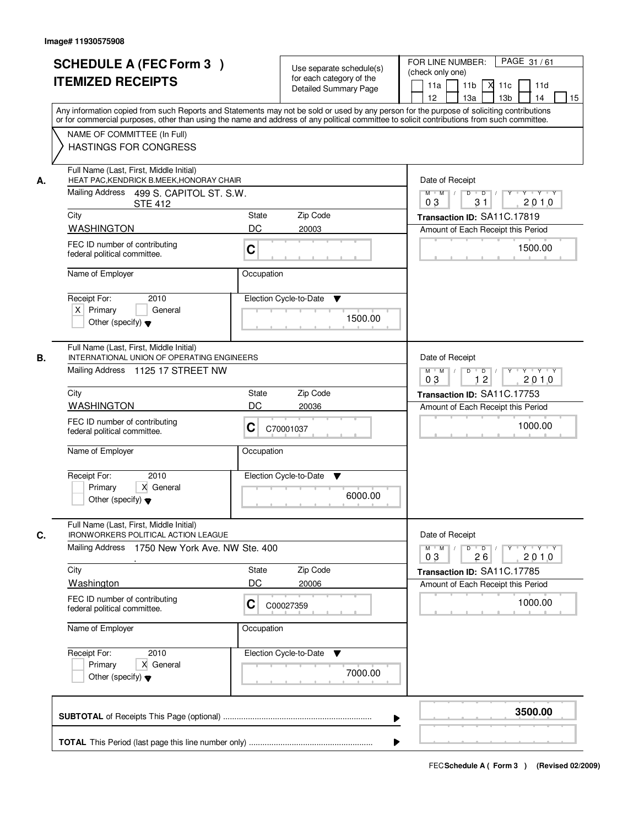|    | <b>SCHEDULE A (FEC Form 3)</b><br><b>ITEMIZED RECEIPTS</b>                                                                     | Use separate schedule(s)<br>for each category of the<br><b>Detailed Summary Page</b><br>Any information copied from such Reports and Statements may not be sold or used by any person for the purpose of soliciting contributions | PAGE 31/61<br>FOR LINE NUMBER:<br>(check only one)<br>11 <sub>b</sub><br>11a<br>м<br>11c<br>11d<br>12 <sup>2</sup><br>13 <sub>b</sub><br>14<br>15<br>13a |
|----|--------------------------------------------------------------------------------------------------------------------------------|-----------------------------------------------------------------------------------------------------------------------------------------------------------------------------------------------------------------------------------|----------------------------------------------------------------------------------------------------------------------------------------------------------|
|    | NAME OF COMMITTEE (In Full)<br><b>HASTINGS FOR CONGRESS</b>                                                                    | or for commercial purposes, other than using the name and address of any political committee to solicit contributions from such committee.                                                                                        |                                                                                                                                                          |
| А. | Full Name (Last, First, Middle Initial)<br>HEAT PAC, KENDRICK B.MEEK, HONORAY CHAIR<br>Mailing Address 499 S. CAPITOL ST. S.W. | Date of Receipt<br>$Y$ $Y$ $Y$<br>$M$ $M$ /<br>$D$ $D$ $1$<br>$Y$ <sup>U</sup>                                                                                                                                                    |                                                                                                                                                          |
|    | <b>STE 412</b>                                                                                                                 |                                                                                                                                                                                                                                   | 31<br>2010<br>03                                                                                                                                         |
|    | City<br><b>WASHINGTON</b>                                                                                                      | State<br>Zip Code<br>DC<br>20003                                                                                                                                                                                                  | Transaction ID: SA11C.17819                                                                                                                              |
|    | FEC ID number of contributing<br>federal political committee.                                                                  | C                                                                                                                                                                                                                                 | Amount of Each Receipt this Period<br>1500.00                                                                                                            |
|    | Name of Employer                                                                                                               | Occupation                                                                                                                                                                                                                        |                                                                                                                                                          |
|    | 2010<br>Receipt For:<br>$X$ Primary<br>General<br>Other (specify) $\blacktriangledown$                                         | Election Cycle-to-Date<br>▼<br>1500.00                                                                                                                                                                                            |                                                                                                                                                          |
| В. | Full Name (Last, First, Middle Initial)<br>INTERNATIONAL UNION OF OPERATING ENGINEERS<br>Mailing Address 1125 17 STREET NW     |                                                                                                                                                                                                                                   | Date of Receipt<br>$Y \vdash Y \vdash Y$<br>$M$ $M$ /<br>D<br>$\Box$<br>12<br>2010<br>03                                                                 |
|    | City                                                                                                                           | Zip Code<br><b>State</b>                                                                                                                                                                                                          | Transaction ID: SA11C.17753                                                                                                                              |
|    | <b>WASHINGTON</b>                                                                                                              | DC<br>20036                                                                                                                                                                                                                       | Amount of Each Receipt this Period                                                                                                                       |
|    | FEC ID number of contributing<br>federal political committee.                                                                  | C<br>C70001037                                                                                                                                                                                                                    | 1000.00                                                                                                                                                  |
|    | Name of Employer                                                                                                               | Occupation                                                                                                                                                                                                                        |                                                                                                                                                          |
|    | Receipt For:<br>2010<br>Primary<br>X General<br>Other (specify) $\blacktriangledown$                                           | Election Cycle-to-Date<br>v<br>6000.00                                                                                                                                                                                            |                                                                                                                                                          |
| C. | Full Name (Last, First, Middle Initial)<br><b>IRONWORKERS POLITICAL ACTION LEAGUE</b>                                          |                                                                                                                                                                                                                                   | Date of Receipt                                                                                                                                          |
|    | Mailing Address 1750 New York Ave. NW Ste. 400                                                                                 |                                                                                                                                                                                                                                   | $M$ $M$ $M$<br>$D$ $D$ $/$<br>$\mathsf{Y} \dashv \mathsf{Y} \dashv \mathsf{Y} \dashv \mathsf{Y}$<br>2010<br>03<br>26                                     |
|    | City                                                                                                                           | Zip Code<br><b>State</b>                                                                                                                                                                                                          | Transaction ID: SA11C.17785                                                                                                                              |
|    | Washington                                                                                                                     | DC<br>20006                                                                                                                                                                                                                       | Amount of Each Receipt this Period                                                                                                                       |
|    | FEC ID number of contributing<br>federal political committee.                                                                  | С<br>C00027359                                                                                                                                                                                                                    | 1000.00                                                                                                                                                  |
|    | Name of Employer                                                                                                               | Occupation                                                                                                                                                                                                                        |                                                                                                                                                          |
|    | Receipt For:<br>2010<br>Primary<br>X General<br>Other (specify) $\blacktriangledown$                                           | Election Cycle-to-Date<br>v<br>7000.00                                                                                                                                                                                            |                                                                                                                                                          |
|    |                                                                                                                                | ▶                                                                                                                                                                                                                                 | 3500.00                                                                                                                                                  |
|    |                                                                                                                                |                                                                                                                                                                                                                                   |                                                                                                                                                          |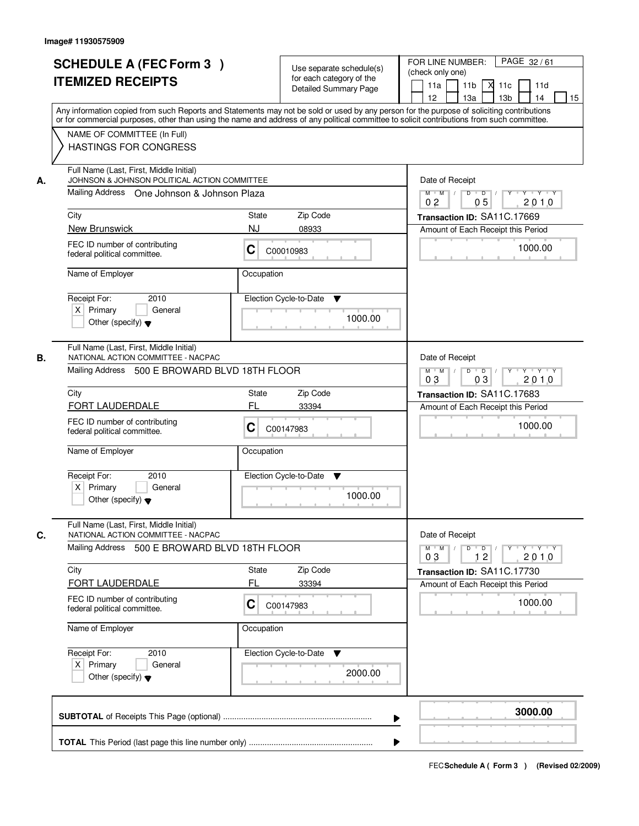|    | <b>SCHEDULE A (FEC Form 3)</b><br><b>ITEMIZED RECEIPTS</b>                                                                                                                                                                                                                                                                                             |                                                                                                    | Use separate schedule(s)<br>for each category of the<br>Detailed Summary Page | PAGE 32/61<br>FOR LINE NUMBER:<br>(check only one)<br>11a<br>11 <sub>b</sub><br>×<br>11d<br>11c<br>14<br>12<br>13a<br>13 <sub>b</sub><br>15 |
|----|--------------------------------------------------------------------------------------------------------------------------------------------------------------------------------------------------------------------------------------------------------------------------------------------------------------------------------------------------------|----------------------------------------------------------------------------------------------------|-------------------------------------------------------------------------------|---------------------------------------------------------------------------------------------------------------------------------------------|
|    | Any information copied from such Reports and Statements may not be sold or used by any person for the purpose of soliciting contributions<br>or for commercial purposes, other than using the name and address of any political committee to solicit contributions from such committee.<br>NAME OF COMMITTEE (In Full)<br><b>HASTINGS FOR CONGRESS</b> |                                                                                                    |                                                                               |                                                                                                                                             |
| А. | Full Name (Last, First, Middle Initial)<br>JOHNSON & JOHNSON POLITICAL ACTION COMMITTEE<br>Mailing Address One Johnson & Johnson Plaza<br>City                                                                                                                                                                                                         | Date of Receipt<br>$Y - Y - Y$<br>$M$ $M$ /<br>D<br>$\overline{D}$<br>2010<br>0 <sub>2</sub><br>05 |                                                                               |                                                                                                                                             |
|    |                                                                                                                                                                                                                                                                                                                                                        | State                                                                                              | Zip Code                                                                      | Transaction ID: SA11C.17669                                                                                                                 |
|    | New Brunswick<br>FEC ID number of contributing<br>federal political committee.                                                                                                                                                                                                                                                                         | <b>NJ</b><br>С                                                                                     | 08933<br>C00010983                                                            | Amount of Each Receipt this Period<br>1000.00                                                                                               |
|    | Name of Employer                                                                                                                                                                                                                                                                                                                                       | Occupation                                                                                         |                                                                               |                                                                                                                                             |
|    | Receipt For:<br>2010<br>$X$ Primary<br>General<br>Other (specify) $\blacktriangledown$                                                                                                                                                                                                                                                                 |                                                                                                    | Election Cycle-to-Date<br>▼<br>1000.00                                        |                                                                                                                                             |
| В. | Full Name (Last, First, Middle Initial)<br>NATIONAL ACTION COMMITTEE - NACPAC<br>Mailing Address 500 E BROWARD BLVD 18TH FLOOR                                                                                                                                                                                                                         |                                                                                                    |                                                                               | Date of Receipt<br>$M$ $M$ /<br>D<br>$\overline{D}$<br>$Y$ $Y$<br>03<br>2010<br>03                                                          |
|    | City                                                                                                                                                                                                                                                                                                                                                   | State                                                                                              | Zip Code                                                                      | Transaction ID: SA11C.17683                                                                                                                 |
|    | FORT LAUDERDALE                                                                                                                                                                                                                                                                                                                                        | FL                                                                                                 | 33394                                                                         | Amount of Each Receipt this Period                                                                                                          |
|    | FEC ID number of contributing<br>federal political committee.                                                                                                                                                                                                                                                                                          | C                                                                                                  | C00147983                                                                     | 1000.00                                                                                                                                     |
|    | Name of Employer                                                                                                                                                                                                                                                                                                                                       | Occupation                                                                                         |                                                                               |                                                                                                                                             |
|    | Receipt For:<br>2010<br>$X$ Primary<br>General<br>Other (specify) $\blacktriangledown$                                                                                                                                                                                                                                                                 |                                                                                                    | Election Cycle-to-Date<br>v<br>1000.00                                        |                                                                                                                                             |
| C. | Full Name (Last, First, Middle Initial)<br>NATIONAL ACTION COMMITTEE - NACPAC                                                                                                                                                                                                                                                                          |                                                                                                    |                                                                               | Date of Receipt                                                                                                                             |
|    | Mailing Address 500 E BROWARD BLVD 18TH FLOOR                                                                                                                                                                                                                                                                                                          |                                                                                                    |                                                                               | $D$ $D$<br>$Y - Y - Y - Y$<br>$M^+$ M<br>2010<br>12<br>03                                                                                   |
|    | City<br>FORT LAUDERDALE                                                                                                                                                                                                                                                                                                                                | State<br>FL                                                                                        | Zip Code                                                                      | Transaction ID: SA11C.17730                                                                                                                 |
|    | FEC ID number of contributing<br>federal political committee.                                                                                                                                                                                                                                                                                          | С                                                                                                  | 33394<br>C00147983                                                            | Amount of Each Receipt this Period<br>1000.00                                                                                               |
|    | Name of Employer                                                                                                                                                                                                                                                                                                                                       | Occupation                                                                                         |                                                                               |                                                                                                                                             |
|    | Receipt For:<br>2010<br>$X$ Primary<br>General<br>Other (specify) $\blacktriangledown$                                                                                                                                                                                                                                                                 |                                                                                                    | Election Cycle-to-Date<br>v<br>2000.00                                        |                                                                                                                                             |
|    |                                                                                                                                                                                                                                                                                                                                                        |                                                                                                    |                                                                               | 3000.00                                                                                                                                     |
|    |                                                                                                                                                                                                                                                                                                                                                        |                                                                                                    |                                                                               |                                                                                                                                             |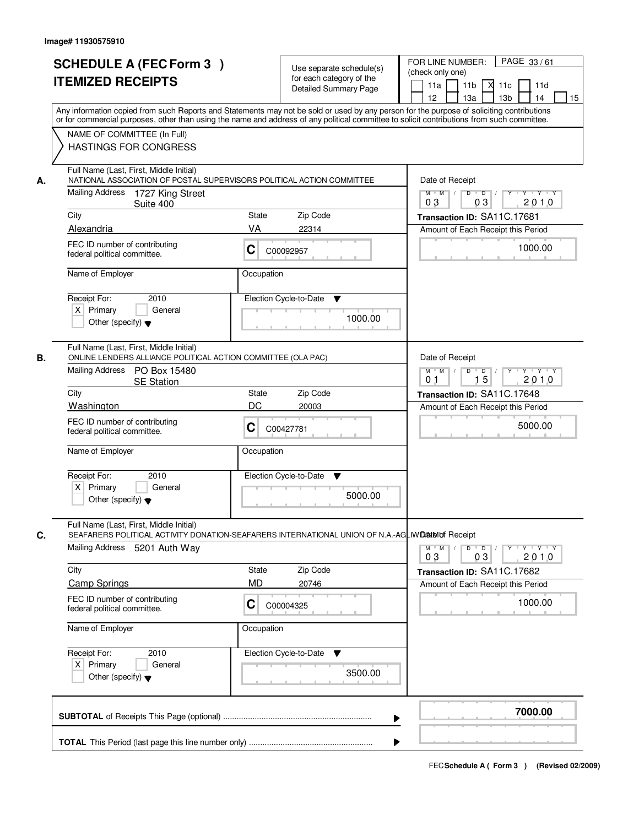| <b>SCHEDULE A (FEC Form 3)</b><br><b>ITEMIZED RECEIPTS</b>                                                                                                                                                                                                                                                                                                                      | Use separate schedule(s)<br>for each category of the<br>Detailed Summary Page                                                                                                                                                                                                           | PAGE 33/61<br>FOR LINE NUMBER:<br>(check only one)<br>11 <sub>b</sub><br>11a<br>11c<br>11d<br>12<br>13 <sub>b</sub><br>15<br>13a<br>14                                                       |
|---------------------------------------------------------------------------------------------------------------------------------------------------------------------------------------------------------------------------------------------------------------------------------------------------------------------------------------------------------------------------------|-----------------------------------------------------------------------------------------------------------------------------------------------------------------------------------------------------------------------------------------------------------------------------------------|----------------------------------------------------------------------------------------------------------------------------------------------------------------------------------------------|
| NAME OF COMMITTEE (In Full)<br><b>HASTINGS FOR CONGRESS</b>                                                                                                                                                                                                                                                                                                                     | Any information copied from such Reports and Statements may not be sold or used by any person for the purpose of soliciting contributions<br>or for commercial purposes, other than using the name and address of any political committee to solicit contributions from such committee. |                                                                                                                                                                                              |
| Full Name (Last, First, Middle Initial)<br>NATIONAL ASSOCIATION OF POSTAL SUPERVISORS POLITICAL ACTION COMMITTEE<br>А.<br>Mailing Address<br>1727 King Street<br>Suite 400<br>City<br>Alexandria<br>FEC ID number of contributing<br>federal political committee.<br>Name of Employer<br>Receipt For:<br>2010<br>$X$ Primary<br>General<br>Other (specify) $\blacktriangledown$ | State<br>Zip Code<br>VA<br>22314<br>С<br>C00092957<br>Occupation<br>Election Cycle-to-Date<br>▼<br>1000.00                                                                                                                                                                              | Date of Receipt<br>$D$ $D$ $/$<br>$Y - Y - Y$<br>$M$ $M$ /<br>Y<br>03<br>2010<br>03<br>Transaction ID: SA11C.17681<br>Amount of Each Receipt this Period<br>1000.00                          |
| Full Name (Last, First, Middle Initial)<br>ONLINE LENDERS ALLIANCE POLITICAL ACTION COMMITTEE (OLA PAC)<br>В.<br>Mailing Address PO Box 15480<br><b>SE Station</b><br>City<br>Washington<br>FEC ID number of contributing<br>federal political committee.<br>Name of Employer<br>Receipt For:<br>2010<br>$X$ Primary<br>General<br>Other (specify) $\blacktriangledown$         | Zip Code<br>State<br>DC<br>20003<br>C<br>C00427781<br>Occupation<br>Election Cycle-to-Date<br>▼<br>5000.00                                                                                                                                                                              | Date of Receipt<br>$Y \vdash Y \vdash Y$<br>$M$ $M$ /<br>D<br>$\overline{D}$<br>15<br>2010<br>0 <sub>1</sub><br>Transaction ID: SA11C.17648<br>Amount of Each Receipt this Period<br>5000.00 |
| Full Name (Last, First, Middle Initial)<br>C.<br>Mailing Address<br>5201 Auth Way<br>City<br><b>Camp Springs</b><br>FEC ID number of contributing<br>federal political committee.<br>Name of Employer<br>Receipt For:<br>2010<br>$X$ Primary<br>General<br>Other (specify) $\blacktriangledown$                                                                                 | SEAFARERS POLITICAL ACTIVITY DONATION-SEAFARERS INTERNATIONAL UNION OF N.A.-AGLIWDANING Receipt<br>Zip Code<br>State<br><b>MD</b><br>20746<br>C<br>C00004325<br>Occupation<br>Election Cycle-to-Date<br>v<br>3500.00                                                                    | $M$ $M$ /<br>D<br>$\overline{D}$ /<br>$Y + Y + Y$<br>03<br>2010<br>03<br>Transaction ID: SA11C.17682<br>Amount of Each Receipt this Period<br>1000.00                                        |
|                                                                                                                                                                                                                                                                                                                                                                                 | ▶                                                                                                                                                                                                                                                                                       | 7000.00                                                                                                                                                                                      |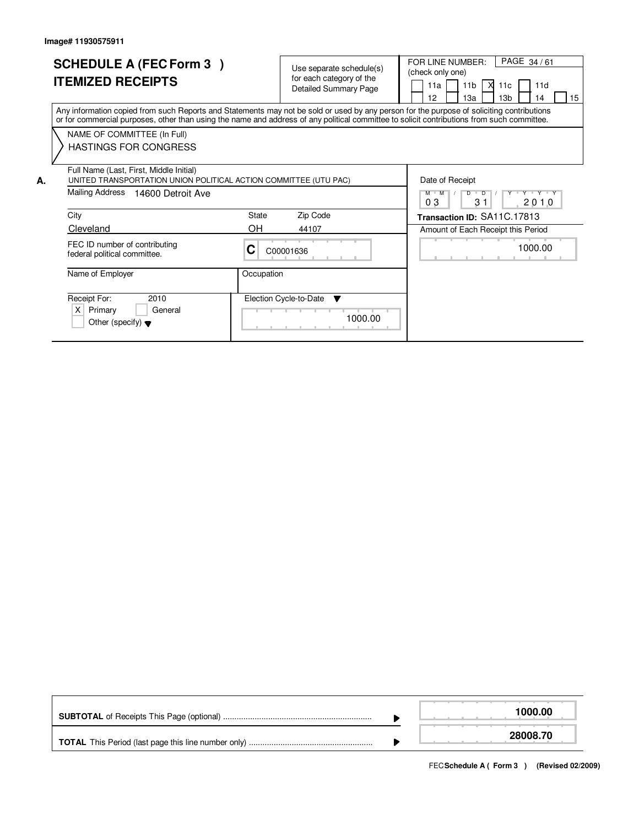|    | <b>SCHEDULE A (FEC Form 3)</b><br><b>ITEMIZED RECEIPTS</b>                                                                                                                                                                                                                              |            | Use separate schedule(s)<br>for each category of the<br><b>Detailed Summary Page</b> | PAGE 34/61<br>FOR LINE NUMBER:<br>(check only one)<br>11a<br>11 <sub>b</sub><br>- XI<br>11c<br>11d<br>15<br>13 <sub>b</sub><br>12<br>13a<br>14 |
|----|-----------------------------------------------------------------------------------------------------------------------------------------------------------------------------------------------------------------------------------------------------------------------------------------|------------|--------------------------------------------------------------------------------------|------------------------------------------------------------------------------------------------------------------------------------------------|
|    | Any information copied from such Reports and Statements may not be sold or used by any person for the purpose of soliciting contributions<br>or for commercial purposes, other than using the name and address of any political committee to solicit contributions from such committee. |            |                                                                                      |                                                                                                                                                |
|    | NAME OF COMMITTEE (In Full)<br><b>HASTINGS FOR CONGRESS</b>                                                                                                                                                                                                                             |            |                                                                                      |                                                                                                                                                |
| А. | Full Name (Last, First, Middle Initial)<br>UNITED TRANSPORTATION UNION POLITICAL ACTION COMMITTEE (UTU PAC)                                                                                                                                                                             |            |                                                                                      | Date of Receipt                                                                                                                                |
|    | Mailing Address<br>14600 Detroit Ave                                                                                                                                                                                                                                                    |            |                                                                                      | $V - Y$<br>$M$ $M$<br>$\overline{D}$<br>D<br>31<br>03<br>2010                                                                                  |
|    | City                                                                                                                                                                                                                                                                                    | State      | Zip Code                                                                             | Transaction ID: SA11C.17813                                                                                                                    |
|    | Cleveland                                                                                                                                                                                                                                                                               | OH.        | 44107                                                                                | Amount of Each Receipt this Period                                                                                                             |
|    | FEC ID number of contributing<br>federal political committee.                                                                                                                                                                                                                           | C          | C00001636                                                                            | 1000.00                                                                                                                                        |
|    | Name of Employer                                                                                                                                                                                                                                                                        | Occupation |                                                                                      |                                                                                                                                                |
|    | Receipt For:<br>2010<br>X<br>Primary<br>General<br>Other (specify) $\blacktriangledown$                                                                                                                                                                                                 |            | Election Cycle-to-Date<br><b>V</b><br>1000.00                                        |                                                                                                                                                |

|  | 1000.00  |
|--|----------|
|  | 28008.70 |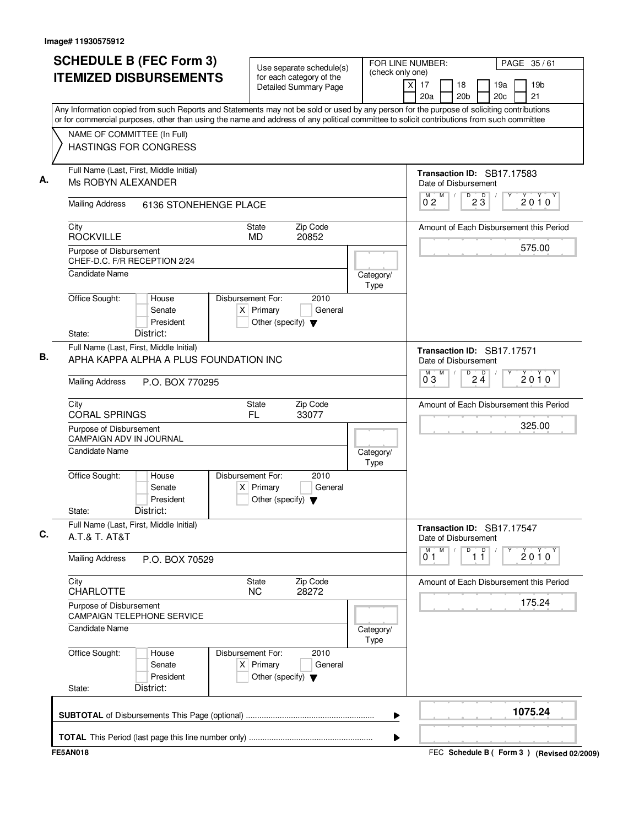| <b>SCHEDULE B (FEC Form 3)</b><br><b>ITEMIZED DISBURSEMENTS</b> |                                                                                                                                                                                                                                                                                        |                                                                            | Use separate schedule(s)                                 | (check only one)  | FOR LINE NUMBER:<br>PAGE 35/61 |            |                                |                               |  |                                         |
|-----------------------------------------------------------------|----------------------------------------------------------------------------------------------------------------------------------------------------------------------------------------------------------------------------------------------------------------------------------------|----------------------------------------------------------------------------|----------------------------------------------------------|-------------------|--------------------------------|------------|--------------------------------|-------------------------------|--|-----------------------------------------|
|                                                                 |                                                                                                                                                                                                                                                                                        |                                                                            | for each category of the<br><b>Detailed Summary Page</b> | $\times$          | 17<br>20a                      |            | 18<br>20 <sub>b</sub>          | 19a<br>20 <sub>c</sub>        |  | 19 <sub>b</sub><br>21                   |
|                                                                 | Any Information copied from such Reports and Statements may not be sold or used by any person for the purpose of soliciting contributions<br>or for commercial purposes, other than using the name and address of any political committee to solicit contributions from such committee |                                                                            |                                                          |                   |                                |            |                                |                               |  |                                         |
| NAME OF COMMITTEE (In Full)                                     |                                                                                                                                                                                                                                                                                        |                                                                            |                                                          |                   |                                |            |                                |                               |  |                                         |
| <b>HASTINGS FOR CONGRESS</b>                                    |                                                                                                                                                                                                                                                                                        |                                                                            |                                                          |                   |                                |            |                                |                               |  |                                         |
| Full Name (Last, First, Middle Initial)<br>Ms ROBYN ALEXANDER   |                                                                                                                                                                                                                                                                                        |                                                                            |                                                          |                   | Date of Disbursement           |            |                                | Transaction ID: SB17.17583    |  |                                         |
| <b>Mailing Address</b>                                          | 6136 STONEHENGE PLACE                                                                                                                                                                                                                                                                  |                                                                            |                                                          |                   | M<br>M<br>02                   | $\sqrt{ }$ | $D$ <sub>2</sub> $\frac{D}{3}$ |                               |  | $2010^y$                                |
| City<br><b>ROCKVILLE</b>                                        |                                                                                                                                                                                                                                                                                        | State<br><b>MD</b>                                                         | Zip Code<br>20852                                        |                   |                                |            |                                |                               |  | Amount of Each Disbursement this Period |
| Purpose of Disbursement<br>CHEF-D.C. F/R RECEPTION 2/24         |                                                                                                                                                                                                                                                                                        |                                                                            |                                                          |                   |                                |            |                                |                               |  | 575.00                                  |
| Candidate Name                                                  |                                                                                                                                                                                                                                                                                        |                                                                            |                                                          | Category/<br>Type |                                |            |                                |                               |  |                                         |
| Office Sought:                                                  | House<br>Senate<br>President                                                                                                                                                                                                                                                           | Disbursement For:<br>$X$ Primary<br>Other (specify) $\blacktriangledown$   | 2010<br>General                                          |                   |                                |            |                                |                               |  |                                         |
| State:                                                          | District:                                                                                                                                                                                                                                                                              |                                                                            |                                                          |                   |                                |            |                                |                               |  |                                         |
| Full Name (Last, First, Middle Initial)                         | APHA KAPPA ALPHA A PLUS FOUNDATION INC                                                                                                                                                                                                                                                 |                                                                            |                                                          |                   | Date of Disbursement           |            |                                | Transaction ID: SB17.17571    |  |                                         |
| <b>Mailing Address</b>                                          | P.O. BOX 770295                                                                                                                                                                                                                                                                        |                                                                            |                                                          |                   | M<br>ő з                       |            | D                              | $2\frac{D}{4}$                |  | $2010^y$                                |
| City<br><b>CORAL SPRINGS</b>                                    |                                                                                                                                                                                                                                                                                        | State<br>FL.                                                               | Zip Code<br>33077                                        |                   |                                |            |                                |                               |  | Amount of Each Disbursement this Period |
| Purpose of Disbursement<br><b>CAMPAIGN ADV IN JOURNAL</b>       |                                                                                                                                                                                                                                                                                        |                                                                            |                                                          |                   |                                |            |                                |                               |  | 325.00                                  |
| Candidate Name                                                  |                                                                                                                                                                                                                                                                                        |                                                                            |                                                          | Category/<br>Type |                                |            |                                |                               |  |                                         |
| Office Sought:<br>State:                                        | House<br>Senate<br>President<br>District:                                                                                                                                                                                                                                              | Disbursement For:<br>Primary<br>X.<br>Other (specify) $\blacktriangledown$ | 2010<br>General                                          |                   |                                |            |                                |                               |  |                                         |
| Full Name (Last, First, Middle Initial)<br>A.T.& T. AT&T        |                                                                                                                                                                                                                                                                                        |                                                                            |                                                          |                   | Date of Disbursement           |            |                                | Transaction ID: SB17.17547    |  |                                         |
| <b>Mailing Address</b>                                          | P.O. BOX 70529                                                                                                                                                                                                                                                                         |                                                                            |                                                          |                   | M<br>M<br>01                   |            | D                              | $\overline{1}$ $\overline{1}$ |  | $2010^y$                                |
| City<br><b>CHARLOTTE</b>                                        |                                                                                                                                                                                                                                                                                        | <b>State</b><br><b>NC</b>                                                  | Zip Code<br>28272                                        |                   |                                |            |                                |                               |  | Amount of Each Disbursement this Period |
| Purpose of Disbursement                                         | <b>CAMPAIGN TELEPHONE SERVICE</b>                                                                                                                                                                                                                                                      |                                                                            |                                                          |                   |                                |            |                                |                               |  | 175.24                                  |
| <b>Candidate Name</b>                                           |                                                                                                                                                                                                                                                                                        |                                                                            |                                                          | Category/<br>Type |                                |            |                                |                               |  |                                         |
| Office Sought:                                                  | House<br>Senate<br>President                                                                                                                                                                                                                                                           | Disbursement For:<br>$X$ Primary<br>Other (specify) $\blacktriangledown$   | 2010<br>General                                          |                   |                                |            |                                |                               |  |                                         |
| State:                                                          | District:                                                                                                                                                                                                                                                                              |                                                                            |                                                          |                   |                                |            |                                |                               |  |                                         |
|                                                                 |                                                                                                                                                                                                                                                                                        |                                                                            |                                                          |                   |                                |            |                                |                               |  | 1075.24                                 |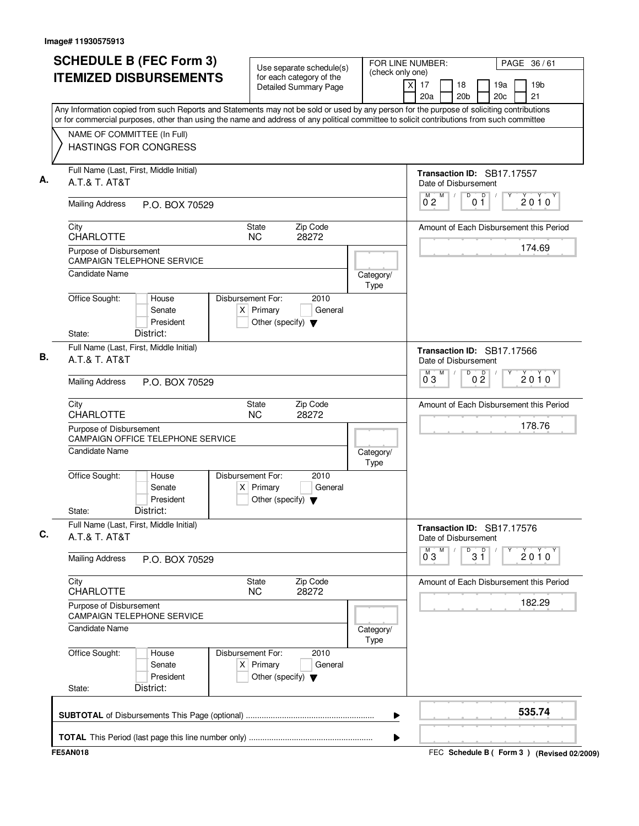| <b>SCHEDULE B (FEC Form 3)</b>                                                                                                                                                                                                                                                         | Use separate schedule(s)                                                                    | FOR LINE NUMBER:  | PAGE 36/61                                                                     |
|----------------------------------------------------------------------------------------------------------------------------------------------------------------------------------------------------------------------------------------------------------------------------------------|---------------------------------------------------------------------------------------------|-------------------|--------------------------------------------------------------------------------|
| <b>ITEMIZED DISBURSEMENTS</b>                                                                                                                                                                                                                                                          | for each category of the<br><b>Detailed Summary Page</b>                                    | (check only one)  | 19 <sub>b</sub><br>17<br>18<br>19a<br>X<br>20a<br>20 <sub>b</sub><br>20c<br>21 |
| Any Information copied from such Reports and Statements may not be sold or used by any person for the purpose of soliciting contributions<br>or for commercial purposes, other than using the name and address of any political committee to solicit contributions from such committee |                                                                                             |                   |                                                                                |
| NAME OF COMMITTEE (In Full)                                                                                                                                                                                                                                                            |                                                                                             |                   |                                                                                |
| <b>HASTINGS FOR CONGRESS</b>                                                                                                                                                                                                                                                           |                                                                                             |                   |                                                                                |
| Full Name (Last, First, Middle Initial)<br>A.T.& T. AT&T                                                                                                                                                                                                                               |                                                                                             |                   | Transaction ID: SB17.17557<br>Date of Disbursement                             |
| <b>Mailing Address</b><br>P.O. BOX 70529                                                                                                                                                                                                                                               |                                                                                             |                   | $\mathsf D$<br>D<br>M<br>М<br>2010<br>0 <sub>2</sub><br>01                     |
| City<br><b>CHARLOTTE</b>                                                                                                                                                                                                                                                               | State<br>Zip Code<br><b>NC</b><br>28272                                                     |                   | Amount of Each Disbursement this Period                                        |
| Purpose of Disbursement<br><b>CAMPAIGN TELEPHONE SERVICE</b>                                                                                                                                                                                                                           |                                                                                             |                   | 174.69                                                                         |
| Candidate Name                                                                                                                                                                                                                                                                         |                                                                                             | Category/<br>Type |                                                                                |
| Office Sought:<br>House<br>Senate<br>President                                                                                                                                                                                                                                         | Disbursement For:<br>2010<br>$X$ Primary<br>General<br>Other (specify) $\blacktriangledown$ |                   |                                                                                |
| State:<br>District:                                                                                                                                                                                                                                                                    |                                                                                             |                   |                                                                                |
| Full Name (Last, First, Middle Initial)<br>A.T.& T. AT&T                                                                                                                                                                                                                               |                                                                                             |                   | Transaction ID: SB17.17566<br>Date of Disbursement                             |
| <b>Mailing Address</b><br>P.O. BOX 70529                                                                                                                                                                                                                                               |                                                                                             |                   | M<br>D<br>0 <sup>0</sup><br>M.<br>$2010^y$<br>0 <sub>3</sub>                   |
| City<br><b>CHARLOTTE</b>                                                                                                                                                                                                                                                               | Zip Code<br>State<br><b>NC</b><br>28272                                                     |                   | Amount of Each Disbursement this Period                                        |
| Purpose of Disbursement<br>CAMPAIGN OFFICE TELEPHONE SERVICE                                                                                                                                                                                                                           |                                                                                             |                   | 178.76                                                                         |
| <b>Candidate Name</b>                                                                                                                                                                                                                                                                  |                                                                                             | Category/<br>Type |                                                                                |
| Office Sought:<br>House<br>Senate<br>President                                                                                                                                                                                                                                         | Disbursement For:<br>2010<br>$X$ Primary<br>General<br>Other (specify) $\blacktriangledown$ |                   |                                                                                |
| District:<br>State:                                                                                                                                                                                                                                                                    |                                                                                             |                   |                                                                                |
| Full Name (Last, First, Middle Initial)<br>A.T.& T. AT&T                                                                                                                                                                                                                               |                                                                                             |                   | Transaction ID: SB17.17576<br>Date of Disbursement                             |
| <b>Mailing Address</b><br>P.O. BOX 70529                                                                                                                                                                                                                                               |                                                                                             |                   | $\overline{0}^M$ 3<br>M<br>$^{\circ}$ 3 $\overline{1}$<br>$2010^{\circ}$       |
| City<br><b>CHARLOTTE</b>                                                                                                                                                                                                                                                               | Zip Code<br>State<br><b>NC</b><br>28272                                                     |                   | Amount of Each Disbursement this Period                                        |
| Purpose of Disbursement<br><b>CAMPAIGN TELEPHONE SERVICE</b>                                                                                                                                                                                                                           |                                                                                             |                   | 182.29                                                                         |
| <b>Candidate Name</b>                                                                                                                                                                                                                                                                  |                                                                                             | Category/<br>Type |                                                                                |
| Office Sought:<br>House<br>Senate<br>President                                                                                                                                                                                                                                         | Disbursement For:<br>2010<br>$X$ Primary<br>General<br>Other (specify) $\blacktriangledown$ |                   |                                                                                |
| District:<br>State:                                                                                                                                                                                                                                                                    |                                                                                             |                   |                                                                                |
|                                                                                                                                                                                                                                                                                        |                                                                                             | ▶                 | 535.74                                                                         |
|                                                                                                                                                                                                                                                                                        |                                                                                             |                   |                                                                                |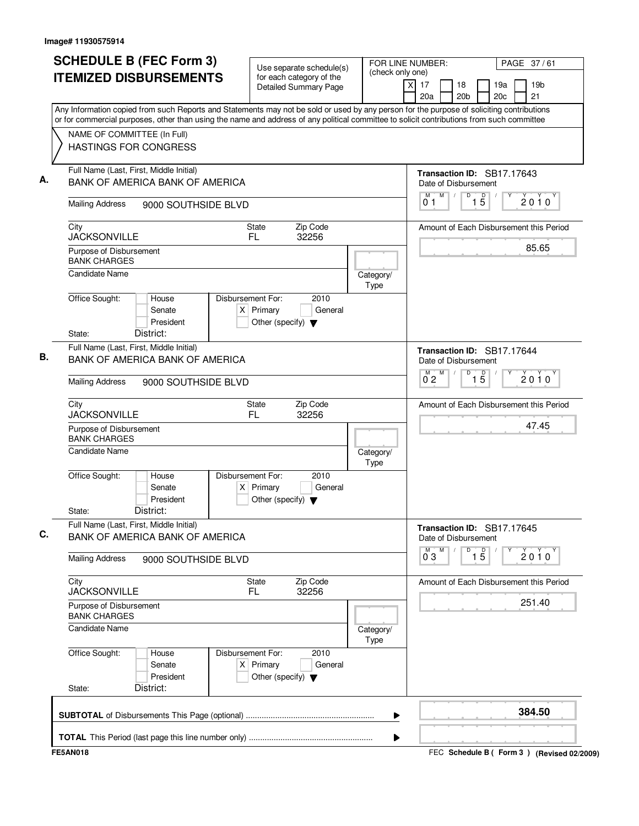| <b>SCHEDULE B (FEC Form 3)</b>                                                                                                                                                                                                                                                         |                                           |                                                                          | Use separate schedule(s)     | FOR LINE NUMBER:<br>(check only one) |                                                                   | PAGE 37/61                              |
|----------------------------------------------------------------------------------------------------------------------------------------------------------------------------------------------------------------------------------------------------------------------------------------|-------------------------------------------|--------------------------------------------------------------------------|------------------------------|--------------------------------------|-------------------------------------------------------------------|-----------------------------------------|
| <b>ITEMIZED DISBURSEMENTS</b>                                                                                                                                                                                                                                                          |                                           | for each category of the                                                 | <b>Detailed Summary Page</b> | X                                    | 17<br>18<br>20 <sub>b</sub><br>20a                                | 19a<br>19 <sub>b</sub><br>20c<br>21     |
| Any Information copied from such Reports and Statements may not be sold or used by any person for the purpose of soliciting contributions<br>or for commercial purposes, other than using the name and address of any political committee to solicit contributions from such committee |                                           |                                                                          |                              |                                      |                                                                   |                                         |
| NAME OF COMMITTEE (In Full)<br><b>HASTINGS FOR CONGRESS</b>                                                                                                                                                                                                                            |                                           |                                                                          |                              |                                      |                                                                   |                                         |
| Full Name (Last, First, Middle Initial)                                                                                                                                                                                                                                                | <b>BANK OF AMERICA BANK OF AMERICA</b>    |                                                                          |                              |                                      | Transaction ID: SB17.17643<br>Date of Disbursement                |                                         |
| <b>Mailing Address</b>                                                                                                                                                                                                                                                                 | 9000 SOUTHSIDE BLVD                       |                                                                          |                              |                                      | M<br>$\overline{D}$<br>$\overline{1\,5}$<br>М<br>$\sqrt{2}$<br>01 | 2010                                    |
| City<br><b>JACKSONVILLE</b>                                                                                                                                                                                                                                                            |                                           | State<br>FL.                                                             | Zip Code<br>32256            |                                      |                                                                   | Amount of Each Disbursement this Period |
| Purpose of Disbursement<br><b>BANK CHARGES</b>                                                                                                                                                                                                                                         |                                           |                                                                          |                              |                                      |                                                                   | 85.65                                   |
| Candidate Name                                                                                                                                                                                                                                                                         |                                           |                                                                          |                              | Category/<br>Type                    |                                                                   |                                         |
| Office Sought:<br>State:                                                                                                                                                                                                                                                               | House<br>Senate<br>President<br>District: | Disbursement For:<br>$X$ Primary<br>Other (specify) $\blacktriangledown$ | 2010<br>General              |                                      |                                                                   |                                         |
| Full Name (Last, First, Middle Initial)                                                                                                                                                                                                                                                | BANK OF AMERICA BANK OF AMERICA           |                                                                          |                              |                                      | Transaction ID: SB17.17644<br>Date of Disbursement                |                                         |
| <b>Mailing Address</b>                                                                                                                                                                                                                                                                 | 9000 SOUTHSIDE BLVD                       |                                                                          |                              |                                      | M<br>D<br>$\overline{1\phantom{1}5}$<br>$\overline{0}^M$ 2        | $2010^y$                                |
| City<br><b>JACKSONVILLE</b>                                                                                                                                                                                                                                                            |                                           | State<br>FL.                                                             | Zip Code<br>32256            |                                      |                                                                   | Amount of Each Disbursement this Period |
| Purpose of Disbursement<br><b>BANK CHARGES</b>                                                                                                                                                                                                                                         |                                           |                                                                          |                              |                                      |                                                                   | 47.45                                   |
| <b>Candidate Name</b>                                                                                                                                                                                                                                                                  |                                           |                                                                          |                              | Category/<br>Type                    |                                                                   |                                         |
| Office Sought:<br>State:                                                                                                                                                                                                                                                               | House<br>Senate<br>President<br>District: | Disbursement For:<br>$X$ Primary<br>Other (specify) $\blacktriangledown$ | 2010<br>General              |                                      |                                                                   |                                         |
| Full Name (Last, First, Middle Initial)                                                                                                                                                                                                                                                | <b>BANK OF AMERICA BANK OF AMERICA</b>    |                                                                          |                              |                                      | Transaction ID: SB17.17645<br>Date of Disbursement                |                                         |
| <b>Mailing Address</b>                                                                                                                                                                                                                                                                 | 9000 SOUTHSIDE BLVD                       |                                                                          |                              |                                      | M<br>M<br>$\overline{1\,5}$<br>D<br>03                            | $2010^y$                                |
| City<br><b>JACKSONVILLE</b>                                                                                                                                                                                                                                                            |                                           | State<br>FL                                                              | Zip Code<br>32256            |                                      |                                                                   | Amount of Each Disbursement this Period |
| Purpose of Disbursement<br><b>BANK CHARGES</b>                                                                                                                                                                                                                                         |                                           |                                                                          |                              |                                      |                                                                   | 251.40                                  |
| <b>Candidate Name</b>                                                                                                                                                                                                                                                                  |                                           |                                                                          |                              | Category/<br>Type                    |                                                                   |                                         |
| Office Sought:                                                                                                                                                                                                                                                                         | House<br>Senate<br>President              | Disbursement For:<br>$X$ Primary<br>Other (specify) $\blacktriangledown$ | 2010<br>General              |                                      |                                                                   |                                         |
| State:                                                                                                                                                                                                                                                                                 | District:                                 |                                                                          |                              |                                      |                                                                   |                                         |
|                                                                                                                                                                                                                                                                                        |                                           |                                                                          |                              |                                      |                                                                   | 384.50                                  |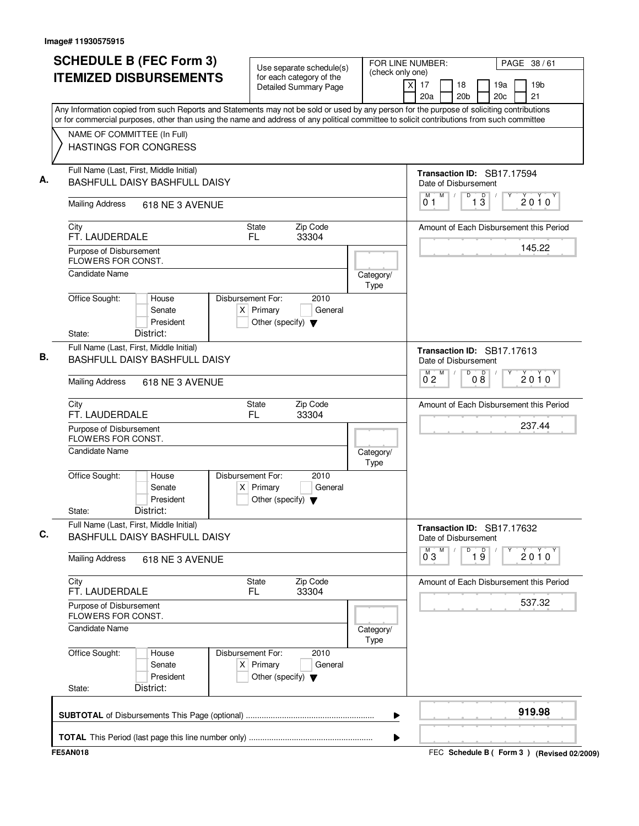| <b>SCHEDULE B (FEC Form 3)</b><br><b>ITEMIZED DISBURSEMENTS</b>                                                       | Use separate schedule(s)<br>for each category of the<br><b>Detailed Summary Page</b>                                                                                                                                                                                                   | FOR LINE NUMBER:<br>PAGE 38/61<br>(check only one)<br>19 <sub>b</sub><br>$\times$<br>17<br>18<br>19a<br>21<br>20 <sub>b</sub><br>20a<br>20 <sub>c</sub> |
|-----------------------------------------------------------------------------------------------------------------------|----------------------------------------------------------------------------------------------------------------------------------------------------------------------------------------------------------------------------------------------------------------------------------------|---------------------------------------------------------------------------------------------------------------------------------------------------------|
| NAME OF COMMITTEE (In Full)<br><b>HASTINGS FOR CONGRESS</b>                                                           | Any Information copied from such Reports and Statements may not be sold or used by any person for the purpose of soliciting contributions<br>or for commercial purposes, other than using the name and address of any political committee to solicit contributions from such committee |                                                                                                                                                         |
| Full Name (Last, First, Middle Initial)<br>BASHFULL DAISY BASHFULL DAISY<br><b>Mailing Address</b><br>618 NE 3 AVENUE |                                                                                                                                                                                                                                                                                        | <b>Transaction ID: SB17.17594</b><br>Date of Disbursement<br>M<br>$\overline{D}$<br>M<br>$\sqrt{ }$<br>13<br>2010<br>01                                 |
| City<br>FT. LAUDERDALE<br>Purpose of Disbursement                                                                     | Zip Code<br>State<br>FL<br>33304                                                                                                                                                                                                                                                       | Amount of Each Disbursement this Period<br>145.22                                                                                                       |
| FLOWERS FOR CONST.<br>Candidate Name                                                                                  | Category/<br>Type                                                                                                                                                                                                                                                                      |                                                                                                                                                         |
| Office Sought:<br>House<br>Senate<br>President<br>District:<br>State:                                                 | 2010<br>Disbursement For:<br>$X$ Primary<br>General<br>Other (specify) $\blacktriangledown$                                                                                                                                                                                            |                                                                                                                                                         |
| Full Name (Last, First, Middle Initial)<br>BASHFULL DAISY BASHFULL DAISY                                              |                                                                                                                                                                                                                                                                                        | Transaction ID: SB17.17613<br>Date of Disbursement<br>$\overline{D}$<br>M<br>08<br>$\overline{0}^M$ 2<br>$2010^y$                                       |
| <b>Mailing Address</b><br>618 NE 3 AVENUE                                                                             |                                                                                                                                                                                                                                                                                        |                                                                                                                                                         |
| City<br>FT. LAUDERDALE                                                                                                | State<br>Zip Code<br>FL<br>33304                                                                                                                                                                                                                                                       | Amount of Each Disbursement this Period                                                                                                                 |
| Purpose of Disbursement<br>FLOWERS FOR CONST.<br><b>Candidate Name</b>                                                | Category/                                                                                                                                                                                                                                                                              | 237.44                                                                                                                                                  |
| Office Sought:<br>House<br>Senate<br>President<br>District:<br>State:                                                 | Type<br>Disbursement For:<br>2010<br>$X$ Primary<br>General<br>Other (specify) $\blacktriangledown$                                                                                                                                                                                    |                                                                                                                                                         |
| Full Name (Last, First, Middle Initial)<br>BASHFULL DAISY BASHFULL DAISY                                              |                                                                                                                                                                                                                                                                                        | Transaction ID: SB17.17632<br>Date of Disbursement<br>M<br>D<br>м                                                                                       |
| <b>Mailing Address</b><br>618 NE 3 AVENUE                                                                             |                                                                                                                                                                                                                                                                                        | $\overline{19}$<br>$2010^y$<br>03                                                                                                                       |
| City<br>FT. LAUDERDALE                                                                                                | Zip Code<br>State<br>33304<br>FL.                                                                                                                                                                                                                                                      | Amount of Each Disbursement this Period<br>537.32                                                                                                       |
| Purpose of Disbursement<br><b>FLOWERS FOR CONST.</b><br><b>Candidate Name</b>                                         | Category/                                                                                                                                                                                                                                                                              |                                                                                                                                                         |
| Office Sought:<br>House<br>Senate<br>President<br>District:<br>State:                                                 | Type<br>Disbursement For:<br>2010<br>$X$ Primary<br>General<br>Other (specify) $\blacktriangledown$                                                                                                                                                                                    |                                                                                                                                                         |
|                                                                                                                       |                                                                                                                                                                                                                                                                                        | 919.98                                                                                                                                                  |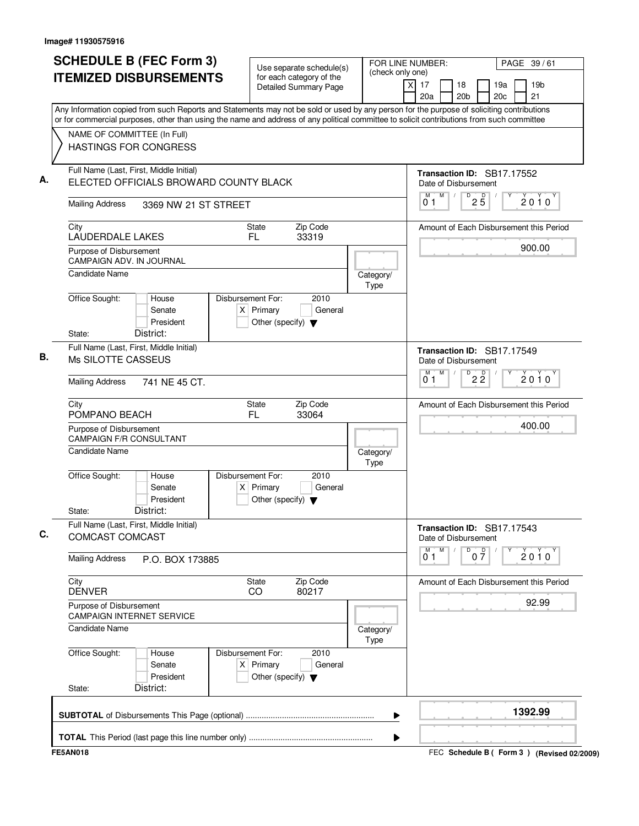| NAME OF COMMITTEE (In Full)<br><b>HASTINGS FOR CONGRESS</b><br>Full Name (Last, First, Middle Initial)<br>ELECTED OFFICIALS BROWARD COUNTY BLACK<br><b>Mailing Address</b><br>City | 3369 NW 21 ST STREET |                                                     |                   |                   | Any Information copied from such Reports and Statements may not be sold or used by any person for the purpose of soliciting contributions<br>or for commercial purposes, other than using the name and address of any political committee to solicit contributions from such committee |
|------------------------------------------------------------------------------------------------------------------------------------------------------------------------------------|----------------------|-----------------------------------------------------|-------------------|-------------------|----------------------------------------------------------------------------------------------------------------------------------------------------------------------------------------------------------------------------------------------------------------------------------------|
|                                                                                                                                                                                    |                      |                                                     |                   |                   |                                                                                                                                                                                                                                                                                        |
|                                                                                                                                                                                    |                      |                                                     |                   |                   | Transaction ID: SB17.17552<br>Date of Disbursement                                                                                                                                                                                                                                     |
|                                                                                                                                                                                    |                      |                                                     |                   |                   | $\mathsf D$<br>M<br>$2\overline{5}$<br>M<br>$\sqrt{2}$<br>2010<br>0 1                                                                                                                                                                                                                  |
| LAUDERDALE LAKES                                                                                                                                                                   |                      | <b>State</b><br>FL.                                 | Zip Code<br>33319 |                   | Amount of Each Disbursement this Period<br>900.00                                                                                                                                                                                                                                      |
| Purpose of Disbursement<br><b>CAMPAIGN ADV. IN JOURNAL</b><br><b>Candidate Name</b>                                                                                                |                      |                                                     |                   | Category/         |                                                                                                                                                                                                                                                                                        |
| Office Sought:<br>House<br>Senate<br>President<br>District:<br>State:                                                                                                              | Disbursement For:    | $X$ Primary<br>Other (specify) $\blacktriangledown$ | 2010<br>General   | Type              |                                                                                                                                                                                                                                                                                        |
| Full Name (Last, First, Middle Initial)<br>Ms SILOTTE CASSEUS                                                                                                                      |                      |                                                     |                   |                   | Transaction ID: SB17.17549<br>Date of Disbursement<br>M                                                                                                                                                                                                                                |
| <b>Mailing Address</b><br>741 NE 45 CT.                                                                                                                                            |                      |                                                     |                   |                   | $\overline{P}$ 2 $\overline{2}$<br>$\overline{0}^M$ 1<br>$2010^y$                                                                                                                                                                                                                      |
| City<br>POMPANO BEACH                                                                                                                                                              |                      | <b>State</b><br>FL.                                 | Zip Code<br>33064 |                   | Amount of Each Disbursement this Period                                                                                                                                                                                                                                                |
| Purpose of Disbursement<br><b>CAMPAIGN F/R CONSULTANT</b>                                                                                                                          |                      |                                                     |                   |                   | 400.00                                                                                                                                                                                                                                                                                 |
| <b>Candidate Name</b>                                                                                                                                                              |                      |                                                     |                   | Category/<br>Type |                                                                                                                                                                                                                                                                                        |
| Office Sought:<br>House<br>Senate<br>President<br>District:<br>State:                                                                                                              | Disbursement For:    | $X$ Primary<br>Other (specify) $\blacktriangledown$ | 2010<br>General   |                   |                                                                                                                                                                                                                                                                                        |
| Full Name (Last, First, Middle Initial)<br>COMCAST COMCAST                                                                                                                         |                      |                                                     |                   |                   | Transaction ID: SB17.17543<br>Date of Disbursement                                                                                                                                                                                                                                     |
| <b>Mailing Address</b><br>P.O. BOX 173885                                                                                                                                          |                      |                                                     |                   |                   | M<br>M<br>D<br>$0\frac{D}{7}$<br>$2010^{\circ}$<br>01                                                                                                                                                                                                                                  |
| City<br><b>DENVER</b>                                                                                                                                                              |                      | <b>State</b><br>CO                                  | Zip Code<br>80217 |                   | Amount of Each Disbursement this Period                                                                                                                                                                                                                                                |
| Purpose of Disbursement<br><b>CAMPAIGN INTERNET SERVICE</b>                                                                                                                        |                      |                                                     |                   |                   | 92.99                                                                                                                                                                                                                                                                                  |
| <b>Candidate Name</b>                                                                                                                                                              |                      |                                                     |                   | Category/<br>Type |                                                                                                                                                                                                                                                                                        |
| Office Sought:<br>House<br>Senate<br>President<br>District:<br>State:                                                                                                              | Disbursement For:    | $X$ Primary<br>Other (specify) $\blacktriangledown$ | 2010<br>General   |                   |                                                                                                                                                                                                                                                                                        |
|                                                                                                                                                                                    |                      |                                                     |                   | ▶                 | 1392.99                                                                                                                                                                                                                                                                                |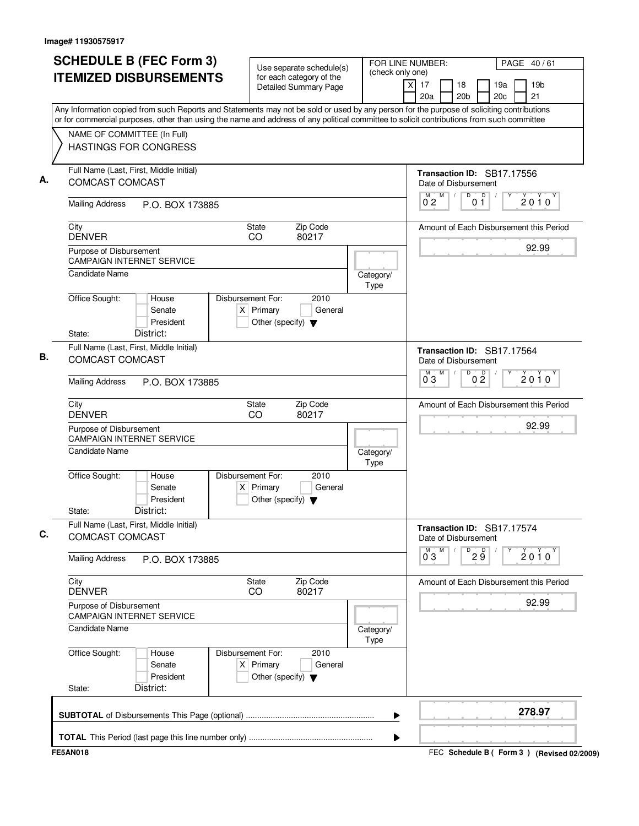| <b>SCHEDULE B (FEC Form 3)</b>                                                                                                                                                                                                                                                         | Use separate schedule(s)                                                                    | FOR LINE NUMBER:<br>(check only one) |                                                    |                                  | PAGE 40/61 |                       |  |
|----------------------------------------------------------------------------------------------------------------------------------------------------------------------------------------------------------------------------------------------------------------------------------------|---------------------------------------------------------------------------------------------|--------------------------------------|----------------------------------------------------|----------------------------------|------------|-----------------------|--|
| <b>ITEMIZED DISBURSEMENTS</b>                                                                                                                                                                                                                                                          | for each category of the<br><b>Detailed Summary Page</b>                                    | x                                    | 17<br>18<br>20 <sub>b</sub><br>20a                 |                                  | 19a<br>20c | 19 <sub>b</sub><br>21 |  |
| Any Information copied from such Reports and Statements may not be sold or used by any person for the purpose of soliciting contributions<br>or for commercial purposes, other than using the name and address of any political committee to solicit contributions from such committee |                                                                                             |                                      |                                                    |                                  |            |                       |  |
| NAME OF COMMITTEE (In Full)                                                                                                                                                                                                                                                            |                                                                                             |                                      |                                                    |                                  |            |                       |  |
| <b>HASTINGS FOR CONGRESS</b>                                                                                                                                                                                                                                                           |                                                                                             |                                      |                                                    |                                  |            |                       |  |
| Full Name (Last, First, Middle Initial)<br><b>COMCAST COMCAST</b>                                                                                                                                                                                                                      |                                                                                             |                                      | Transaction ID: SB17.17556<br>Date of Disbursement |                                  |            |                       |  |
| <b>Mailing Address</b><br>P.O. BOX 173885                                                                                                                                                                                                                                              |                                                                                             |                                      | M<br>M<br>0 <sub>2</sub>                           | D<br>0 <sub>1</sub>              | p          | $2010^y$              |  |
| City<br><b>DENVER</b>                                                                                                                                                                                                                                                                  | Zip Code<br>State<br>CO<br>80217                                                            |                                      | Amount of Each Disbursement this Period            |                                  |            |                       |  |
| Purpose of Disbursement<br><b>CAMPAIGN INTERNET SERVICE</b>                                                                                                                                                                                                                            |                                                                                             |                                      |                                                    |                                  |            | 92.99                 |  |
| Candidate Name                                                                                                                                                                                                                                                                         |                                                                                             | Category/<br>Type                    |                                                    |                                  |            |                       |  |
| Office Sought:<br>House<br>Senate<br>President                                                                                                                                                                                                                                         | Disbursement For:<br>2010<br>$X$ Primary<br>General<br>Other (specify) $\blacktriangledown$ |                                      |                                                    |                                  |            |                       |  |
| District:<br>State:<br>Full Name (Last, First, Middle Initial)                                                                                                                                                                                                                         |                                                                                             |                                      |                                                    |                                  |            |                       |  |
| <b>COMCAST COMCAST</b>                                                                                                                                                                                                                                                                 |                                                                                             |                                      | Transaction ID: SB17.17564<br>Date of Disbursement |                                  |            |                       |  |
| <b>Mailing Address</b><br>P.O. BOX 173885                                                                                                                                                                                                                                              |                                                                                             |                                      | M<br>М<br>$0^{\degree}3$                           | $\overline{D}$<br>0 <sup>0</sup> |            | $2010^y$              |  |
| City<br><b>DENVER</b>                                                                                                                                                                                                                                                                  | Zip Code<br>State<br>CO<br>80217                                                            |                                      | Amount of Each Disbursement this Period            |                                  |            |                       |  |
| Purpose of Disbursement<br><b>CAMPAIGN INTERNET SERVICE</b>                                                                                                                                                                                                                            |                                                                                             |                                      |                                                    |                                  |            | 92.99                 |  |
| <b>Candidate Name</b>                                                                                                                                                                                                                                                                  |                                                                                             | Category/<br>Type                    |                                                    |                                  |            |                       |  |
| Office Sought:<br>House<br>Senate<br>President<br>District:<br>State:                                                                                                                                                                                                                  | Disbursement For:<br>2010<br>$X$ Primary<br>General<br>Other (specify) $\blacktriangledown$ |                                      |                                                    |                                  |            |                       |  |
| Full Name (Last, First, Middle Initial)<br><b>COMCAST COMCAST</b>                                                                                                                                                                                                                      |                                                                                             |                                      | Transaction ID: SB17.17574<br>Date of Disbursement |                                  |            |                       |  |
| <b>Mailing Address</b><br>P.O. BOX 173885                                                                                                                                                                                                                                              |                                                                                             |                                      | M<br>M<br>$0^{\degree}3$                           | D<br>29                          |            | $2010^y$              |  |
| City<br><b>DENVER</b>                                                                                                                                                                                                                                                                  | Zip Code<br>State<br>80217<br>CO.                                                           |                                      | Amount of Each Disbursement this Period            |                                  |            |                       |  |
| Purpose of Disbursement<br><b>CAMPAIGN INTERNET SERVICE</b>                                                                                                                                                                                                                            |                                                                                             |                                      |                                                    |                                  |            | 92.99                 |  |
| <b>Candidate Name</b>                                                                                                                                                                                                                                                                  |                                                                                             | Category/<br>Type                    |                                                    |                                  |            |                       |  |
| Office Sought:<br>House<br>Senate<br>President                                                                                                                                                                                                                                         | Disbursement For:<br>2010<br>$X$ Primary<br>General<br>Other (specify) $\blacktriangledown$ |                                      |                                                    |                                  |            |                       |  |
| District:<br>State:                                                                                                                                                                                                                                                                    |                                                                                             |                                      |                                                    |                                  |            |                       |  |
|                                                                                                                                                                                                                                                                                        |                                                                                             | ▶                                    |                                                    |                                  |            | 278.97                |  |
|                                                                                                                                                                                                                                                                                        |                                                                                             | ▶                                    |                                                    |                                  |            |                       |  |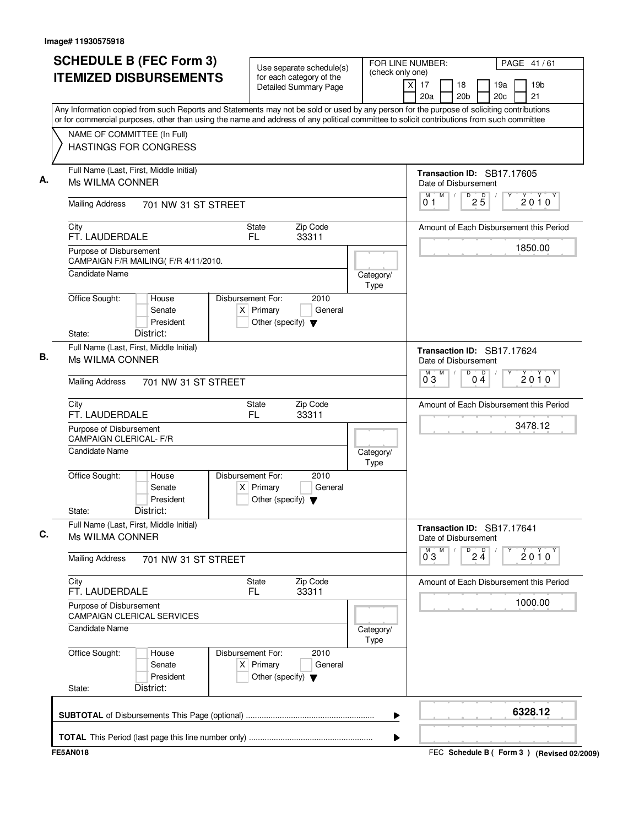| <b>SCHEDULE B (FEC Form 3)</b><br><b>ITEMIZED DISBURSEMENTS</b>                                                                                                                                                                                                                        | Use separate schedule(s)<br>for each category of the<br><b>Detailed Summary Page</b>        | (check only one)  | FOR LINE NUMBER:<br>PAGE 41/61<br>19 <sub>b</sub><br>xl<br>17<br>18<br>19a<br>20c<br>21<br>20a<br>20 <sub>b</sub> |
|----------------------------------------------------------------------------------------------------------------------------------------------------------------------------------------------------------------------------------------------------------------------------------------|---------------------------------------------------------------------------------------------|-------------------|-------------------------------------------------------------------------------------------------------------------|
| Any Information copied from such Reports and Statements may not be sold or used by any person for the purpose of soliciting contributions<br>or for commercial purposes, other than using the name and address of any political committee to solicit contributions from such committee |                                                                                             |                   |                                                                                                                   |
| NAME OF COMMITTEE (In Full)<br><b>HASTINGS FOR CONGRESS</b>                                                                                                                                                                                                                            |                                                                                             |                   |                                                                                                                   |
| Full Name (Last, First, Middle Initial)<br>Ms WILMA CONNER                                                                                                                                                                                                                             |                                                                                             |                   | Transaction ID: SB17.17605<br>Date of Disbursement                                                                |
| <b>Mailing Address</b><br>701 NW 31 ST STREET                                                                                                                                                                                                                                          |                                                                                             |                   | M<br>$^{D}$ 2 $\overline{5}$<br>М<br>$2010^y$<br>01                                                               |
| City<br>FT. LAUDERDALE                                                                                                                                                                                                                                                                 | Zip Code<br>State<br>FL.<br>33311                                                           |                   | Amount of Each Disbursement this Period                                                                           |
| Purpose of Disbursement<br>CAMPAIGN F/R MAILING(F/R 4/11/2010.                                                                                                                                                                                                                         |                                                                                             |                   | 1850.00                                                                                                           |
| <b>Candidate Name</b>                                                                                                                                                                                                                                                                  |                                                                                             | Category/<br>Type |                                                                                                                   |
| Office Sought:<br>House<br>Senate<br>President<br>District:<br>State:                                                                                                                                                                                                                  | Disbursement For:<br>2010<br>$X$ Primary<br>General<br>Other (specify) $\blacktriangledown$ |                   |                                                                                                                   |
| Full Name (Last, First, Middle Initial)<br>Ms WILMA CONNER                                                                                                                                                                                                                             |                                                                                             |                   | Transaction ID: SB17.17624<br>Date of Disbursement<br>M<br>D<br>M                                                 |
| <b>Mailing Address</b><br>701 NW 31 ST STREET                                                                                                                                                                                                                                          |                                                                                             |                   | $0\stackrel{D}{4}$<br>2010<br>03                                                                                  |
| City<br>FT. LAUDERDALE                                                                                                                                                                                                                                                                 | Zip Code<br>State<br>FL.<br>33311                                                           |                   | Amount of Each Disbursement this Period                                                                           |
| Purpose of Disbursement<br><b>CAMPAIGN CLERICAL- F/R</b>                                                                                                                                                                                                                               |                                                                                             |                   | 3478.12                                                                                                           |
| <b>Candidate Name</b>                                                                                                                                                                                                                                                                  |                                                                                             | Category/<br>Type |                                                                                                                   |
| Office Sought:<br>House<br>Senate<br>President<br>District:<br>State:                                                                                                                                                                                                                  | 2010<br>Disbursement For:<br>$X$ Primary<br>General<br>Other (specify) $\blacktriangledown$ |                   |                                                                                                                   |
| Full Name (Last, First, Middle Initial)<br>Ms WILMA CONNER                                                                                                                                                                                                                             |                                                                                             |                   | Transaction ID: SB17.17641<br>Date of Disbursement                                                                |
| <b>Mailing Address</b><br>701 NW 31 ST STREET                                                                                                                                                                                                                                          |                                                                                             |                   | M<br>D<br>$2\frac{D}{4}$<br>$0^{M}$ 3<br>Υ<br>$2010^y$                                                            |
| City<br>FT. LAUDERDALE                                                                                                                                                                                                                                                                 | Zip Code<br><b>State</b><br>33311<br>FL.                                                    |                   | Amount of Each Disbursement this Period                                                                           |
| Purpose of Disbursement<br><b>CAMPAIGN CLERICAL SERVICES</b>                                                                                                                                                                                                                           |                                                                                             |                   | 1000.00                                                                                                           |
| Candidate Name                                                                                                                                                                                                                                                                         |                                                                                             | Category/<br>Type |                                                                                                                   |
| Office Sought:<br>House<br>Senate<br>President                                                                                                                                                                                                                                         | Disbursement For:<br>2010<br>$X$ Primary<br>General<br>Other (specify) $\blacktriangledown$ |                   |                                                                                                                   |
| District:<br>State:                                                                                                                                                                                                                                                                    |                                                                                             |                   | 6328.12                                                                                                           |
|                                                                                                                                                                                                                                                                                        |                                                                                             | ▶                 |                                                                                                                   |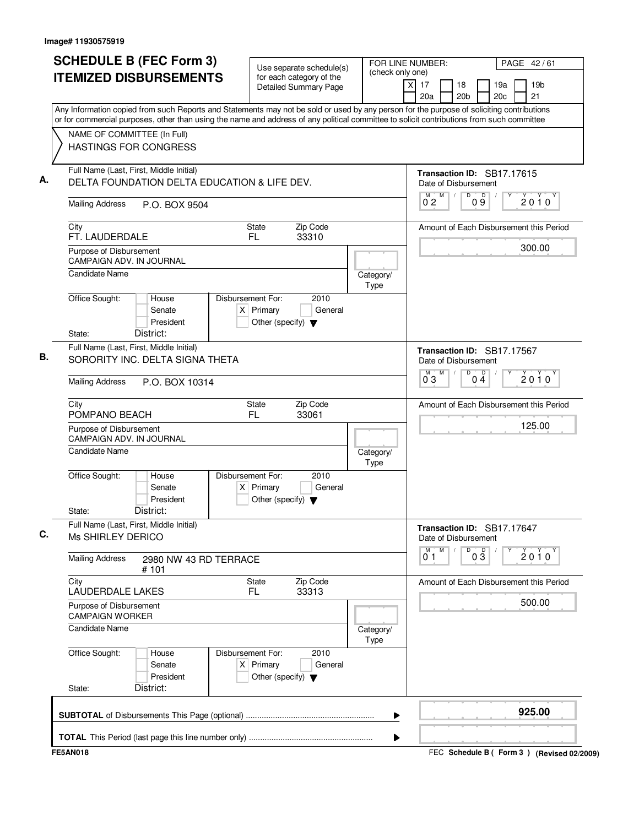| <b>SCHEDULE B (FEC Form 3)</b><br><b>ITEMIZED DISBURSEMENTS</b>                                                                                                                                                                                                                                                       | Use separate schedule(s)<br>for each category of the<br><b>Detailed Summary Page</b>        |                   | FOR LINE NUMBER:<br>PAGE 42/61<br>(check only one)<br>19 <sub>b</sub><br>$\times$<br>17<br>18<br>19a<br>21<br>20a<br>20 <sub>b</sub><br>20c |
|-----------------------------------------------------------------------------------------------------------------------------------------------------------------------------------------------------------------------------------------------------------------------------------------------------------------------|---------------------------------------------------------------------------------------------|-------------------|---------------------------------------------------------------------------------------------------------------------------------------------|
| Any Information copied from such Reports and Statements may not be sold or used by any person for the purpose of soliciting contributions<br>or for commercial purposes, other than using the name and address of any political committee to solicit contributions from such committee<br>NAME OF COMMITTEE (In Full) |                                                                                             |                   |                                                                                                                                             |
| HASTINGS FOR CONGRESS                                                                                                                                                                                                                                                                                                 |                                                                                             |                   |                                                                                                                                             |
| Full Name (Last, First, Middle Initial)<br>DELTA FOUNDATION DELTA EDUCATION & LIFE DEV.                                                                                                                                                                                                                               |                                                                                             |                   | Transaction ID: SB17.17615<br>Date of Disbursement<br>$\overline{D}$<br>M<br>09<br>M<br>$\sqrt{2}$                                          |
| <b>Mailing Address</b><br>P.O. BOX 9504                                                                                                                                                                                                                                                                               |                                                                                             |                   | $2010^y$<br>0 <sub>2</sub>                                                                                                                  |
| City<br>FT. LAUDERDALE                                                                                                                                                                                                                                                                                                | Zip Code<br>State<br>FL<br>33310                                                            |                   | Amount of Each Disbursement this Period<br>300.00                                                                                           |
| Purpose of Disbursement<br><b>CAMPAIGN ADV. IN JOURNAL</b>                                                                                                                                                                                                                                                            |                                                                                             |                   |                                                                                                                                             |
| Candidate Name                                                                                                                                                                                                                                                                                                        |                                                                                             | Category/<br>Type |                                                                                                                                             |
| Office Sought:<br>House<br>Senate<br>President                                                                                                                                                                                                                                                                        | Disbursement For:<br>2010<br>$X$ Primary<br>General<br>Other (specify) $\blacktriangledown$ |                   |                                                                                                                                             |
| District:<br>State:<br>Full Name (Last, First, Middle Initial)<br>SORORITY INC. DELTA SIGNA THETA                                                                                                                                                                                                                     |                                                                                             |                   | Transaction ID: SB17.17567<br>Date of Disbursement                                                                                          |
| <b>Mailing Address</b><br>P.O. BOX 10314                                                                                                                                                                                                                                                                              |                                                                                             |                   | $\overline{D}$<br>M<br>0 <sup>0</sup><br>$0^{\overline{0}}3$<br>2010                                                                        |
| City<br>POMPANO BEACH                                                                                                                                                                                                                                                                                                 | Zip Code<br><b>State</b><br>FL<br>33061                                                     |                   | Amount of Each Disbursement this Period                                                                                                     |
| Purpose of Disbursement<br><b>CAMPAIGN ADV. IN JOURNAL</b>                                                                                                                                                                                                                                                            |                                                                                             |                   | 125.00                                                                                                                                      |
| Candidate Name                                                                                                                                                                                                                                                                                                        |                                                                                             | Category/<br>Type |                                                                                                                                             |
| Office Sought:<br>House<br>Senate<br>President<br>District:<br>State:                                                                                                                                                                                                                                                 | Disbursement For:<br>2010<br>$X$ Primary<br>General<br>Other (specify) $\blacktriangledown$ |                   |                                                                                                                                             |
| Full Name (Last, First, Middle Initial)<br>Ms SHIRLEY DERICO                                                                                                                                                                                                                                                          |                                                                                             |                   | Transaction ID: SB17.17647<br>Date of Disbursement                                                                                          |
| <b>Mailing Address</b><br>2980 NW 43 RD TERRACE<br># 101                                                                                                                                                                                                                                                              |                                                                                             |                   | D<br>M<br>M<br>$0\overline{3}$<br>2010<br>01                                                                                                |
| City<br>LAUDERDALE LAKES                                                                                                                                                                                                                                                                                              | Zip Code<br>State<br>FL.<br>33313                                                           |                   | Amount of Each Disbursement this Period                                                                                                     |
| Purpose of Disbursement<br><b>CAMPAIGN WORKER</b>                                                                                                                                                                                                                                                                     |                                                                                             |                   | 500.00                                                                                                                                      |
| <b>Candidate Name</b>                                                                                                                                                                                                                                                                                                 |                                                                                             | Category/<br>Type |                                                                                                                                             |
| Office Sought:<br>House<br>Senate<br>President                                                                                                                                                                                                                                                                        | Disbursement For:<br>2010<br>$X$ Primary<br>General<br>Other (specify) $\blacktriangledown$ |                   |                                                                                                                                             |
| District:<br>State:                                                                                                                                                                                                                                                                                                   |                                                                                             |                   |                                                                                                                                             |
|                                                                                                                                                                                                                                                                                                                       |                                                                                             |                   | 925.00<br>▶                                                                                                                                 |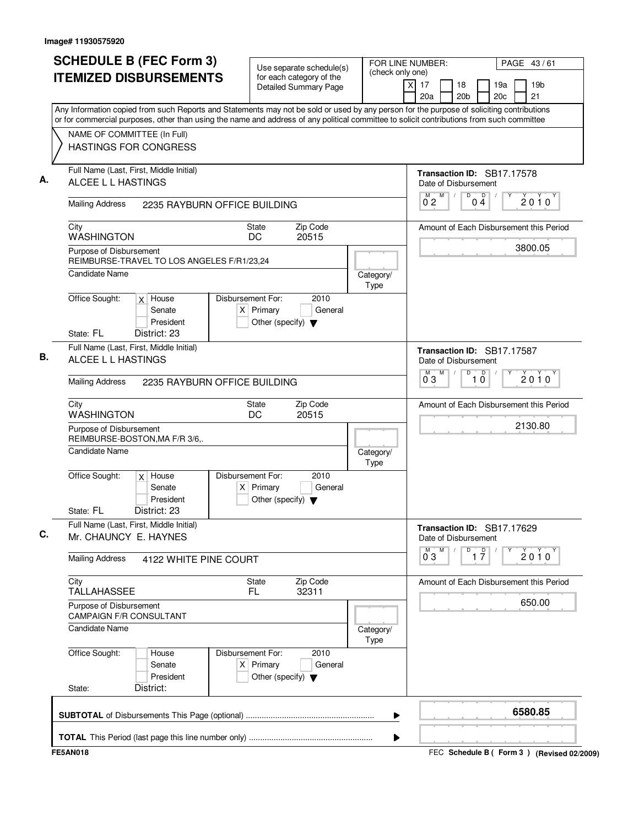| <b>SCHEDULE B (FEC Form 3)</b>                                                                                                            | Use separate schedule(s)                                                                    |                   | FOR LINE NUMBER:<br>PAGE 43/61<br>(check only one) |                                                |  |  |  |  |
|-------------------------------------------------------------------------------------------------------------------------------------------|---------------------------------------------------------------------------------------------|-------------------|----------------------------------------------------|------------------------------------------------|--|--|--|--|
| <b>ITEMIZED DISBURSEMENTS</b>                                                                                                             | for each category of the<br>Detailed Summary Page                                           |                   | χI<br>17<br>18<br>20 <sub>b</sub><br>20a           | 19a<br>19 <sub>b</sub><br>20c<br>21            |  |  |  |  |
| Any Information copied from such Reports and Statements may not be sold or used by any person for the purpose of soliciting contributions |                                                                                             |                   |                                                    |                                                |  |  |  |  |
| or for commercial purposes, other than using the name and address of any political committee to solicit contributions from such committee |                                                                                             |                   |                                                    |                                                |  |  |  |  |
| NAME OF COMMITTEE (In Full)<br><b>HASTINGS FOR CONGRESS</b>                                                                               |                                                                                             |                   |                                                    |                                                |  |  |  |  |
| Full Name (Last, First, Middle Initial)<br>ALCEE L L HASTINGS                                                                             |                                                                                             |                   | Date of Disbursement                               | Transaction ID: SB17.17578                     |  |  |  |  |
| <b>Mailing Address</b><br>2235 RAYBURN OFFICE BUILDING                                                                                    |                                                                                             |                   | M<br>M<br>$\sqrt{ }$<br>02                         | $\overline{D}$<br>D<br>2010<br>04              |  |  |  |  |
| City<br><b>WASHINGTON</b>                                                                                                                 | Zip Code<br><b>State</b><br>DC<br>20515                                                     |                   |                                                    | Amount of Each Disbursement this Period        |  |  |  |  |
| Purpose of Disbursement<br>REIMBURSE-TRAVEL TO LOS ANGELES F/R1/23.24                                                                     |                                                                                             |                   |                                                    | 3800.05                                        |  |  |  |  |
| <b>Candidate Name</b>                                                                                                                     |                                                                                             | Category/<br>Type |                                                    |                                                |  |  |  |  |
| Office Sought:<br>$x$ House<br>Senate<br>President                                                                                        | Disbursement For:<br>2010<br>$X$ Primary<br>General<br>Other (specify) $\blacktriangledown$ |                   |                                                    |                                                |  |  |  |  |
| State: FL<br>District: 23                                                                                                                 |                                                                                             |                   |                                                    |                                                |  |  |  |  |
| Full Name (Last, First, Middle Initial)<br>ALCEE L L HASTINGS                                                                             |                                                                                             |                   | Date of Disbursement                               | Transaction ID: SB17.17587                     |  |  |  |  |
| <b>Mailing Address</b><br>2235 RAYBURN OFFICE BUILDING                                                                                    |                                                                                             |                   | M<br>M<br>$0^{\degree}3$                           | D<br>$\overline{1}$ $\overline{0}$<br>$2010^y$ |  |  |  |  |
| City<br>WASHINGTON                                                                                                                        | Zip Code<br><b>State</b><br>DC<br>20515                                                     |                   |                                                    | Amount of Each Disbursement this Period        |  |  |  |  |
| Purpose of Disbursement<br>REIMBURSE-BOSTON, MA F/R 3/6,.                                                                                 |                                                                                             |                   |                                                    | 2130.80                                        |  |  |  |  |
| <b>Candidate Name</b>                                                                                                                     |                                                                                             | Category/<br>Type |                                                    |                                                |  |  |  |  |
| Office Sought:<br>$x$ House<br>Senate<br>$\times$<br>President<br>District: 23<br>State: FL                                               | Disbursement For:<br>2010<br>Primary<br>General<br>Other (specify) $\blacktriangledown$     |                   |                                                    |                                                |  |  |  |  |
| Full Name (Last, First, Middle Initial)<br>Mr. CHAUNCY E. HAYNES                                                                          |                                                                                             |                   | Date of Disbursement                               | Transaction ID: SB17.17629                     |  |  |  |  |
| <b>Mailing Address</b><br>4122 WHITE PINE COURT                                                                                           |                                                                                             |                   | $\overline{0}^M$ 3<br>M                            | D<br>$\overline{1}$ $\overline{7}$<br>$2010^y$ |  |  |  |  |
| City<br><b>TALLAHASSEE</b>                                                                                                                | Zip Code<br>State<br>FL<br>32311                                                            |                   |                                                    | Amount of Each Disbursement this Period        |  |  |  |  |
| Purpose of Disbursement<br><b>CAMPAIGN F/R CONSULTANT</b>                                                                                 |                                                                                             |                   |                                                    | 650.00                                         |  |  |  |  |
| <b>Candidate Name</b>                                                                                                                     |                                                                                             | Category/<br>Type |                                                    |                                                |  |  |  |  |
| Office Sought:<br>House<br>Senate<br>President                                                                                            | Disbursement For:<br>2010<br>$X$ Primary<br>General<br>Other (specify) $\blacktriangledown$ |                   |                                                    |                                                |  |  |  |  |
| District:<br>State:                                                                                                                       |                                                                                             |                   |                                                    |                                                |  |  |  |  |
|                                                                                                                                           |                                                                                             |                   |                                                    |                                                |  |  |  |  |
|                                                                                                                                           |                                                                                             |                   | ▶                                                  | 6580.85                                        |  |  |  |  |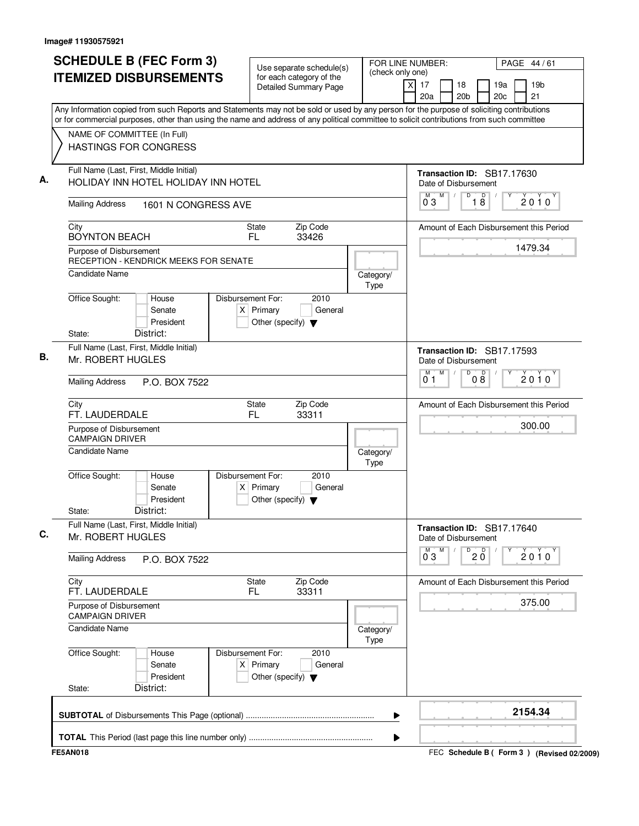| <b>SCHEDULE B (FEC Form 3)</b><br><b>ITEMIZED DISBURSEMENTS</b>                                                                                                                                                                                                                                                       | Use separate schedule(s)<br>for each category of the<br><b>Detailed Summary Page</b>        | (check only one)  | FOR LINE NUMBER:<br>PAGE 44/61<br>19 <sub>b</sub><br>X<br>17<br>19a<br>18<br>20 <sub>b</sub><br>21<br>20a<br>20c |
|-----------------------------------------------------------------------------------------------------------------------------------------------------------------------------------------------------------------------------------------------------------------------------------------------------------------------|---------------------------------------------------------------------------------------------|-------------------|------------------------------------------------------------------------------------------------------------------|
| Any Information copied from such Reports and Statements may not be sold or used by any person for the purpose of soliciting contributions<br>or for commercial purposes, other than using the name and address of any political committee to solicit contributions from such committee<br>NAME OF COMMITTEE (In Full) |                                                                                             |                   |                                                                                                                  |
| <b>HASTINGS FOR CONGRESS</b>                                                                                                                                                                                                                                                                                          |                                                                                             |                   |                                                                                                                  |
| Full Name (Last, First, Middle Initial)<br>HOLIDAY INN HOTEL HOLIDAY INN HOTEL                                                                                                                                                                                                                                        |                                                                                             |                   | Transaction ID: SB17.17630<br>Date of Disbursement<br>D<br>M<br>M<br>$\sqrt{ }$                                  |
| <b>Mailing Address</b><br>1601 N CONGRESS AVE                                                                                                                                                                                                                                                                         |                                                                                             |                   | $\overline{18}$<br>2010<br>03                                                                                    |
| City<br><b>BOYNTON BEACH</b>                                                                                                                                                                                                                                                                                          | Zip Code<br><b>State</b><br>FL.<br>33426                                                    |                   | Amount of Each Disbursement this Period                                                                          |
| Purpose of Disbursement<br><b>RECEPTION - KENDRICK MEEKS FOR SENATE</b>                                                                                                                                                                                                                                               |                                                                                             |                   | 1479.34                                                                                                          |
| Candidate Name                                                                                                                                                                                                                                                                                                        |                                                                                             | Category/<br>Type |                                                                                                                  |
| Office Sought:<br>House<br>Senate<br>President<br>District:<br>State:                                                                                                                                                                                                                                                 | Disbursement For:<br>2010<br>$X$ Primary<br>General<br>Other (specify) $\blacktriangledown$ |                   |                                                                                                                  |
| Full Name (Last, First, Middle Initial)<br>Mr. ROBERT HUGLES                                                                                                                                                                                                                                                          |                                                                                             |                   | Transaction ID: SB17.17593<br>Date of Disbursement                                                               |
| <b>Mailing Address</b><br>P.O. BOX 7522                                                                                                                                                                                                                                                                               |                                                                                             |                   | M<br>D<br>M<br>08<br>$2010^y$<br>0 <sub>1</sub>                                                                  |
| City<br>FT. LAUDERDALE                                                                                                                                                                                                                                                                                                | <b>State</b><br>Zip Code<br>33311<br>FL.                                                    |                   | Amount of Each Disbursement this Period                                                                          |
| Purpose of Disbursement<br><b>CAMPAIGN DRIVER</b>                                                                                                                                                                                                                                                                     |                                                                                             |                   | 300.00                                                                                                           |
| Candidate Name                                                                                                                                                                                                                                                                                                        |                                                                                             | Category/<br>Type |                                                                                                                  |
| Office Sought:<br>House<br>Senate<br>President<br>District:<br>State:                                                                                                                                                                                                                                                 | Disbursement For:<br>2010<br>$X$ Primary<br>General<br>Other (specify) $\blacktriangledown$ |                   |                                                                                                                  |
| Full Name (Last, First, Middle Initial)<br>Mr. ROBERT HUGLES                                                                                                                                                                                                                                                          |                                                                                             |                   | Transaction ID: SB17.17640<br>Date of Disbursement                                                               |
| <b>Mailing Address</b><br>P.O. BOX 7522                                                                                                                                                                                                                                                                               |                                                                                             |                   | M<br>M<br>$\overline{0}$ 2 $\overline{0}$<br>$2010^y$<br>03                                                      |
| City<br>FT. LAUDERDALE                                                                                                                                                                                                                                                                                                | <b>State</b><br>Zip Code<br>FL.<br>33311                                                    |                   | Amount of Each Disbursement this Period                                                                          |
| Purpose of Disbursement<br><b>CAMPAIGN DRIVER</b>                                                                                                                                                                                                                                                                     |                                                                                             |                   | 375.00                                                                                                           |
| <b>Candidate Name</b>                                                                                                                                                                                                                                                                                                 |                                                                                             | Category/<br>Type |                                                                                                                  |
| Office Sought:<br>House<br>Senate<br>President                                                                                                                                                                                                                                                                        | Disbursement For:<br>2010<br>$X$ Primary<br>General<br>Other (specify) $\blacktriangledown$ |                   |                                                                                                                  |
| State:<br>District:                                                                                                                                                                                                                                                                                                   |                                                                                             |                   |                                                                                                                  |
|                                                                                                                                                                                                                                                                                                                       |                                                                                             | ▶                 | 2154.34                                                                                                          |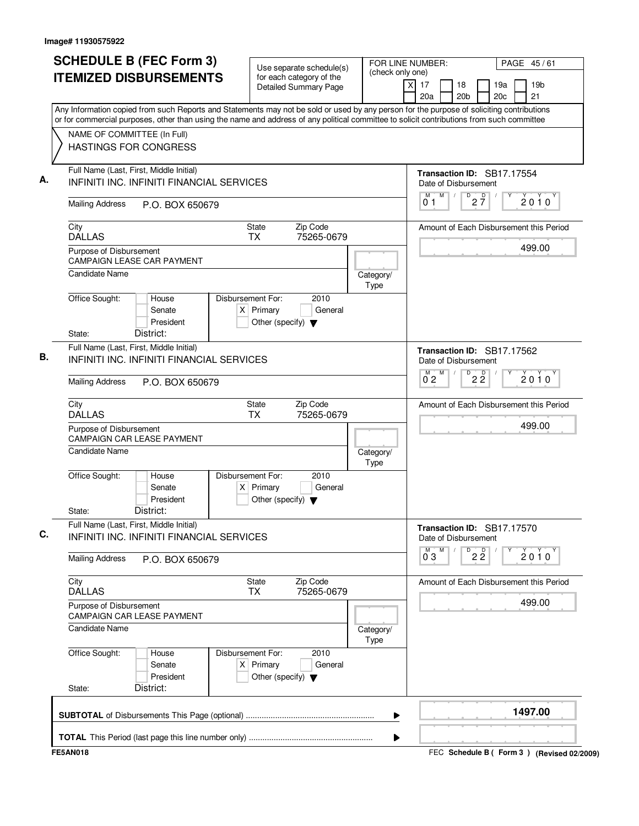| <b>SCHEDULE B (FEC Form 3)</b><br><b>ITEMIZED DISBURSEMENTS</b>                                                                                                                                                                                                                                                                                       |                                           |                   |                                                     | Use separate schedule(s)<br>for each category of the<br><b>Detailed Summary Page</b> | FOR LINE NUMBER:<br>(check only one) | X<br>17<br>20a                                                           |                 | 18<br>20 <sub>b</sub> |                                 | 19a<br>20 <sub>c</sub> | PAGE 45/61<br>19 <sub>b</sub><br>21               |
|-------------------------------------------------------------------------------------------------------------------------------------------------------------------------------------------------------------------------------------------------------------------------------------------------------------------------------------------------------|-------------------------------------------|-------------------|-----------------------------------------------------|--------------------------------------------------------------------------------------|--------------------------------------|--------------------------------------------------------------------------|-----------------|-----------------------|---------------------------------|------------------------|---------------------------------------------------|
| Any Information copied from such Reports and Statements may not be sold or used by any person for the purpose of soliciting contributions<br>or for commercial purposes, other than using the name and address of any political committee to solicit contributions from such committee<br>NAME OF COMMITTEE (In Full)<br><b>HASTINGS FOR CONGRESS</b> |                                           |                   |                                                     |                                                                                      |                                      |                                                                          |                 |                       |                                 |                        |                                                   |
| Full Name (Last, First, Middle Initial)<br><b>INFINITI INC. INFINITI FINANCIAL SERVICES</b><br><b>Mailing Address</b>                                                                                                                                                                                                                                 | P.O. BOX 650679                           |                   |                                                     |                                                                                      |                                      | Transaction ID: SB17.17554<br>Date of Disbursement<br>М<br>01            | M<br>$\sqrt{2}$ |                       | $D$ <sub>2</sub> $\frac{D}{7}$  |                        | 2010                                              |
| City<br><b>DALLAS</b><br>Purpose of Disbursement                                                                                                                                                                                                                                                                                                      |                                           |                   | State<br><b>TX</b>                                  | Zip Code<br>75265-0679                                                               |                                      |                                                                          |                 |                       |                                 |                        | Amount of Each Disbursement this Period<br>499.00 |
| <b>CAMPAIGN LEASE CAR PAYMENT</b><br>Candidate Name                                                                                                                                                                                                                                                                                                   |                                           |                   |                                                     |                                                                                      | Category/<br>Type                    |                                                                          |                 |                       |                                 |                        |                                                   |
| Office Sought:<br>State:                                                                                                                                                                                                                                                                                                                              | House<br>Senate<br>President<br>District: | Disbursement For: | $X$ Primary<br>Other (specify) $\blacktriangledown$ | 2010<br>General                                                                      |                                      |                                                                          |                 |                       |                                 |                        |                                                   |
| Full Name (Last, First, Middle Initial)<br>INFINITI INC. INFINITI FINANCIAL SERVICES                                                                                                                                                                                                                                                                  |                                           |                   |                                                     |                                                                                      |                                      | Transaction ID: SB17.17562<br>Date of Disbursement<br>$\overline{0}^M$ 2 | M               | D                     | $2\overline{2}$                 |                        |                                                   |
| <b>Mailing Address</b>                                                                                                                                                                                                                                                                                                                                | P.O. BOX 650679                           |                   |                                                     |                                                                                      |                                      |                                                                          |                 |                       |                                 |                        | $2010^y$                                          |
| City<br><b>DALLAS</b>                                                                                                                                                                                                                                                                                                                                 |                                           |                   | <b>State</b><br><b>TX</b>                           | Zip Code<br>75265-0679                                                               |                                      |                                                                          |                 |                       |                                 |                        | Amount of Each Disbursement this Period           |
| Purpose of Disbursement<br><b>CAMPAIGN CAR LEASE PAYMENT</b>                                                                                                                                                                                                                                                                                          |                                           |                   |                                                     |                                                                                      |                                      |                                                                          |                 |                       |                                 |                        | 499.00                                            |
| Candidate Name                                                                                                                                                                                                                                                                                                                                        |                                           |                   |                                                     |                                                                                      | Category/<br>Type                    |                                                                          |                 |                       |                                 |                        |                                                   |
| Office Sought:<br>State:                                                                                                                                                                                                                                                                                                                              | House<br>Senate<br>President<br>District: | Disbursement For: | $X$ Primary<br>Other (specify) $\blacktriangledown$ | 2010<br>General                                                                      |                                      |                                                                          |                 |                       |                                 |                        |                                                   |
| Full Name (Last, First, Middle Initial)<br>INFINITI INC. INFINITI FINANCIAL SERVICES                                                                                                                                                                                                                                                                  |                                           |                   |                                                     |                                                                                      |                                      | Transaction ID: SB17.17570<br>Date of Disbursement                       | M               |                       |                                 |                        |                                                   |
| <b>Mailing Address</b>                                                                                                                                                                                                                                                                                                                                | P.O. BOX 650679                           |                   |                                                     |                                                                                      |                                      | $\overline{0}^{\overline{M}}$ 3                                          |                 |                       | $\overline{P}$ 2 $\overline{2}$ |                        | $2010^y$                                          |
| City<br><b>DALLAS</b>                                                                                                                                                                                                                                                                                                                                 |                                           |                   | State<br>TX                                         | Zip Code<br>75265-0679                                                               |                                      |                                                                          |                 |                       |                                 |                        | Amount of Each Disbursement this Period           |
| Purpose of Disbursement<br>CAMPAIGN CAR LEASE PAYMENT                                                                                                                                                                                                                                                                                                 |                                           |                   |                                                     |                                                                                      |                                      |                                                                          |                 |                       |                                 |                        | 499.00                                            |
| Candidate Name                                                                                                                                                                                                                                                                                                                                        |                                           |                   |                                                     |                                                                                      | Category/<br>Type                    |                                                                          |                 |                       |                                 |                        |                                                   |
| Office Sought:                                                                                                                                                                                                                                                                                                                                        | House<br>Senate<br>President              | Disbursement For: | $X$ Primary<br>Other (specify) $\blacktriangledown$ | 2010<br>General                                                                      |                                      |                                                                          |                 |                       |                                 |                        |                                                   |
| State:                                                                                                                                                                                                                                                                                                                                                | District:                                 |                   |                                                     |                                                                                      |                                      |                                                                          |                 |                       |                                 |                        |                                                   |
|                                                                                                                                                                                                                                                                                                                                                       |                                           |                   |                                                     |                                                                                      | ▶                                    |                                                                          |                 |                       |                                 |                        | 1497.00                                           |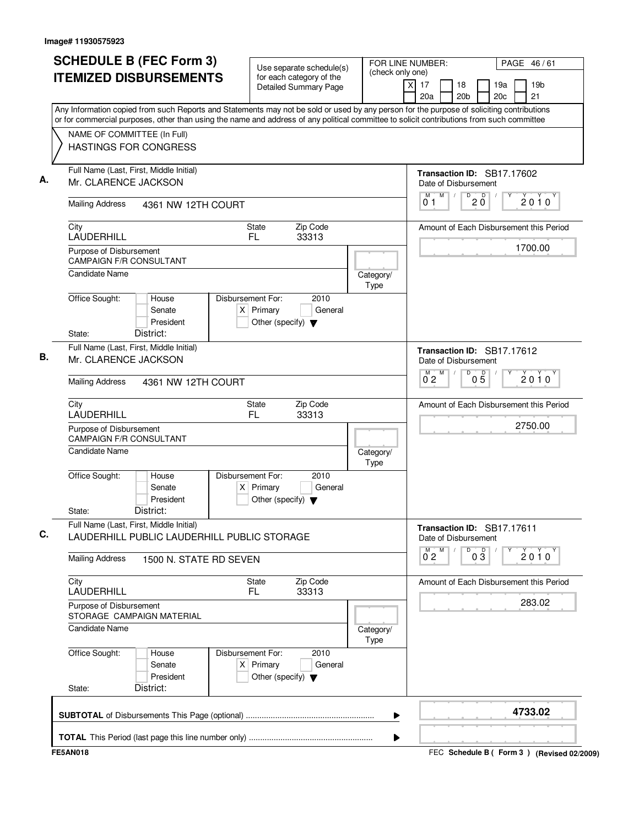| <b>SCHEDULE B (FEC Form 3)</b>                                                                                                                                                                                                                                                         | Use separate schedule(s)                                                                            | (check only one)  | FOR LINE NUMBER:<br>PAGE 46/61                                                        |  |  |  |  |  |
|----------------------------------------------------------------------------------------------------------------------------------------------------------------------------------------------------------------------------------------------------------------------------------------|-----------------------------------------------------------------------------------------------------|-------------------|---------------------------------------------------------------------------------------|--|--|--|--|--|
| <b>ITEMIZED DISBURSEMENTS</b>                                                                                                                                                                                                                                                          | for each category of the<br>Detailed Summary Page                                                   |                   | $\times$<br>17<br>19a<br>19 <sub>b</sub><br>18<br>20 <sub>b</sub><br>20c<br>21<br>20a |  |  |  |  |  |
| Any Information copied from such Reports and Statements may not be sold or used by any person for the purpose of soliciting contributions<br>or for commercial purposes, other than using the name and address of any political committee to solicit contributions from such committee |                                                                                                     |                   |                                                                                       |  |  |  |  |  |
|                                                                                                                                                                                                                                                                                        |                                                                                                     |                   |                                                                                       |  |  |  |  |  |
| NAME OF COMMITTEE (In Full)<br><b>HASTINGS FOR CONGRESS</b>                                                                                                                                                                                                                            |                                                                                                     |                   |                                                                                       |  |  |  |  |  |
| Full Name (Last, First, Middle Initial)<br>Mr. CLARENCE JACKSON                                                                                                                                                                                                                        |                                                                                                     |                   | Transaction ID: SB17.17602<br>Date of Disbursement                                    |  |  |  |  |  |
| <b>Mailing Address</b><br>4361 NW 12TH COURT                                                                                                                                                                                                                                           |                                                                                                     |                   | M<br>$\overline{D}$<br>M<br>$\sqrt{ }$<br>$20^{\circ}$<br>2010<br>01                  |  |  |  |  |  |
| City<br>LAUDERHILL                                                                                                                                                                                                                                                                     | Zip Code<br><b>State</b><br>FL.<br>33313                                                            |                   | Amount of Each Disbursement this Period                                               |  |  |  |  |  |
| Purpose of Disbursement<br><b>CAMPAIGN F/R CONSULTANT</b>                                                                                                                                                                                                                              |                                                                                                     |                   | 1700.00                                                                               |  |  |  |  |  |
| <b>Candidate Name</b>                                                                                                                                                                                                                                                                  |                                                                                                     | Category/<br>Type |                                                                                       |  |  |  |  |  |
| Office Sought:<br>House<br>Senate<br>President                                                                                                                                                                                                                                         | Disbursement For:<br>2010<br>$X$ Primary<br>General<br>Other (specify) $\blacktriangledown$         |                   |                                                                                       |  |  |  |  |  |
| District:<br>State:                                                                                                                                                                                                                                                                    |                                                                                                     |                   |                                                                                       |  |  |  |  |  |
| Full Name (Last, First, Middle Initial)<br>Mr. CLARENCE JACKSON                                                                                                                                                                                                                        |                                                                                                     |                   | Transaction ID: SB17.17612<br>Date of Disbursement                                    |  |  |  |  |  |
| <b>Mailing Address</b><br>4361 NW 12TH COURT                                                                                                                                                                                                                                           |                                                                                                     |                   | D<br>M<br>м<br>$0\overline{5}$<br>$2010^y$<br>$0^{\degree}2$                          |  |  |  |  |  |
| City<br>LAUDERHILL                                                                                                                                                                                                                                                                     | Zip Code<br><b>State</b><br>FL.<br>33313                                                            |                   | Amount of Each Disbursement this Period                                               |  |  |  |  |  |
| Purpose of Disbursement<br><b>CAMPAIGN F/R CONSULTANT</b>                                                                                                                                                                                                                              |                                                                                                     |                   | 2750.00                                                                               |  |  |  |  |  |
| <b>Candidate Name</b>                                                                                                                                                                                                                                                                  |                                                                                                     | Category/<br>Type |                                                                                       |  |  |  |  |  |
| Office Sought:<br>House<br>Senate<br>President<br>District:<br>State:                                                                                                                                                                                                                  | Disbursement For:<br>2010<br>Primary<br>General<br>$\times$<br>Other (specify) $\blacktriangledown$ |                   |                                                                                       |  |  |  |  |  |
| Full Name (Last, First, Middle Initial)<br>LAUDERHILL PUBLIC LAUDERHILL PUBLIC STORAGE                                                                                                                                                                                                 |                                                                                                     |                   | Transaction ID: SB17.17611<br>Date of Disbursement                                    |  |  |  |  |  |
| <b>Mailing Address</b><br>1500 N. STATE RD SEVEN                                                                                                                                                                                                                                       |                                                                                                     |                   | D<br>M<br>$0\frac{D}{3}$<br>$\overline{0}^M$ 2<br>$2010^y$                            |  |  |  |  |  |
| City<br>LAUDERHILL                                                                                                                                                                                                                                                                     | Zip Code<br><b>State</b><br>FL<br>33313                                                             |                   | Amount of Each Disbursement this Period                                               |  |  |  |  |  |
| Purpose of Disbursement<br>STORAGE CAMPAIGN MATERIAL                                                                                                                                                                                                                                   |                                                                                                     |                   | 283.02                                                                                |  |  |  |  |  |
| Candidate Name                                                                                                                                                                                                                                                                         |                                                                                                     | Category/<br>Type |                                                                                       |  |  |  |  |  |
| Office Sought:<br>House<br>Senate<br>President                                                                                                                                                                                                                                         | Disbursement For:<br>2010<br>$X$ Primary<br>General<br>Other (specify) $\blacktriangledown$         |                   |                                                                                       |  |  |  |  |  |
| District:<br>State:                                                                                                                                                                                                                                                                    |                                                                                                     |                   |                                                                                       |  |  |  |  |  |
|                                                                                                                                                                                                                                                                                        |                                                                                                     | ▶                 | 4733.02                                                                               |  |  |  |  |  |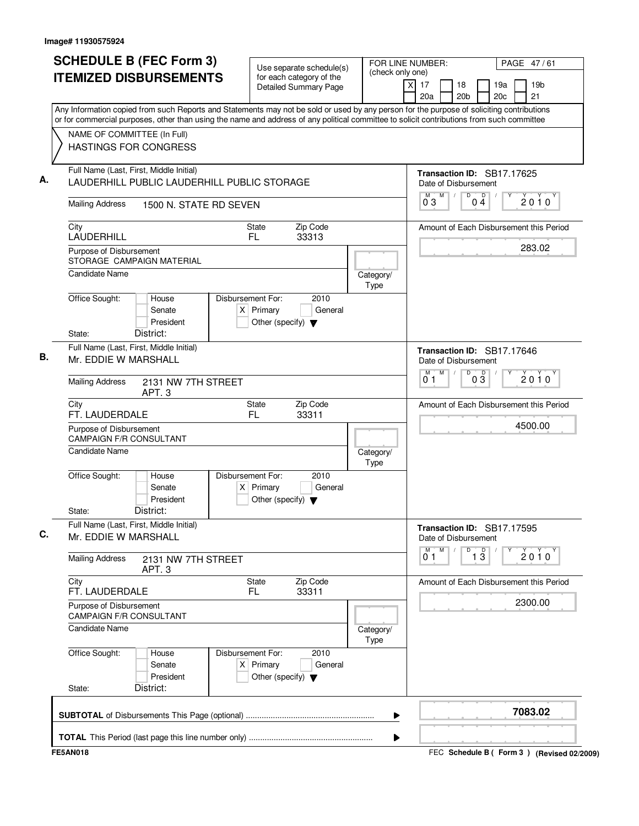|        |                                                                           |                                                                                        |                                  | for each category of the<br><b>Detailed Summary Page</b> |                   | (check only one)<br>19 <sub>b</sub><br>X<br>17<br>18<br>19a<br>20 <sub>b</sub><br>21<br>20a<br>20c                                                                                                                                                                                     |  |
|--------|---------------------------------------------------------------------------|----------------------------------------------------------------------------------------|----------------------------------|----------------------------------------------------------|-------------------|----------------------------------------------------------------------------------------------------------------------------------------------------------------------------------------------------------------------------------------------------------------------------------------|--|
|        |                                                                           | NAME OF COMMITTEE (In Full)                                                            |                                  |                                                          |                   | Any Information copied from such Reports and Statements may not be sold or used by any person for the purpose of soliciting contributions<br>or for commercial purposes, other than using the name and address of any political committee to solicit contributions from such committee |  |
|        |                                                                           | <b>HASTINGS FOR CONGRESS</b>                                                           |                                  |                                                          |                   |                                                                                                                                                                                                                                                                                        |  |
|        |                                                                           | Full Name (Last, First, Middle Initial)<br>LAUDERHILL PUBLIC LAUDERHILL PUBLIC STORAGE |                                  |                                                          |                   | Transaction ID: SB17.17625<br>Date of Disbursement<br>D<br>M<br>M<br>$\sqrt{2}$                                                                                                                                                                                                        |  |
|        | <b>Mailing Address</b>                                                    | 1500 N. STATE RD SEVEN                                                                 |                                  |                                                          |                   | $0\frac{D}{4}$<br>2010<br>03                                                                                                                                                                                                                                                           |  |
| City   | LAUDERHILL                                                                |                                                                                        | <b>State</b><br>FL.              | Zip Code<br>33313                                        |                   | Amount of Each Disbursement this Period<br>283.02                                                                                                                                                                                                                                      |  |
|        | Purpose of Disbursement                                                   | STORAGE CAMPAIGN MATERIAL                                                              |                                  |                                                          |                   |                                                                                                                                                                                                                                                                                        |  |
|        | <b>Candidate Name</b>                                                     |                                                                                        |                                  |                                                          | Category/<br>Type |                                                                                                                                                                                                                                                                                        |  |
|        | Office Sought:                                                            | House<br>Senate<br>President<br>District:                                              | Disbursement For:<br>$X$ Primary | 2010<br>General<br>Other (specify) $\blacktriangledown$  |                   |                                                                                                                                                                                                                                                                                        |  |
|        | State:<br>Full Name (Last, First, Middle Initial)<br>Mr. EDDIE W MARSHALL |                                                                                        |                                  |                                                          |                   | Transaction ID: SB17.17646<br>Date of Disbursement                                                                                                                                                                                                                                     |  |
|        | <b>Mailing Address</b><br>2131 NW 7TH STREET<br>APT. <sub>3</sub>         |                                                                                        |                                  |                                                          |                   | M<br>$\sqrt{ }$<br>$\overline{D}$<br>$0\overline{3}$<br>M<br>$2010^y$<br>$0^{\circ}$ 1                                                                                                                                                                                                 |  |
| City   | FT. LAUDERDALE                                                            |                                                                                        | <b>State</b><br>FL               | Zip Code<br>33311                                        |                   | Amount of Each Disbursement this Period                                                                                                                                                                                                                                                |  |
|        | Purpose of Disbursement                                                   | <b>CAMPAIGN F/R CONSULTANT</b>                                                         |                                  |                                                          |                   | 4500.00                                                                                                                                                                                                                                                                                |  |
|        | <b>Candidate Name</b>                                                     |                                                                                        |                                  |                                                          | Category/<br>Type |                                                                                                                                                                                                                                                                                        |  |
| State: | Office Sought:                                                            | House<br>Senate<br>President<br>District:                                              | Disbursement For:<br>$X$ Primary | 2010<br>General<br>Other (specify) $\blacktriangledown$  |                   |                                                                                                                                                                                                                                                                                        |  |
|        | Mr. EDDIE W MARSHALL                                                      | Full Name (Last, First, Middle Initial)                                                |                                  |                                                          |                   | Transaction ID: SB17.17595<br>Date of Disbursement<br>M                                                                                                                                                                                                                                |  |
|        | <b>Mailing Address</b>                                                    | 2131 NW 7TH STREET<br>APT. 3                                                           |                                  |                                                          |                   | M<br>D<br>$\overline{1\,3}$<br>$2010^y$<br>01                                                                                                                                                                                                                                          |  |
| City   | FT. LAUDERDALE                                                            |                                                                                        | <b>State</b><br>FL.              | Zip Code<br>33311                                        |                   | Amount of Each Disbursement this Period                                                                                                                                                                                                                                                |  |
|        | Purpose of Disbursement                                                   | <b>CAMPAIGN F/R CONSULTANT</b>                                                         |                                  |                                                          |                   | 2300.00                                                                                                                                                                                                                                                                                |  |
|        | <b>Candidate Name</b>                                                     |                                                                                        |                                  |                                                          | Category/<br>Type |                                                                                                                                                                                                                                                                                        |  |
|        | Office Sought:                                                            | House<br>Senate<br>President                                                           | Disbursement For:<br>$X$ Primary | 2010<br>General<br>Other (specify) $\blacktriangledown$  |                   |                                                                                                                                                                                                                                                                                        |  |
| State: |                                                                           | District:                                                                              |                                  |                                                          |                   |                                                                                                                                                                                                                                                                                        |  |
|        |                                                                           |                                                                                        |                                  |                                                          |                   | 7083.02<br>▶                                                                                                                                                                                                                                                                           |  |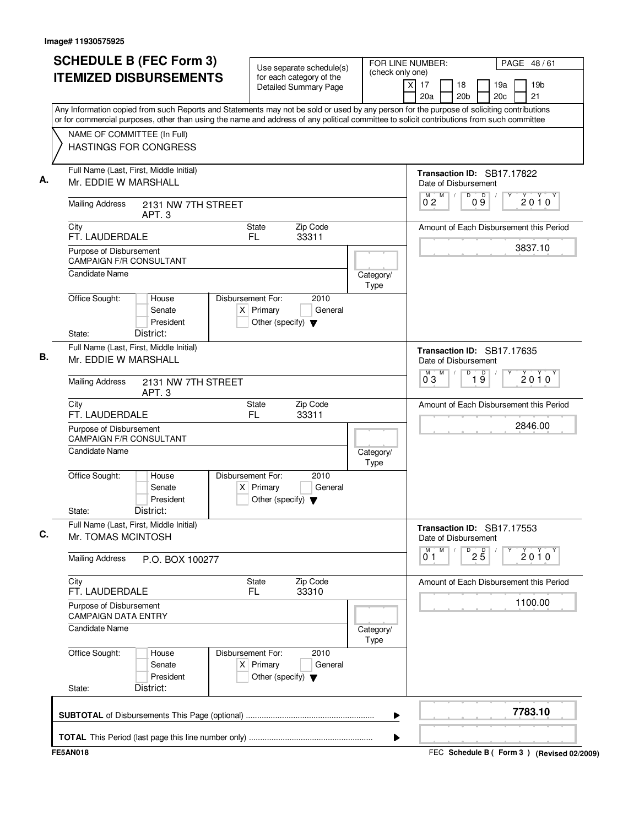| <b>SCHEDULE B (FEC Form 3)</b>                                                                                                                                                                                                                                                         | Use separate schedule(s)                                                                            | (check only one)                                             | FOR LINE NUMBER:<br>PAGE 48/61                                                  |
|----------------------------------------------------------------------------------------------------------------------------------------------------------------------------------------------------------------------------------------------------------------------------------------|-----------------------------------------------------------------------------------------------------|--------------------------------------------------------------|---------------------------------------------------------------------------------|
| <b>ITEMIZED DISBURSEMENTS</b>                                                                                                                                                                                                                                                          | for each category of the<br><b>Detailed Summary Page</b>                                            |                                                              | xl<br>17<br>19a<br>19 <sub>b</sub><br>18<br>21<br>20 <sub>b</sub><br>20c<br>20a |
| Any Information copied from such Reports and Statements may not be sold or used by any person for the purpose of soliciting contributions<br>or for commercial purposes, other than using the name and address of any political committee to solicit contributions from such committee |                                                                                                     |                                                              |                                                                                 |
| NAME OF COMMITTEE (In Full)<br><b>HASTINGS FOR CONGRESS</b>                                                                                                                                                                                                                            |                                                                                                     |                                                              |                                                                                 |
| Full Name (Last, First, Middle Initial)<br>Mr. EDDIE W MARSHALL                                                                                                                                                                                                                        |                                                                                                     |                                                              | Transaction ID: SB17.17822<br>Date of Disbursement                              |
| <b>Mailing Address</b><br>2131 NW 7TH STREET<br>APT. <sub>3</sub>                                                                                                                                                                                                                      |                                                                                                     |                                                              | D<br>M<br>M<br>09<br>$\sqrt{ }$<br>2010<br>02                                   |
| City<br>FT. LAUDERDALE                                                                                                                                                                                                                                                                 | Zip Code<br><b>State</b><br>FL.<br>33311                                                            |                                                              | Amount of Each Disbursement this Period                                         |
| Purpose of Disbursement<br><b>CAMPAIGN F/R CONSULTANT</b>                                                                                                                                                                                                                              |                                                                                                     |                                                              | 3837.10                                                                         |
| <b>Candidate Name</b>                                                                                                                                                                                                                                                                  |                                                                                                     | Category/<br>Type                                            |                                                                                 |
| Office Sought:<br>House<br>Senate<br>President                                                                                                                                                                                                                                         | Disbursement For:<br>2010<br>$X$ Primary<br>General<br>Other (specify) $\blacktriangledown$         |                                                              |                                                                                 |
| District:<br>State:<br>Full Name (Last, First, Middle Initial)<br>Mr. EDDIE W MARSHALL                                                                                                                                                                                                 |                                                                                                     |                                                              | Transaction ID: SB17.17635<br>Date of Disbursement                              |
| <b>Mailing Address</b><br>2131 NW 7TH STREET<br>APT. <sub>3</sub>                                                                                                                                                                                                                      |                                                                                                     | M<br>D<br>$\overline{19}$<br>м<br>$2010^y$<br>$0^{\degree}3$ |                                                                                 |
| City<br>FT. LAUDERDALE                                                                                                                                                                                                                                                                 | Zip Code<br><b>State</b><br>FL.<br>33311                                                            |                                                              | Amount of Each Disbursement this Period                                         |
| Purpose of Disbursement<br><b>CAMPAIGN F/R CONSULTANT</b>                                                                                                                                                                                                                              |                                                                                                     |                                                              | 2846.00                                                                         |
| <b>Candidate Name</b>                                                                                                                                                                                                                                                                  |                                                                                                     | Category/<br>Type                                            |                                                                                 |
| Office Sought:<br>House<br>Senate<br>President<br>District:<br>State:                                                                                                                                                                                                                  | Disbursement For:<br>2010<br>Primary<br>General<br>$\times$<br>Other (specify) $\blacktriangledown$ |                                                              |                                                                                 |
| Full Name (Last, First, Middle Initial)<br>Mr. TOMAS MCINTOSH                                                                                                                                                                                                                          |                                                                                                     |                                                              | Transaction ID: SB17.17553<br>Date of Disbursement                              |
| <b>Mailing Address</b><br>P.O. BOX 100277                                                                                                                                                                                                                                              |                                                                                                     |                                                              | M<br>M<br>$\overline{P}$ 2 $\overline{5}$<br>$2010^y$<br>01                     |
| City<br>FT. LAUDERDALE                                                                                                                                                                                                                                                                 | Zip Code<br>State<br>FL<br>33310                                                                    |                                                              | Amount of Each Disbursement this Period                                         |
| Purpose of Disbursement<br><b>CAMPAIGN DATA ENTRY</b>                                                                                                                                                                                                                                  |                                                                                                     |                                                              | 1100.00                                                                         |
| <b>Candidate Name</b>                                                                                                                                                                                                                                                                  |                                                                                                     | Category/<br>Type                                            |                                                                                 |
| Office Sought:<br>House<br>Senate<br>President                                                                                                                                                                                                                                         | Disbursement For:<br>2010<br>$X$ Primary<br>General<br>Other (specify) $\blacktriangledown$         |                                                              |                                                                                 |
| District:<br>State:                                                                                                                                                                                                                                                                    |                                                                                                     |                                                              |                                                                                 |
|                                                                                                                                                                                                                                                                                        |                                                                                                     |                                                              | 7783.10                                                                         |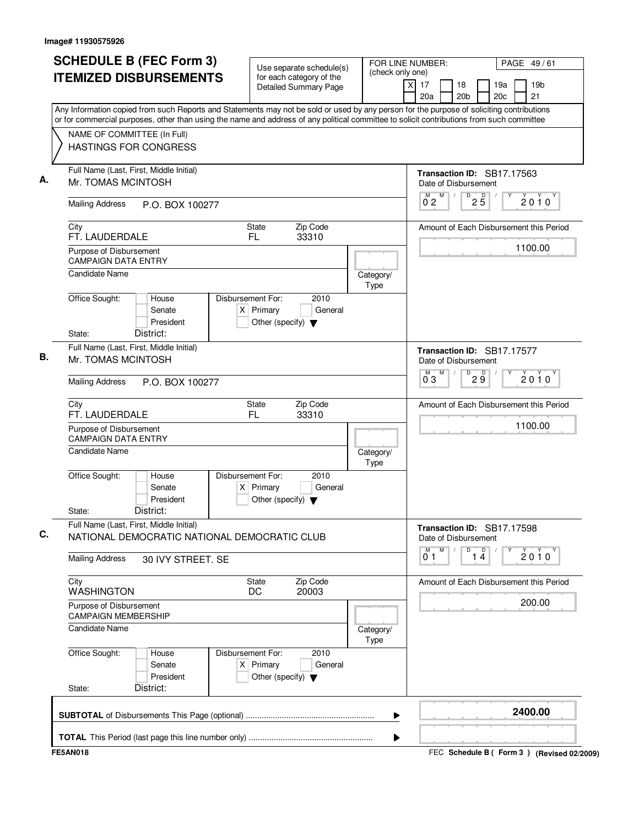| <b>SCHEDULE B (FEC Form 3)</b>                                                          | Use separate schedule(s)                                                                    | FOR LINE NUMBER:<br>PAGE 49/61<br>(check only one)                                                                                                                                                                                                                                     |  |  |
|-----------------------------------------------------------------------------------------|---------------------------------------------------------------------------------------------|----------------------------------------------------------------------------------------------------------------------------------------------------------------------------------------------------------------------------------------------------------------------------------------|--|--|
| <b>ITEMIZED DISBURSEMENTS</b>                                                           | for each category of the<br><b>Detailed Summary Page</b>                                    | $\times$<br>17<br>19a<br>19 <sub>b</sub><br>18<br>20a<br>20 <sub>b</sub><br>20c<br>21                                                                                                                                                                                                  |  |  |
|                                                                                         |                                                                                             | Any Information copied from such Reports and Statements may not be sold or used by any person for the purpose of soliciting contributions<br>or for commercial purposes, other than using the name and address of any political committee to solicit contributions from such committee |  |  |
| NAME OF COMMITTEE (In Full)                                                             |                                                                                             |                                                                                                                                                                                                                                                                                        |  |  |
| <b>HASTINGS FOR CONGRESS</b>                                                            |                                                                                             |                                                                                                                                                                                                                                                                                        |  |  |
| Full Name (Last, First, Middle Initial)<br>Mr. TOMAS MCINTOSH                           |                                                                                             | Transaction ID: SB17.17563<br>Date of Disbursement                                                                                                                                                                                                                                     |  |  |
| <b>Mailing Address</b><br>P.O. BOX 100277                                               |                                                                                             | $\overline{D}$<br>M<br>$2\overline{5}$<br>M<br>$2010^y$<br>0 <sub>2</sub>                                                                                                                                                                                                              |  |  |
| City<br>FT. LAUDERDALE                                                                  | Zip Code<br><b>State</b><br>FL.<br>33310                                                    | Amount of Each Disbursement this Period                                                                                                                                                                                                                                                |  |  |
| Purpose of Disbursement<br><b>CAMPAIGN DATA ENTRY</b>                                   |                                                                                             | 1100.00                                                                                                                                                                                                                                                                                |  |  |
| <b>Candidate Name</b>                                                                   |                                                                                             | Category/<br>Type                                                                                                                                                                                                                                                                      |  |  |
| Office Sought:<br>House<br>Senate<br>President                                          | Disbursement For:<br>2010<br>$X$ Primary<br>General<br>Other (specify) $\blacktriangledown$ |                                                                                                                                                                                                                                                                                        |  |  |
| District:<br>State:<br>Full Name (Last, First, Middle Initial)<br>Mr. TOMAS MCINTOSH    |                                                                                             | Transaction ID: SB17.17577<br>Date of Disbursement                                                                                                                                                                                                                                     |  |  |
| <b>Mailing Address</b><br>P.O. BOX 100277                                               |                                                                                             | M<br>D<br>29<br>М<br>$2010^y$<br>$0^{\degree}3$                                                                                                                                                                                                                                        |  |  |
|                                                                                         |                                                                                             |                                                                                                                                                                                                                                                                                        |  |  |
| City<br>FT. LAUDERDALE                                                                  | Zip Code<br>State<br><b>FL</b><br>33310                                                     | Amount of Each Disbursement this Period                                                                                                                                                                                                                                                |  |  |
| Purpose of Disbursement<br><b>CAMPAIGN DATA ENTRY</b>                                   |                                                                                             | 1100.00                                                                                                                                                                                                                                                                                |  |  |
| <b>Candidate Name</b>                                                                   |                                                                                             | Category/<br>Type                                                                                                                                                                                                                                                                      |  |  |
| Office Sought:<br>House<br>Senate<br>President<br>District:<br>State:                   | Disbursement For:<br>2010<br>$X$ Primary<br>General<br>Other (specify) $\blacktriangledown$ |                                                                                                                                                                                                                                                                                        |  |  |
| Full Name (Last, First, Middle Initial)<br>NATIONAL DEMOCRATIC NATIONAL DEMOCRATIC CLUB |                                                                                             | Transaction ID: SB17.17598<br>Date of Disbursement                                                                                                                                                                                                                                     |  |  |
| <b>Mailing Address</b><br>30 IVY STREET. SE                                             |                                                                                             | $\overline{1\ 4}$<br>M<br>D<br>М<br>$2010^y$<br>01                                                                                                                                                                                                                                     |  |  |
| City<br><b>WASHINGTON</b>                                                               | Zip Code<br>State<br>DC<br>20003                                                            | Amount of Each Disbursement this Period                                                                                                                                                                                                                                                |  |  |
| Purpose of Disbursement<br><b>CAMPAIGN MEMBERSHIP</b>                                   |                                                                                             | 200.00                                                                                                                                                                                                                                                                                 |  |  |
| <b>Candidate Name</b>                                                                   |                                                                                             | Category/<br>Type                                                                                                                                                                                                                                                                      |  |  |
| Office Sought:<br>House<br>Senate<br>President                                          | Disbursement For:<br>2010<br>$X$ Primary<br>General<br>Other (specify) $\blacktriangledown$ |                                                                                                                                                                                                                                                                                        |  |  |
| District:<br>State:                                                                     |                                                                                             |                                                                                                                                                                                                                                                                                        |  |  |
|                                                                                         |                                                                                             | 2400.00                                                                                                                                                                                                                                                                                |  |  |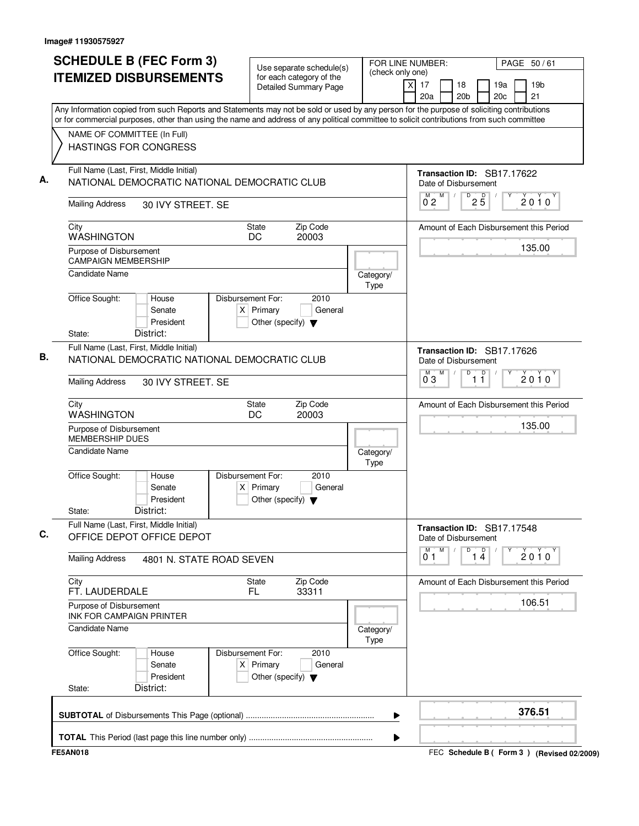| <b>SCHEDULE B (FEC Form 3)</b><br><b>ITEMIZED DISBURSEMENTS</b>                                                                              | Use separate schedule(s)<br>for each category of the<br><b>Detailed Summary Page</b>                                                                                                                                                                                                   | FOR LINE NUMBER:<br>PAGE 50/61<br>(check only one)<br>19 <sub>b</sub><br>X<br>17<br>19a<br>18<br>21<br>20a<br>20 <sub>b</sub><br>20c      |
|----------------------------------------------------------------------------------------------------------------------------------------------|----------------------------------------------------------------------------------------------------------------------------------------------------------------------------------------------------------------------------------------------------------------------------------------|-------------------------------------------------------------------------------------------------------------------------------------------|
| NAME OF COMMITTEE (In Full)<br><b>HASTINGS FOR CONGRESS</b>                                                                                  | Any Information copied from such Reports and Statements may not be sold or used by any person for the purpose of soliciting contributions<br>or for commercial purposes, other than using the name and address of any political committee to solicit contributions from such committee |                                                                                                                                           |
| Full Name (Last, First, Middle Initial)<br>NATIONAL DEMOCRATIC NATIONAL DEMOCRATIC CLUB<br><b>Mailing Address</b><br>30 IVY STREET. SE       |                                                                                                                                                                                                                                                                                        | Transaction ID: SB17.17622<br>Date of Disbursement<br>$\overline{D}$<br>M<br>M<br>$2\overline{5}$<br>$\sqrt{ }$<br>2010<br>0 <sub>2</sub> |
| City<br><b>WASHINGTON</b><br>Purpose of Disbursement<br><b>CAMPAIGN MEMBERSHIP</b><br><b>Candidate Name</b>                                  | Zip Code<br><b>State</b><br>DC<br>20003<br>Category/                                                                                                                                                                                                                                   | Amount of Each Disbursement this Period<br>135.00                                                                                         |
| Office Sought:<br>House<br>Senate<br>President<br>District:<br>State:                                                                        | Type<br>Disbursement For:<br>2010<br>$X$ Primary<br>General<br>Other (specify) $\blacktriangledown$                                                                                                                                                                                    |                                                                                                                                           |
| Full Name (Last, First, Middle Initial)<br>NATIONAL DEMOCRATIC NATIONAL DEMOCRATIC CLUB<br><b>Mailing Address</b><br>30 IVY STREET. SE       |                                                                                                                                                                                                                                                                                        | Transaction ID: SB17.17626<br>Date of Disbursement<br>M<br>D<br>$\overline{1}$ $\overline{1}$<br>$\overline{0}^M$ 3<br>$2010^y$           |
| City<br><b>WASHINGTON</b><br>Purpose of Disbursement<br><b>MEMBERSHIP DUES</b><br><b>Candidate Name</b><br>Office Sought:<br>House<br>Senate | <b>State</b><br>Zip Code<br>DC<br>20003<br>Category/<br>Type<br>Disbursement For:<br>2010<br>$X$ Primary<br>General                                                                                                                                                                    | Amount of Each Disbursement this Period<br>135.00                                                                                         |
| President<br>District:<br>State:<br>Full Name (Last, First, Middle Initial)                                                                  | Other (specify) $\blacktriangledown$                                                                                                                                                                                                                                                   | Transaction ID: SB17.17548                                                                                                                |
| OFFICE DEPOT OFFICE DEPOT<br><b>Mailing Address</b>                                                                                          | 4801 N. STATE ROAD SEVEN                                                                                                                                                                                                                                                               | Date of Disbursement<br>M<br>M<br>D<br>$\overline{p}$<br>$2010^y$<br>$1\,\AA$<br>01                                                       |
| City<br>FT. LAUDERDALE<br>Purpose of Disbursement<br>INK FOR CAMPAIGN PRINTER<br><b>Candidate Name</b>                                       | Zip Code<br><b>State</b><br>FL.<br>33311<br>Category/<br>Type                                                                                                                                                                                                                          | Amount of Each Disbursement this Period<br>106.51                                                                                         |
| Office Sought:<br>House<br>Senate<br>President<br>District:<br>State:                                                                        | Disbursement For:<br>2010<br>$X$ Primary<br>General<br>Other (specify) $\blacktriangledown$                                                                                                                                                                                            |                                                                                                                                           |
|                                                                                                                                              | ▶                                                                                                                                                                                                                                                                                      | 376.51                                                                                                                                    |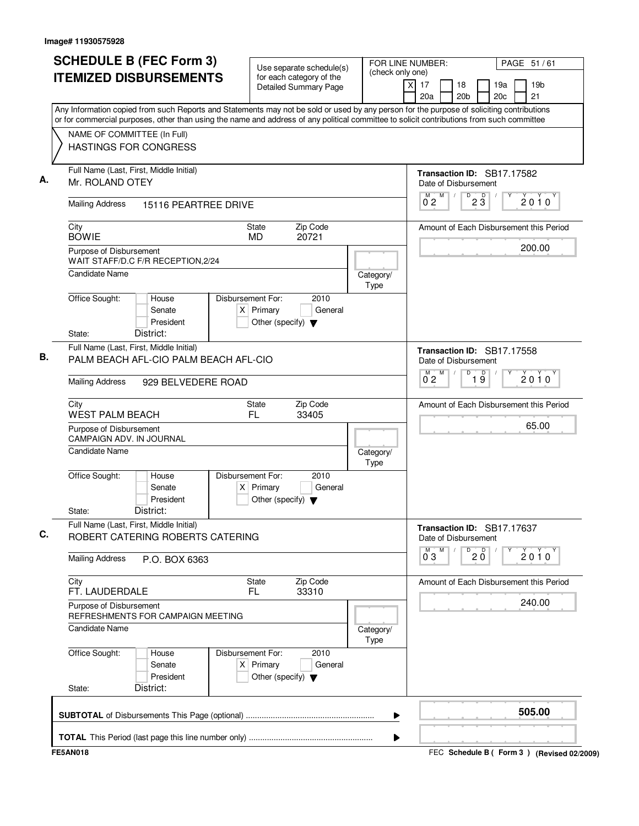| <b>SCHEDULE B (FEC Form 3)</b><br><b>ITEMIZED DISBURSEMENTS</b>                                                                                                  | Use separate schedule(s)<br>for each category of the<br><b>Detailed Summary Page</b>                                                   | FOR LINE NUMBER:<br>PAGE 51/61<br>(check only one)<br>$\times$<br>17<br>19 <sub>b</sub><br>18<br>19a<br>21<br>20a<br>20 <sub>b</sub><br>20c<br>Any Information copied from such Reports and Statements may not be sold or used by any person for the purpose of soliciting contributions |
|------------------------------------------------------------------------------------------------------------------------------------------------------------------|----------------------------------------------------------------------------------------------------------------------------------------|------------------------------------------------------------------------------------------------------------------------------------------------------------------------------------------------------------------------------------------------------------------------------------------|
| NAME OF COMMITTEE (In Full)<br>HASTINGS FOR CONGRESS                                                                                                             |                                                                                                                                        | or for commercial purposes, other than using the name and address of any political committee to solicit contributions from such committee                                                                                                                                                |
| Full Name (Last, First, Middle Initial)<br>Mr. ROLAND OTEY<br><b>Mailing Address</b><br>15116 PEARTREE DRIVE                                                     |                                                                                                                                        | Transaction ID: SB17.17582<br>Date of Disbursement<br>D<br>M<br>$2\overline{3}$<br>$\sqrt{2}$<br>2010<br>02                                                                                                                                                                              |
| City<br><b>BOWIE</b><br>Purpose of Disbursement<br>WAIT STAFF/D.C F/R RECEPTION, 2/24<br>Candidate Name                                                          | Zip Code<br>State<br>20721<br><b>MD</b>                                                                                                | Amount of Each Disbursement this Period<br>200.00<br>Category/                                                                                                                                                                                                                           |
| Office Sought:<br>House<br>Senate<br>President<br>District:<br>State:                                                                                            | Disbursement For:<br>2010<br>$X$ Primary<br>General<br>Other (specify) $\blacktriangledown$                                            | Type                                                                                                                                                                                                                                                                                     |
| Full Name (Last, First, Middle Initial)<br>PALM BEACH AFL-CIO PALM BEACH AFL-CIO<br><b>Mailing Address</b><br>929 BELVEDERE ROAD                                 |                                                                                                                                        | Transaction ID: SB17.17558<br>Date of Disbursement<br>D<br>M<br>$\overline{19}$<br>$\overline{0}^M$ 2<br>$2010^y$                                                                                                                                                                        |
| City<br><b>WEST PALM BEACH</b><br>Purpose of Disbursement<br><b>CAMPAIGN ADV. IN JOURNAL</b><br>Candidate Name<br>Office Sought:<br>House<br>Senate<br>President | <b>State</b><br>Zip Code<br>FL<br>33405<br>Disbursement For:<br>2010<br>$X$ Primary<br>General<br>Other (specify) $\blacktriangledown$ | Amount of Each Disbursement this Period<br>65.00<br>Category/<br>Type                                                                                                                                                                                                                    |
| District:<br>State:<br>Full Name (Last, First, Middle Initial)<br>ROBERT CATERING ROBERTS CATERING                                                               |                                                                                                                                        | Transaction ID: SB17.17637<br>Date of Disbursement<br>M<br>$\overline{0}$ 2 $\overline{0}$<br>M<br>$2010^y$                                                                                                                                                                              |
| <b>Mailing Address</b><br>P.O. BOX 6363<br>City<br>FT. LAUDERDALE<br>Purpose of Disbursement<br>REFRESHMENTS FOR CAMPAIGN MEETING<br><b>Candidate Name</b>       | Zip Code<br><b>State</b><br>FL<br>33310                                                                                                | 03<br>Amount of Each Disbursement this Period<br>240.00<br>Category/                                                                                                                                                                                                                     |
| Office Sought:<br>House<br>Senate<br>President<br>District:<br>State:                                                                                            | Disbursement For:<br>2010<br>$X$ Primary<br>General<br>Other (specify) $\blacktriangledown$                                            | Type                                                                                                                                                                                                                                                                                     |
|                                                                                                                                                                  |                                                                                                                                        | 505.00<br>▶                                                                                                                                                                                                                                                                              |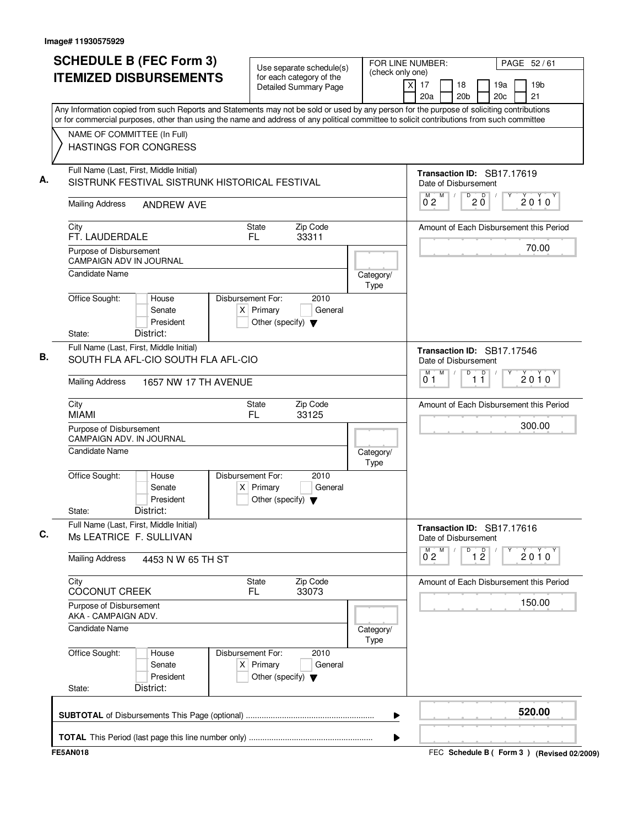| <b>SCHEDULE B (FEC Form 3)</b><br><b>ITEMIZED DISBURSEMENTS</b>                           | Use separate schedule(s)<br>for each category of the<br><b>Detailed Summary Page</b><br>Any Information copied from such Reports and Statements may not be sold or used by any person for the purpose of soliciting contributions | (check only one)  | FOR LINE NUMBER:<br>PAGE 52/61<br>19 <sub>b</sub><br>X<br>17<br>19a<br>18<br>21<br>20a<br>20 <sub>b</sub><br>20c |
|-------------------------------------------------------------------------------------------|-----------------------------------------------------------------------------------------------------------------------------------------------------------------------------------------------------------------------------------|-------------------|------------------------------------------------------------------------------------------------------------------|
| NAME OF COMMITTEE (In Full)<br>HASTINGS FOR CONGRESS                                      | or for commercial purposes, other than using the name and address of any political committee to solicit contributions from such committee                                                                                         |                   |                                                                                                                  |
| Full Name (Last, First, Middle Initial)<br>SISTRUNK FESTIVAL SISTRUNK HISTORICAL FESTIVAL |                                                                                                                                                                                                                                   |                   | Transaction ID: SB17.17619<br>Date of Disbursement<br>D<br>M<br>$20^{\circ}$<br>$\sqrt{2}$<br>2010               |
| <b>Mailing Address</b><br><b>ANDREW AVE</b>                                               |                                                                                                                                                                                                                                   |                   | 02                                                                                                               |
| City<br>FT. LAUDERDALE                                                                    | Zip Code<br>State<br>FL<br>33311                                                                                                                                                                                                  |                   | Amount of Each Disbursement this Period                                                                          |
| Purpose of Disbursement<br><b>CAMPAIGN ADV IN JOURNAL</b><br>Candidate Name               |                                                                                                                                                                                                                                   |                   | 70.00                                                                                                            |
| Office Sought:<br>House<br>Senate<br>President                                            | Disbursement For:<br>2010<br>$X$ Primary<br>General<br>Other (specify) $\blacktriangledown$                                                                                                                                       | Category/<br>Type |                                                                                                                  |
| District:<br>State:<br>Full Name (Last, First, Middle Initial)                            |                                                                                                                                                                                                                                   |                   | Transaction ID: SB17.17546                                                                                       |
| SOUTH FLA AFL-CIO SOUTH FLA AFL-CIO                                                       |                                                                                                                                                                                                                                   |                   | Date of Disbursement<br>M<br>$\sqrt{ }$<br>D<br>$\overline{1}$ $\overline{1}$<br>M<br>$2010^y$<br>0 <sub>1</sub> |
| <b>Mailing Address</b>                                                                    | 1657 NW 17 TH AVENUE                                                                                                                                                                                                              |                   |                                                                                                                  |
| City<br><b>MIAMI</b>                                                                      | Zip Code<br><b>State</b><br>FL<br>33125                                                                                                                                                                                           |                   | Amount of Each Disbursement this Period                                                                          |
| Purpose of Disbursement<br>CAMPAIGN ADV. IN JOURNAL                                       |                                                                                                                                                                                                                                   |                   | 300.00                                                                                                           |
| Candidate Name                                                                            |                                                                                                                                                                                                                                   | Category/<br>Type |                                                                                                                  |
| Office Sought:<br>House<br>Senate<br>President<br>District:<br>State:                     | Disbursement For:<br>2010<br>$X$ Primary<br>General<br>Other (specify) $\blacktriangledown$                                                                                                                                       |                   |                                                                                                                  |
| Full Name (Last, First, Middle Initial)<br>Ms LEATRICE F. SULLIVAN                        |                                                                                                                                                                                                                                   |                   | Transaction ID: SB17.17616<br>Date of Disbursement                                                               |
| <b>Mailing Address</b><br>4453 N W 65 TH ST                                               |                                                                                                                                                                                                                                   |                   | M<br>D<br>M<br>$\overline{1}$ $\overline{2}$<br>$2010^y$<br>$0^{\degree}2$                                       |
| City<br><b>COCONUT CREEK</b>                                                              | Zip Code<br><b>State</b><br>FL.<br>33073                                                                                                                                                                                          |                   | Amount of Each Disbursement this Period                                                                          |
| Purpose of Disbursement<br>AKA - CAMPAIGN ADV.                                            |                                                                                                                                                                                                                                   |                   | 150.00                                                                                                           |
| <b>Candidate Name</b>                                                                     |                                                                                                                                                                                                                                   | Category/<br>Type |                                                                                                                  |
| Office Sought:<br>House<br>Senate<br>President                                            | Disbursement For:<br>2010<br>$X$ Primary<br>General<br>Other (specify) $\blacktriangledown$                                                                                                                                       |                   |                                                                                                                  |
| District:<br>State:                                                                       |                                                                                                                                                                                                                                   |                   |                                                                                                                  |
|                                                                                           |                                                                                                                                                                                                                                   | ▶                 | 520.00                                                                                                           |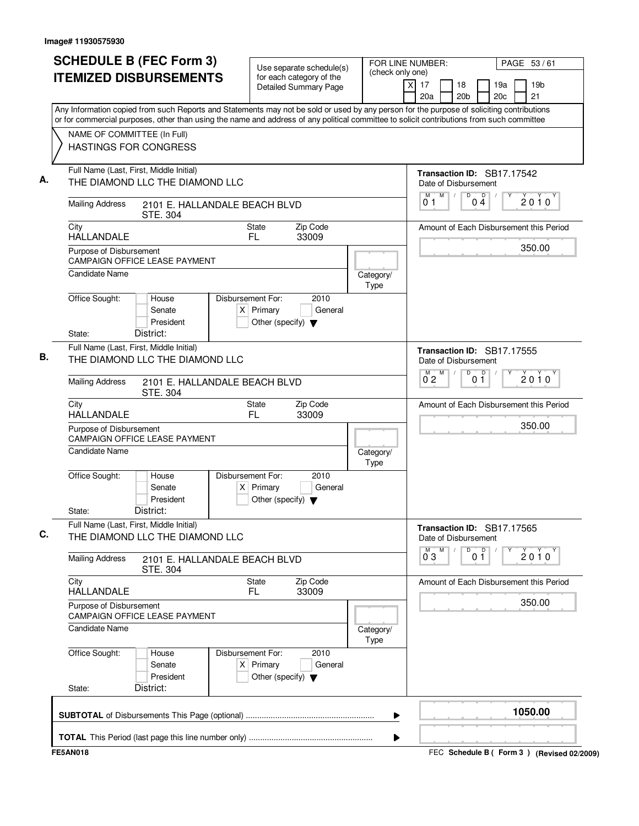| <b>SCHEDULE B (FEC Form 3)</b>                                                                                                                                                                                                                                                         | Use separate schedule(s)                                                                    | FOR LINE NUMBER:<br>(check only one)                         |                                                                    | PAGE 53/61                          |
|----------------------------------------------------------------------------------------------------------------------------------------------------------------------------------------------------------------------------------------------------------------------------------------|---------------------------------------------------------------------------------------------|--------------------------------------------------------------|--------------------------------------------------------------------|-------------------------------------|
| <b>ITEMIZED DISBURSEMENTS</b>                                                                                                                                                                                                                                                          | for each category of the<br>Detailed Summary Page                                           |                                                              | $\times$<br>17<br>18<br>20 <sub>b</sub><br>20a                     | 19a<br>19 <sub>b</sub><br>20c<br>21 |
| Any Information copied from such Reports and Statements may not be sold or used by any person for the purpose of soliciting contributions<br>or for commercial purposes, other than using the name and address of any political committee to solicit contributions from such committee |                                                                                             |                                                              |                                                                    |                                     |
| NAME OF COMMITTEE (In Full)<br><b>HASTINGS FOR CONGRESS</b>                                                                                                                                                                                                                            |                                                                                             |                                                              |                                                                    |                                     |
| Full Name (Last, First, Middle Initial)<br>THE DIAMOND LLC THE DIAMOND LLC                                                                                                                                                                                                             |                                                                                             |                                                              | Transaction ID: SB17.17542<br>Date of Disbursement                 |                                     |
| <b>Mailing Address</b><br>2101 E. HALLANDALE BEACH BLVD<br>STE. 304                                                                                                                                                                                                                    |                                                                                             |                                                              | M<br>$\overline{D}$<br>M<br>$0\stackrel{D}{4}$<br>$\sqrt{2}$<br>01 | 2010                                |
| City<br><b>HALLANDALE</b>                                                                                                                                                                                                                                                              | Zip Code<br><b>State</b><br>FL.<br>33009                                                    |                                                              | Amount of Each Disbursement this Period                            |                                     |
| Purpose of Disbursement<br><b>CAMPAIGN OFFICE LEASE PAYMENT</b>                                                                                                                                                                                                                        |                                                                                             |                                                              |                                                                    | 350.00                              |
| <b>Candidate Name</b>                                                                                                                                                                                                                                                                  |                                                                                             | Category/<br>Type                                            |                                                                    |                                     |
| Office Sought:<br>House<br>Senate<br>President                                                                                                                                                                                                                                         | Disbursement For:<br>2010<br>$X$ Primary<br>General<br>Other (specify) $\blacktriangledown$ |                                                              |                                                                    |                                     |
| District:<br>State:<br>Full Name (Last, First, Middle Initial)<br>THE DIAMOND LLC THE DIAMOND LLC                                                                                                                                                                                      |                                                                                             |                                                              | Transaction ID: SB17.17555<br>Date of Disbursement                 |                                     |
| <b>Mailing Address</b><br>2101 E. HALLANDALE BEACH BLVD<br>STE. 304                                                                                                                                                                                                                    |                                                                                             | M<br>$\overline{D}$<br>0 <sup>D</sup><br>M<br>$0^{\degree}2$ | $2010^y$                                                           |                                     |
| City<br><b>HALLANDALE</b>                                                                                                                                                                                                                                                              | Zip Code<br>State<br>FL.<br>33009                                                           |                                                              | Amount of Each Disbursement this Period                            |                                     |
| Purpose of Disbursement<br>CAMPAIGN OFFICE LEASE PAYMENT                                                                                                                                                                                                                               |                                                                                             |                                                              |                                                                    | 350.00                              |
| <b>Candidate Name</b>                                                                                                                                                                                                                                                                  |                                                                                             | Category/<br>Type                                            |                                                                    |                                     |
| Office Sought:<br>House<br>Senate<br>President<br>District:<br>State:                                                                                                                                                                                                                  | Disbursement For:<br>2010<br>$X$ Primary<br>General<br>Other (specify) $\blacktriangledown$ |                                                              |                                                                    |                                     |
| Full Name (Last, First, Middle Initial)<br>THE DIAMOND LLC THE DIAMOND LLC                                                                                                                                                                                                             |                                                                                             |                                                              | Transaction ID: SB17.17565<br>Date of Disbursement                 |                                     |
| <b>Mailing Address</b><br>2101 E. HALLANDALE BEACH BLVD<br>STE. 304                                                                                                                                                                                                                    |                                                                                             |                                                              | M<br>D<br>0 <sup>0</sup><br>M.<br>$0^{\degree}3$                   | $2010^y$                            |
| City<br><b>HALLANDALE</b>                                                                                                                                                                                                                                                              | <b>State</b><br>Zip Code<br>33009<br>FL                                                     |                                                              | Amount of Each Disbursement this Period                            |                                     |
| Purpose of Disbursement<br><b>CAMPAIGN OFFICE LEASE PAYMENT</b>                                                                                                                                                                                                                        |                                                                                             |                                                              | 350.00                                                             |                                     |
| <b>Candidate Name</b>                                                                                                                                                                                                                                                                  |                                                                                             | Category/<br>Type                                            |                                                                    |                                     |
| Office Sought:<br>House<br>Senate<br>President                                                                                                                                                                                                                                         | 2010<br>Disbursement For:<br>$X$ Primary<br>General<br>Other (specify) $\blacktriangledown$ |                                                              |                                                                    |                                     |
| District:<br>State:                                                                                                                                                                                                                                                                    |                                                                                             |                                                              |                                                                    |                                     |
|                                                                                                                                                                                                                                                                                        |                                                                                             | ▶                                                            |                                                                    | 1050.00                             |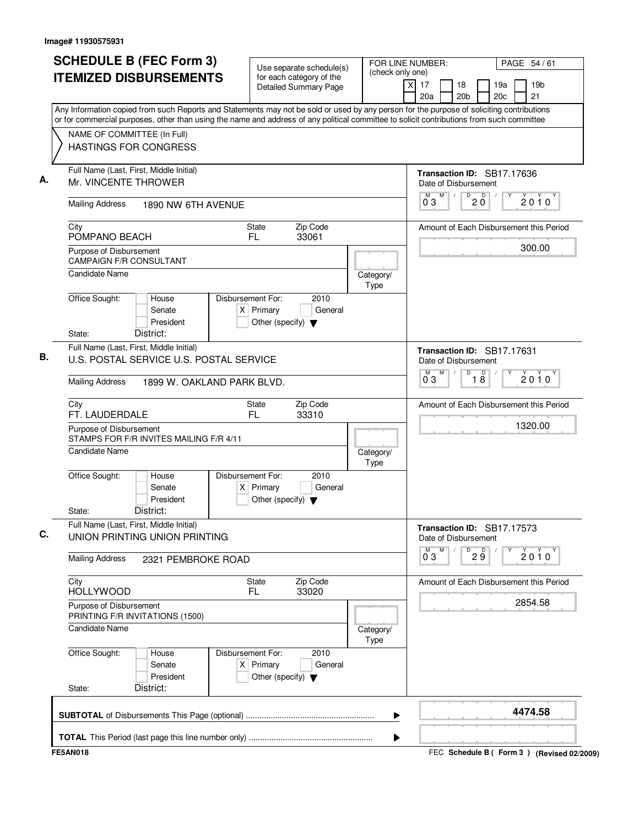| <b>SCHEDULE B (FEC Form 3)</b><br><b>ITEMIZED DISBURSEMENTS</b>                                                                                                                                                                                                                        | Use separate schedule(s)<br>for each category of the<br><b>Detailed Summary Page</b>        | FOR LINE NUMBER:<br>(check only one) | PAGE 54/61<br>19 <sub>b</sub><br>xl<br>17<br>18<br>19a<br>21<br>20a<br>20 <sub>b</sub><br>20c |
|----------------------------------------------------------------------------------------------------------------------------------------------------------------------------------------------------------------------------------------------------------------------------------------|---------------------------------------------------------------------------------------------|--------------------------------------|-----------------------------------------------------------------------------------------------|
| Any Information copied from such Reports and Statements may not be sold or used by any person for the purpose of soliciting contributions<br>or for commercial purposes, other than using the name and address of any political committee to solicit contributions from such committee |                                                                                             |                                      |                                                                                               |
| NAME OF COMMITTEE (In Full)<br><b>HASTINGS FOR CONGRESS</b>                                                                                                                                                                                                                            |                                                                                             |                                      |                                                                                               |
| Full Name (Last, First, Middle Initial)<br>Mr. VINCENTE THROWER                                                                                                                                                                                                                        |                                                                                             |                                      | Transaction ID: SB17.17636<br>Date of Disbursement                                            |
| <b>Mailing Address</b><br>1890 NW 6TH AVENUE                                                                                                                                                                                                                                           |                                                                                             |                                      | M<br>D<br>M<br>D<br>$\sqrt{2}$<br>2010<br>$2\,\mathrm{0}$<br>03                               |
| City<br>POMPANO BEACH                                                                                                                                                                                                                                                                  | Zip Code<br>State<br>FL.<br>33061                                                           |                                      | Amount of Each Disbursement this Period                                                       |
| Purpose of Disbursement<br><b>CAMPAIGN F/R CONSULTANT</b>                                                                                                                                                                                                                              |                                                                                             |                                      | 300.00                                                                                        |
| Candidate Name                                                                                                                                                                                                                                                                         |                                                                                             | Category/<br>Type                    |                                                                                               |
| Office Sought:<br>House<br>Senate<br>President<br>District:<br>State:                                                                                                                                                                                                                  | Disbursement For:<br>2010<br>$X$ Primary<br>General<br>Other (specify) $\blacktriangledown$ |                                      |                                                                                               |
| Full Name (Last, First, Middle Initial)<br>U.S. POSTAL SERVICE U.S. POSTAL SERVICE                                                                                                                                                                                                     |                                                                                             |                                      | Transaction ID: SB17.17631<br>Date of Disbursement<br>M<br>D<br>M                             |
| <b>Mailing Address</b><br>1899 W. OAKLAND PARK BLVD.                                                                                                                                                                                                                                   |                                                                                             | $\overline{18}$<br>2010<br>03        |                                                                                               |
| City<br>FT. LAUDERDALE                                                                                                                                                                                                                                                                 | Zip Code<br><b>State</b><br>FL<br>33310                                                     |                                      | Amount of Each Disbursement this Period                                                       |
| Purpose of Disbursement<br>STAMPS FOR F/R INVITES MAILING F/R 4/11                                                                                                                                                                                                                     |                                                                                             |                                      | 1320.00                                                                                       |
| <b>Candidate Name</b>                                                                                                                                                                                                                                                                  |                                                                                             | Category/<br>Type                    |                                                                                               |
| Office Sought:<br>House<br>Senate<br>President<br>District:<br>State:                                                                                                                                                                                                                  | 2010<br>Disbursement For:<br>$X$ Primary<br>General<br>Other (specify) $\blacktriangledown$ |                                      |                                                                                               |
| Full Name (Last, First, Middle Initial)<br>UNION PRINTING UNION PRINTING                                                                                                                                                                                                               |                                                                                             |                                      | Transaction ID: SB17.17573<br>Date of Disbursement                                            |
| <b>Mailing Address</b><br>2321 PEMBROKE ROAD                                                                                                                                                                                                                                           |                                                                                             |                                      | M<br>D<br>29<br>$0^{\circ}3$<br>$2010^y$                                                      |
| City<br><b>HOLLYWOOD</b>                                                                                                                                                                                                                                                               | Zip Code<br><b>State</b><br>33020<br>FL.                                                    |                                      | Amount of Each Disbursement this Period                                                       |
| Purpose of Disbursement<br>PRINTING F/R INVITATIONS (1500)                                                                                                                                                                                                                             |                                                                                             |                                      | 2854.58                                                                                       |
| <b>Candidate Name</b>                                                                                                                                                                                                                                                                  |                                                                                             | Category/<br>Type                    |                                                                                               |
| Office Sought:<br>House<br>Senate<br>President                                                                                                                                                                                                                                         | Disbursement For:<br>2010<br>$X$ Primary<br>General<br>Other (specify) $\blacktriangledown$ |                                      |                                                                                               |
| District:<br>State:                                                                                                                                                                                                                                                                    |                                                                                             |                                      |                                                                                               |
|                                                                                                                                                                                                                                                                                        |                                                                                             | ▶                                    | 4474.58                                                                                       |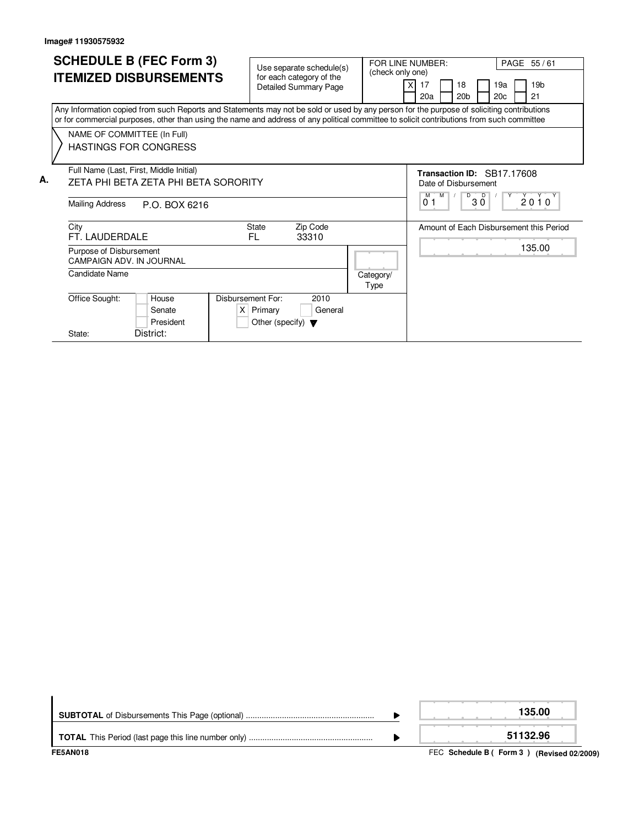|    | <b>SCHEDULE B (FEC Form 3)</b><br><b>ITEMIZED DISBURSEMENTS</b>                                                                                                                                                                                                                                                                                       | Use separate schedule(s)<br>for each category of the<br><b>Detailed Summary Page</b>        | PAGE 55/61<br>FOR LINE NUMBER:<br>(check only one)<br>19a<br>17<br>18<br>20 <sub>b</sub><br>20c<br>21<br>20a  | 19 <sub>b</sub> |
|----|-------------------------------------------------------------------------------------------------------------------------------------------------------------------------------------------------------------------------------------------------------------------------------------------------------------------------------------------------------|---------------------------------------------------------------------------------------------|---------------------------------------------------------------------------------------------------------------|-----------------|
|    | Any Information copied from such Reports and Statements may not be sold or used by any person for the purpose of soliciting contributions<br>or for commercial purposes, other than using the name and address of any political committee to solicit contributions from such committee<br>NAME OF COMMITTEE (In Full)<br><b>HASTINGS FOR CONGRESS</b> |                                                                                             |                                                                                                               |                 |
| А. | Full Name (Last, First, Middle Initial)<br>ZETA PHI BETA ZETA PHI BETA SORORITY<br>Mailing Address<br>P.O. BOX 6216                                                                                                                                                                                                                                   |                                                                                             | Transaction ID: SB17.17608<br>Date of Disbursement<br><b>M</b><br>$\overline{D}$<br>м<br>0 <sub>1</sub><br>30 | 2010            |
|    | City<br>FT. LAUDERDALE<br>Purpose of Disbursement                                                                                                                                                                                                                                                                                                     | <b>State</b><br>Zip Code<br>FL.<br>33310                                                    | Amount of Each Disbursement this Period                                                                       | 135.00          |
|    | CAMPAIGN ADV. IN JOURNAL<br>Candidate Name                                                                                                                                                                                                                                                                                                            |                                                                                             | Category/<br>Type                                                                                             |                 |
|    | Office Sought:<br>House<br>Senate<br>President<br>District:<br>State:                                                                                                                                                                                                                                                                                 | Disbursement For:<br>2010<br>$X$ Primary<br>General<br>Other (specify) $\blacktriangledown$ |                                                                                                               |                 |

| <b>FE5AN018</b> | FEC Schedule B (Form 3) (Revised 02/2009) |
|-----------------|-------------------------------------------|
|                 | 51132.96                                  |
|                 | 135.00                                    |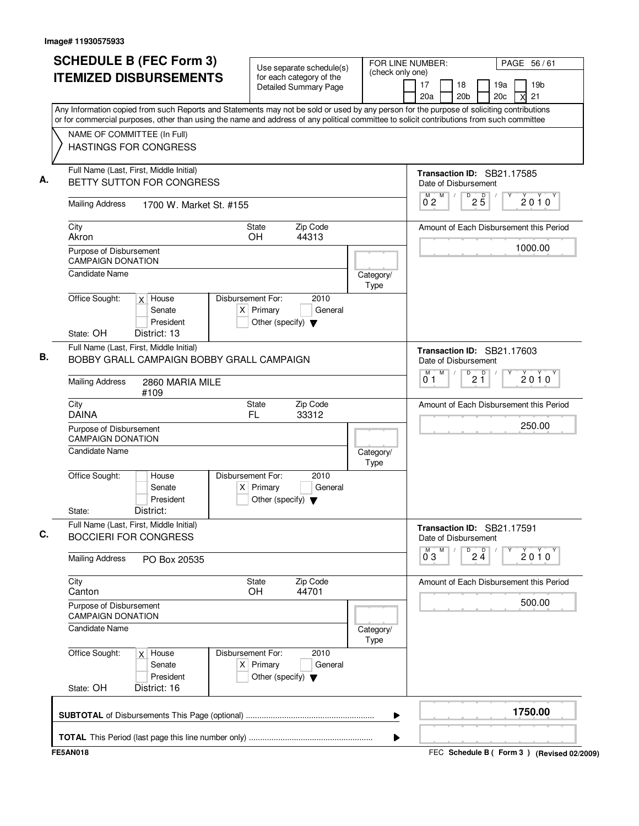| <b>SCHEDULE B (FEC Form 3)</b><br><b>ITEMIZED DISBURSEMENTS</b>                                                                                                                                                                                                                        | Use separate schedule(s)<br>for each category of the           | FOR LINE NUMBER:<br>(check only one) | PAGE 56/61                                                                     |
|----------------------------------------------------------------------------------------------------------------------------------------------------------------------------------------------------------------------------------------------------------------------------------------|----------------------------------------------------------------|--------------------------------------|--------------------------------------------------------------------------------|
|                                                                                                                                                                                                                                                                                        | <b>Detailed Summary Page</b>                                   |                                      | 19 <sub>b</sub><br>17<br>18<br>19a<br>21<br>20a<br>20 <sub>b</sub><br>20c<br>X |
| Any Information copied from such Reports and Statements may not be sold or used by any person for the purpose of soliciting contributions<br>or for commercial purposes, other than using the name and address of any political committee to solicit contributions from such committee |                                                                |                                      |                                                                                |
| NAME OF COMMITTEE (In Full)<br><b>HASTINGS FOR CONGRESS</b>                                                                                                                                                                                                                            |                                                                |                                      |                                                                                |
| Full Name (Last, First, Middle Initial)<br>BETTY SUTTON FOR CONGRESS                                                                                                                                                                                                                   |                                                                |                                      | Transaction ID: SB21.17585<br>Date of Disbursement                             |
| <b>Mailing Address</b><br>1700 W. Market St. #155                                                                                                                                                                                                                                      |                                                                |                                      | M<br>D<br>$2\overline{5}$<br>2010<br>0 <sub>2</sub>                            |
| City<br>Akron                                                                                                                                                                                                                                                                          | Zip Code<br>State<br>OH<br>44313                               |                                      | Amount of Each Disbursement this Period                                        |
| Purpose of Disbursement<br><b>CAMPAIGN DONATION</b>                                                                                                                                                                                                                                    |                                                                |                                      | 1000.00                                                                        |
| <b>Candidate Name</b><br>Office Sought:<br>$\overline{X}$ House                                                                                                                                                                                                                        | Disbursement For:<br>2010                                      | Category/<br>Type                    |                                                                                |
| Senate<br>President                                                                                                                                                                                                                                                                    | $X$ Primary<br>General<br>Other (specify) $\blacktriangledown$ |                                      |                                                                                |
| State: OH<br>District: 13<br>Full Name (Last, First, Middle Initial)<br>BOBBY GRALL CAMPAIGN BOBBY GRALL CAMPAIGN                                                                                                                                                                      |                                                                |                                      | Transaction ID: SB21.17603<br>Date of Disbursement                             |
| <b>Mailing Address</b><br>2860 MARIA MILE<br>#109                                                                                                                                                                                                                                      |                                                                |                                      | M<br>M<br>D<br>$2^{D}$<br>$2010^y$<br>0 <sub>1</sub>                           |
| City<br><b>DAINA</b>                                                                                                                                                                                                                                                                   | Zip Code<br>State<br>33312<br>FL                               |                                      | Amount of Each Disbursement this Period                                        |
| Purpose of Disbursement<br><b>CAMPAIGN DONATION</b>                                                                                                                                                                                                                                    |                                                                |                                      | 250.00                                                                         |
| <b>Candidate Name</b><br>Office Sought:<br>House                                                                                                                                                                                                                                       | Disbursement For:<br>2010                                      | Category/<br>Type                    |                                                                                |
| Senate<br>President<br>District:<br>State:                                                                                                                                                                                                                                             | $X$ Primary<br>General<br>Other (specify) $\blacktriangledown$ |                                      |                                                                                |
| Full Name (Last, First, Middle Initial)<br><b>BOCCIERI FOR CONGRESS</b>                                                                                                                                                                                                                |                                                                |                                      | Transaction ID: SB21.17591<br>Date of Disbursement                             |
| <b>Mailing Address</b><br>PO Box 20535                                                                                                                                                                                                                                                 |                                                                |                                      | М<br>M<br>D<br>$2\frac{D}{4}$<br>2010<br>0 <sub>3</sub>                        |
| City<br>Canton                                                                                                                                                                                                                                                                         | Zip Code<br><b>State</b><br><b>OH</b><br>44701                 |                                      | Amount of Each Disbursement this Period                                        |
| Purpose of Disbursement<br><b>CAMPAIGN DONATION</b>                                                                                                                                                                                                                                    |                                                                |                                      | 500.00                                                                         |
| <b>Candidate Name</b><br>Office Sought:<br>$x$ House                                                                                                                                                                                                                                   | Disbursement For:<br>2010                                      | Category/<br>Type                    |                                                                                |
| Senate<br>President<br>State: OH<br>District: 16                                                                                                                                                                                                                                       | $X$ Primary<br>General<br>Other (specify) $\blacktriangledown$ |                                      |                                                                                |
|                                                                                                                                                                                                                                                                                        |                                                                | ▶                                    | 1750.00                                                                        |
|                                                                                                                                                                                                                                                                                        |                                                                | ▶                                    |                                                                                |
| <b>FE5AN018</b>                                                                                                                                                                                                                                                                        |                                                                |                                      | FEC Schedule B (Form 3) (Revised 02/2009)                                      |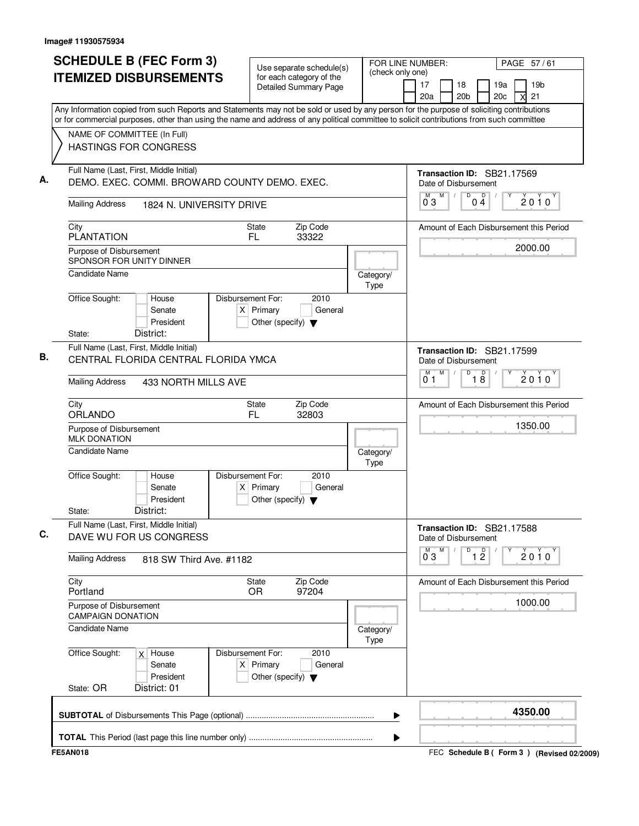|                                                     | <b>SCHEDULE B (FEC Form 3)</b>                                                               | Use separate schedule(s)                                                                    |                                                                           | FOR LINE NUMBER:<br>PAGE 57/61                                                                                                                                                                                                                                                         |
|-----------------------------------------------------|----------------------------------------------------------------------------------------------|---------------------------------------------------------------------------------------------|---------------------------------------------------------------------------|----------------------------------------------------------------------------------------------------------------------------------------------------------------------------------------------------------------------------------------------------------------------------------------|
|                                                     | <b>ITEMIZED DISBURSEMENTS</b>                                                                | for each category of the<br>Detailed Summary Page                                           | (check only one)                                                          | 17<br>19a<br>19 <sub>b</sub><br>18<br>20a<br>20 <sub>b</sub><br>21<br>20c                                                                                                                                                                                                              |
|                                                     |                                                                                              |                                                                                             |                                                                           | Any Information copied from such Reports and Statements may not be sold or used by any person for the purpose of soliciting contributions<br>or for commercial purposes, other than using the name and address of any political committee to solicit contributions from such committee |
| NAME OF COMMITTEE (In Full)                         | <b>HASTINGS FOR CONGRESS</b>                                                                 |                                                                                             |                                                                           |                                                                                                                                                                                                                                                                                        |
|                                                     | Full Name (Last, First, Middle Initial)<br>DEMO. EXEC. COMMI. BROWARD COUNTY DEMO. EXEC.     |                                                                                             |                                                                           | Transaction ID: SB21.17569<br>Date of Disbursement<br>$\overline{D}$<br>M<br>p<br>$\sqrt{ }$                                                                                                                                                                                           |
| <b>Mailing Address</b>                              | 1824 N. UNIVERSITY DRIVE                                                                     |                                                                                             |                                                                           | $2010^y$<br>03<br>0 <sub>4</sub>                                                                                                                                                                                                                                                       |
| City<br><b>PLANTATION</b>                           |                                                                                              | Zip Code<br><b>State</b><br>FL.<br>33322                                                    |                                                                           | Amount of Each Disbursement this Period                                                                                                                                                                                                                                                |
| Purpose of Disbursement<br>SPONSOR FOR UNITY DINNER |                                                                                              |                                                                                             |                                                                           | 2000.00                                                                                                                                                                                                                                                                                |
| <b>Candidate Name</b>                               |                                                                                              |                                                                                             | Category/<br>Type                                                         |                                                                                                                                                                                                                                                                                        |
| Office Sought:                                      | House<br>Senate<br>President                                                                 | Disbursement For:<br>2010<br>$X$ Primary<br>General<br>Other (specify) $\blacktriangledown$ |                                                                           |                                                                                                                                                                                                                                                                                        |
| State:                                              | District:<br>Full Name (Last, First, Middle Initial)<br>CENTRAL FLORIDA CENTRAL FLORIDA YMCA |                                                                                             |                                                                           | Transaction ID: SB21.17599<br>Date of Disbursement                                                                                                                                                                                                                                     |
| <b>Mailing Address</b>                              | 433 NORTH MILLS AVE                                                                          |                                                                                             | M<br>$\overline{D}$<br>M<br>$\overline{18}$<br>$2010^y$<br>0 <sub>1</sub> |                                                                                                                                                                                                                                                                                        |
| City<br>ORLANDO                                     |                                                                                              | Zip Code<br>State<br>FL.<br>32803                                                           |                                                                           | Amount of Each Disbursement this Period                                                                                                                                                                                                                                                |
| Purpose of Disbursement<br><b>MLK DONATION</b>      |                                                                                              |                                                                                             |                                                                           | 1350.00                                                                                                                                                                                                                                                                                |
| <b>Candidate Name</b>                               |                                                                                              |                                                                                             | Category/<br>Type                                                         |                                                                                                                                                                                                                                                                                        |
| Office Sought:<br>State:                            | House<br>Senate<br>President<br>District:                                                    | Disbursement For:<br>2010<br>$X$ Primary<br>General<br>Other (specify) $\blacktriangledown$ |                                                                           |                                                                                                                                                                                                                                                                                        |
|                                                     | Full Name (Last, First, Middle Initial)<br>DAVE WU FOR US CONGRESS                           |                                                                                             |                                                                           | Transaction ID: SB21.17588<br>Date of Disbursement                                                                                                                                                                                                                                     |
| <b>Mailing Address</b>                              | 818 SW Third Ave. #1182                                                                      |                                                                                             |                                                                           | $\overline{1}$ $\overline{2}$<br>$\overline{0}^M$ 3<br>M<br>D<br>$2010^y$                                                                                                                                                                                                              |
| City<br>Portland                                    |                                                                                              | Zip Code<br><b>State</b><br>97204<br>OR.                                                    |                                                                           | Amount of Each Disbursement this Period                                                                                                                                                                                                                                                |
|                                                     | Purpose of Disbursement<br><b>CAMPAIGN DONATION</b>                                          |                                                                                             |                                                                           | 1000.00                                                                                                                                                                                                                                                                                |
| <b>Candidate Name</b>                               |                                                                                              |                                                                                             | Category/<br>Type                                                         |                                                                                                                                                                                                                                                                                        |
| Office Sought:                                      | $x$ House<br>Senate<br>President                                                             | 2010<br>Disbursement For:<br>$X$ Primary<br>General<br>Other (specify) $\blacktriangledown$ |                                                                           |                                                                                                                                                                                                                                                                                        |
| State: OR                                           | District: 01                                                                                 |                                                                                             |                                                                           |                                                                                                                                                                                                                                                                                        |
|                                                     |                                                                                              |                                                                                             |                                                                           | 4350.00                                                                                                                                                                                                                                                                                |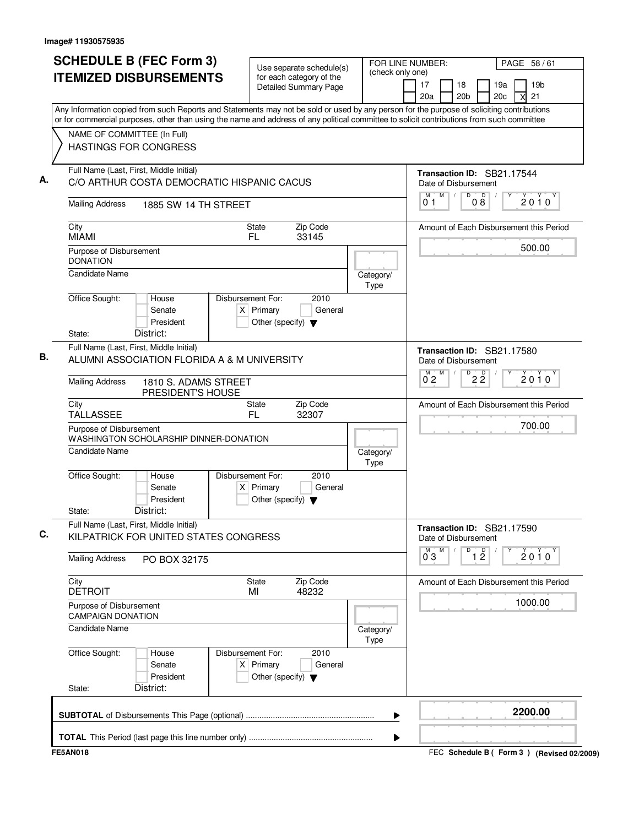| <b>SCHEDULE B (FEC Form 3)</b>                                                                                                                                                                                                                                                         | Use separate schedule(s)                                                                    | FOR LINE NUMBER:<br>(check only one)                          | PAGE 58/61                                                                 |
|----------------------------------------------------------------------------------------------------------------------------------------------------------------------------------------------------------------------------------------------------------------------------------------|---------------------------------------------------------------------------------------------|---------------------------------------------------------------|----------------------------------------------------------------------------|
| <b>ITEMIZED DISBURSEMENTS</b>                                                                                                                                                                                                                                                          | for each category of the<br><b>Detailed Summary Page</b>                                    |                                                               | 17<br>19a<br>19 <sub>b</sub><br>18<br>20 <sub>b</sub><br>20c<br>21<br>20a  |
| Any Information copied from such Reports and Statements may not be sold or used by any person for the purpose of soliciting contributions<br>or for commercial purposes, other than using the name and address of any political committee to solicit contributions from such committee |                                                                                             |                                                               |                                                                            |
| NAME OF COMMITTEE (In Full)<br><b>HASTINGS FOR CONGRESS</b>                                                                                                                                                                                                                            |                                                                                             |                                                               |                                                                            |
| Full Name (Last, First, Middle Initial)<br>C/O ARTHUR COSTA DEMOCRATIC HISPANIC CACUS                                                                                                                                                                                                  |                                                                                             |                                                               | Transaction ID: SB21.17544<br>Date of Disbursement                         |
| <b>Mailing Address</b><br>1885 SW 14 TH STREET                                                                                                                                                                                                                                         |                                                                                             |                                                               | M<br>D<br>$0\overset{D}{8}$<br>M<br>$\sqrt{2}$<br>$2010^y$<br>01           |
| City<br><b>MIAMI</b>                                                                                                                                                                                                                                                                   | Zip Code<br><b>State</b><br>FL.<br>33145                                                    |                                                               | Amount of Each Disbursement this Period                                    |
| Purpose of Disbursement<br><b>DONATION</b>                                                                                                                                                                                                                                             |                                                                                             |                                                               | 500.00                                                                     |
| <b>Candidate Name</b>                                                                                                                                                                                                                                                                  |                                                                                             | Category/<br>Type                                             |                                                                            |
| Office Sought:<br>House<br>Senate<br>President<br>District:<br>State:                                                                                                                                                                                                                  | Disbursement For:<br>2010<br>$X$ Primary<br>General<br>Other (specify) $\blacktriangledown$ |                                                               |                                                                            |
| Full Name (Last, First, Middle Initial)<br>ALUMNI ASSOCIATION FLORIDA A & M UNIVERSITY                                                                                                                                                                                                 |                                                                                             |                                                               | Transaction ID: SB21.17580<br>Date of Disbursement                         |
| <b>Mailing Address</b><br>1810 S. ADAMS STREET<br>PRESIDENT'S HOUSE                                                                                                                                                                                                                    |                                                                                             | M<br>D<br>$2\overline{2}$<br>М<br>$2010^y$<br>$0^{\degree}$ 2 |                                                                            |
| City<br><b>TALLASSEE</b>                                                                                                                                                                                                                                                               | Zip Code<br>State<br>FL.<br>32307                                                           |                                                               | Amount of Each Disbursement this Period                                    |
| Purpose of Disbursement<br>WASHINGTON SCHOLARSHIP DINNER-DONATION                                                                                                                                                                                                                      |                                                                                             |                                                               | 700.00                                                                     |
| <b>Candidate Name</b>                                                                                                                                                                                                                                                                  |                                                                                             | Category/<br>Type                                             |                                                                            |
| Office Sought:<br>House<br>Senate<br>President<br>District:<br>State:                                                                                                                                                                                                                  | Disbursement For:<br>2010<br>$X$ Primary<br>General<br>Other (specify) $\blacktriangledown$ |                                                               |                                                                            |
| Full Name (Last, First, Middle Initial)<br>KILPATRICK FOR UNITED STATES CONGRESS                                                                                                                                                                                                       |                                                                                             |                                                               | Transaction ID: SB21.17590<br>Date of Disbursement                         |
| <b>Mailing Address</b><br>PO BOX 32175                                                                                                                                                                                                                                                 |                                                                                             |                                                               | $\overline{1}$ $\overline{2}$<br>M<br>M<br>D<br>$2010^y$<br>$0^{\degree}3$ |
| City<br><b>DETROIT</b>                                                                                                                                                                                                                                                                 | State<br>Zip Code<br>48232<br>MI                                                            |                                                               | Amount of Each Disbursement this Period                                    |
| Purpose of Disbursement<br><b>CAMPAIGN DONATION</b>                                                                                                                                                                                                                                    |                                                                                             |                                                               | 1000.00                                                                    |
| <b>Candidate Name</b>                                                                                                                                                                                                                                                                  |                                                                                             | Category/<br>Type                                             |                                                                            |
| Office Sought:<br>House<br>Senate<br>President<br>District:                                                                                                                                                                                                                            | Disbursement For:<br>2010<br>$X$ Primary<br>General<br>Other (specify) $\blacktriangledown$ |                                                               |                                                                            |
| State:                                                                                                                                                                                                                                                                                 |                                                                                             |                                                               |                                                                            |
|                                                                                                                                                                                                                                                                                        |                                                                                             |                                                               | 2200.00                                                                    |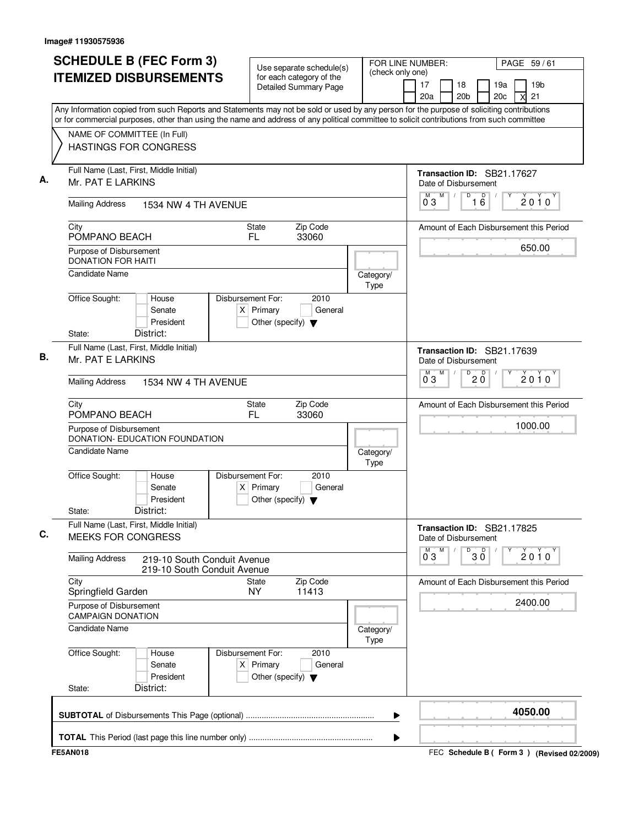| <b>ITEMIZED DISBURSEMENTS</b>                                |                                                            | Use separate schedule(s)                                                                    |                   |                                                                                                                                                                                                                                                                                        |
|--------------------------------------------------------------|------------------------------------------------------------|---------------------------------------------------------------------------------------------|-------------------|----------------------------------------------------------------------------------------------------------------------------------------------------------------------------------------------------------------------------------------------------------------------------------------|
|                                                              |                                                            | for each category of the<br><b>Detailed Summary Page</b>                                    |                   | (check only one)<br>19 <sub>b</sub><br>17<br>18<br>19a<br>20a<br>20 <sub>b</sub><br>21<br>20c<br>x                                                                                                                                                                                     |
|                                                              |                                                            |                                                                                             |                   | Any Information copied from such Reports and Statements may not be sold or used by any person for the purpose of soliciting contributions<br>or for commercial purposes, other than using the name and address of any political committee to solicit contributions from such committee |
| NAME OF COMMITTEE (In Full)                                  |                                                            |                                                                                             |                   |                                                                                                                                                                                                                                                                                        |
| <b>HASTINGS FOR CONGRESS</b>                                 |                                                            |                                                                                             |                   |                                                                                                                                                                                                                                                                                        |
| Full Name (Last, First, Middle Initial)<br>Mr. PAT E LARKINS |                                                            |                                                                                             |                   | Transaction ID: SB21.17627<br>Date of Disbursement                                                                                                                                                                                                                                     |
| <b>Mailing Address</b>                                       | 1534 NW 4 TH AVENUE                                        |                                                                                             |                   | $\overline{D}$<br>M<br>D<br>M<br>2010<br>03<br>16                                                                                                                                                                                                                                      |
| City<br>POMPANO BEACH                                        |                                                            | Zip Code<br><b>State</b><br>33060<br>FL.                                                    |                   | Amount of Each Disbursement this Period                                                                                                                                                                                                                                                |
| Purpose of Disbursement<br><b>DONATION FOR HAITI</b>         |                                                            |                                                                                             |                   | 650.00                                                                                                                                                                                                                                                                                 |
| Candidate Name                                               |                                                            |                                                                                             | Category/<br>Type |                                                                                                                                                                                                                                                                                        |
| Office Sought:                                               | House<br>Senate<br>President                               | Disbursement For:<br>2010<br>$X$ Primary<br>General<br>Other (specify) $\blacktriangledown$ |                   |                                                                                                                                                                                                                                                                                        |
| State:<br>Full Name (Last, First, Middle Initial)            | District:                                                  |                                                                                             |                   |                                                                                                                                                                                                                                                                                        |
| Mr. PAT E LARKINS                                            |                                                            |                                                                                             |                   | Transaction ID: SB21.17639<br>Date of Disbursement<br>M<br>D<br>$\mathsf D$<br>M.                                                                                                                                                                                                      |
| <b>Mailing Address</b>                                       | 1534 NW 4 TH AVENUE                                        |                                                                                             |                   | $2010^y$<br>$2\bar{0}$<br>0 <sub>3</sub>                                                                                                                                                                                                                                               |
| City<br>POMPANO BEACH                                        |                                                            | Zip Code<br><b>State</b><br>FL.<br>33060                                                    |                   | Amount of Each Disbursement this Period                                                                                                                                                                                                                                                |
| Purpose of Disbursement                                      | DONATION- EDUCATION FOUNDATION                             |                                                                                             |                   | 1000.00                                                                                                                                                                                                                                                                                |
| <b>Candidate Name</b>                                        |                                                            |                                                                                             | Category/<br>Type |                                                                                                                                                                                                                                                                                        |
| Office Sought:<br>State:                                     | House<br>Senate<br>President<br>District:                  | Disbursement For:<br>2010<br>$X$ Primary<br>General<br>Other (specify) $\blacktriangledown$ |                   |                                                                                                                                                                                                                                                                                        |
| Full Name (Last, First, Middle Initial)                      |                                                            |                                                                                             |                   | Transaction ID: SB21.17825                                                                                                                                                                                                                                                             |
| <b>MEEKS FOR CONGRESS</b>                                    |                                                            |                                                                                             |                   | Date of Disbursement<br>D<br>M                                                                                                                                                                                                                                                         |
| <b>Mailing Address</b>                                       | 219-10 South Conduit Avenue<br>219-10 South Conduit Avenue |                                                                                             |                   | $30^{\circ}$<br>$\overline{0}^M$ 3<br>$2010^{\circ}$                                                                                                                                                                                                                                   |
| City<br>Springfield Garden                                   |                                                            | Zip Code<br><b>State</b><br><b>NY</b><br>11413                                              |                   | Amount of Each Disbursement this Period                                                                                                                                                                                                                                                |
| Purpose of Disbursement<br><b>CAMPAIGN DONATION</b>          |                                                            |                                                                                             |                   | 2400.00                                                                                                                                                                                                                                                                                |
| Candidate Name                                               |                                                            |                                                                                             | Category/<br>Type |                                                                                                                                                                                                                                                                                        |
| Office Sought:                                               | House<br>Senate<br>President                               | Disbursement For:<br>2010<br>$X$ Primary<br>General<br>Other (specify) $\blacktriangledown$ |                   |                                                                                                                                                                                                                                                                                        |
| State:                                                       | District:                                                  |                                                                                             |                   |                                                                                                                                                                                                                                                                                        |
|                                                              |                                                            |                                                                                             |                   | 4050.00<br>▶                                                                                                                                                                                                                                                                           |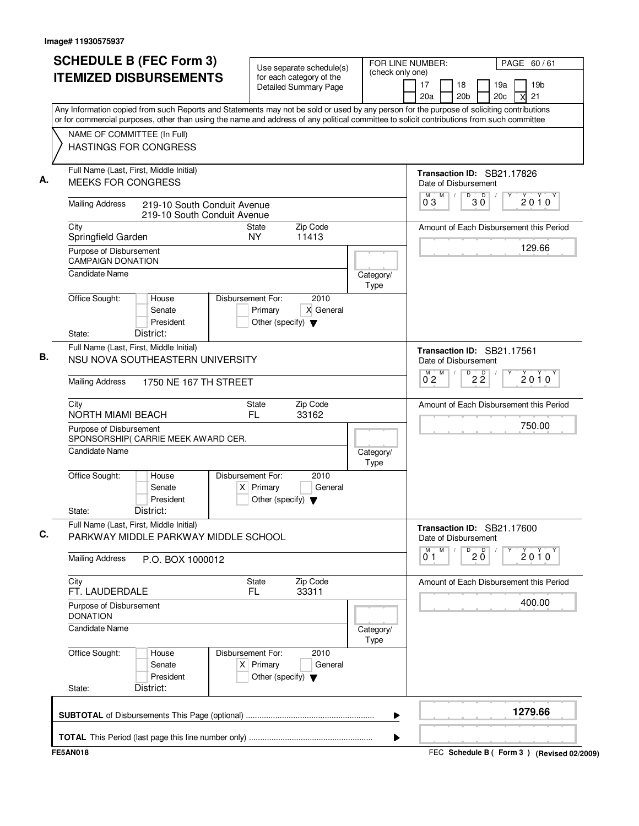| <b>SCHEDULE B (FEC Form 3)</b>                                                                                                                                                                                                                                                         | Use separate schedule(s)                                                                    | (check only one)  | FOR LINE NUMBER:<br>PAGE 60/61                                            |
|----------------------------------------------------------------------------------------------------------------------------------------------------------------------------------------------------------------------------------------------------------------------------------------|---------------------------------------------------------------------------------------------|-------------------|---------------------------------------------------------------------------|
| <b>ITEMIZED DISBURSEMENTS</b>                                                                                                                                                                                                                                                          | for each category of the<br><b>Detailed Summary Page</b>                                    |                   | 17<br>19 <sub>b</sub><br>18<br>19a<br>20 <sub>b</sub><br>20c<br>21<br>20a |
| Any Information copied from such Reports and Statements may not be sold or used by any person for the purpose of soliciting contributions<br>or for commercial purposes, other than using the name and address of any political committee to solicit contributions from such committee |                                                                                             |                   |                                                                           |
| NAME OF COMMITTEE (In Full)                                                                                                                                                                                                                                                            |                                                                                             |                   |                                                                           |
| <b>HASTINGS FOR CONGRESS</b>                                                                                                                                                                                                                                                           |                                                                                             |                   |                                                                           |
| Full Name (Last, First, Middle Initial)<br><b>MEEKS FOR CONGRESS</b>                                                                                                                                                                                                                   |                                                                                             |                   | Transaction ID: SB21.17826<br>Date of Disbursement                        |
| <b>Mailing Address</b><br>219-10 South Conduit Avenue<br>219-10 South Conduit Avenue                                                                                                                                                                                                   |                                                                                             |                   | M<br>D<br>$30^{\circ}$<br>M<br>$2010^y$<br>03                             |
| City<br>Springfield Garden                                                                                                                                                                                                                                                             | Zip Code<br><b>State</b><br><b>NY</b><br>11413                                              |                   | Amount of Each Disbursement this Period                                   |
| Purpose of Disbursement<br><b>CAMPAIGN DONATION</b>                                                                                                                                                                                                                                    |                                                                                             |                   | 129.66                                                                    |
| <b>Candidate Name</b>                                                                                                                                                                                                                                                                  |                                                                                             | Category/<br>Type |                                                                           |
| Office Sought:<br>House<br>Senate<br>President<br>District:<br>State:                                                                                                                                                                                                                  | Disbursement For:<br>2010<br>X General<br>Primary<br>Other (specify) $\blacktriangledown$   |                   |                                                                           |
| Full Name (Last, First, Middle Initial)<br>NSU NOVA SOUTHEASTERN UNIVERSITY                                                                                                                                                                                                            |                                                                                             |                   | Transaction ID: SB21.17561<br>Date of Disbursement                        |
| <b>Mailing Address</b><br>1750 NE 167 TH STREET                                                                                                                                                                                                                                        |                                                                                             |                   | M<br>D<br>$2\overline{2}$<br>М<br>$2010^y$<br>$0^{\degree}$ 2             |
| City<br><b>NORTH MIAMI BEACH</b>                                                                                                                                                                                                                                                       | Zip Code<br>State<br>33162<br>FL                                                            |                   | Amount of Each Disbursement this Period                                   |
| Purpose of Disbursement<br>SPONSORSHIP( CARRIE MEEK AWARD CER.                                                                                                                                                                                                                         |                                                                                             |                   | 750.00                                                                    |
| Candidate Name                                                                                                                                                                                                                                                                         |                                                                                             | Category/<br>Type |                                                                           |
| Office Sought:<br>House<br>Senate<br>President<br>District:<br>State:                                                                                                                                                                                                                  | Disbursement For:<br>2010<br>$X$ Primary<br>General<br>Other (specify) $\blacktriangledown$ |                   |                                                                           |
| Full Name (Last, First, Middle Initial)<br>PARKWAY MIDDLE PARKWAY MIDDLE SCHOOL                                                                                                                                                                                                        |                                                                                             |                   | Transaction ID: SB21.17600<br>Date of Disbursement                        |
| <b>Mailing Address</b><br>P.O. BOX 1000012                                                                                                                                                                                                                                             |                                                                                             |                   | M<br>D<br>$20^{\circ}$<br>М<br>$2010^y$<br>01                             |
| City<br>FT. LAUDERDALE                                                                                                                                                                                                                                                                 | Zip Code<br>State<br>FL.<br>33311                                                           |                   | Amount of Each Disbursement this Period                                   |
| Purpose of Disbursement<br><b>DONATION</b>                                                                                                                                                                                                                                             |                                                                                             |                   | 400.00                                                                    |
| <b>Candidate Name</b>                                                                                                                                                                                                                                                                  |                                                                                             | Category/<br>Type |                                                                           |
| Office Sought:<br>House<br>Senate<br>President                                                                                                                                                                                                                                         | Disbursement For:<br>2010<br>$X$ Primary<br>General<br>Other (specify) $\blacktriangledown$ |                   |                                                                           |
| District:<br>State:                                                                                                                                                                                                                                                                    |                                                                                             |                   |                                                                           |
|                                                                                                                                                                                                                                                                                        |                                                                                             |                   | 1279.66                                                                   |